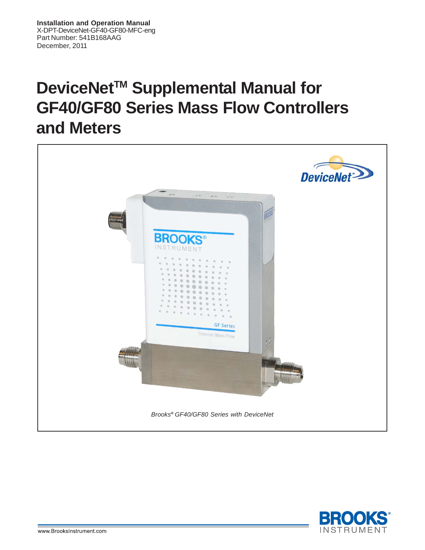# **DeviceNet<sup>™</sup> Supplemental Manual for GF40/GF80 Series Mass Flow Controllers and Meters**



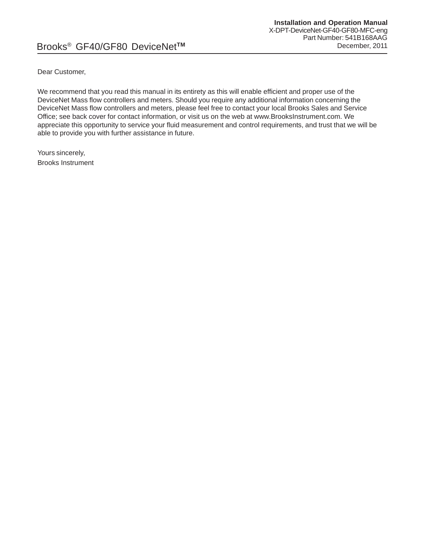Dear Customer,

We recommend that you read this manual in its entirety as this will enable efficient and proper use of the DeviceNet Mass flow controllers and meters. Should you require any additional information concerning the DeviceNet Mass flow controllers and meters, please feel free to contact your local Brooks Sales and Service Office; see back cover for contact information, or visit us on the web at www.BrooksInstrument.com. We appreciate this opportunity to service your fluid measurement and control requirements, and trust that we will be able to provide you with further assistance in future.

Yours sincerely, Brooks Instrument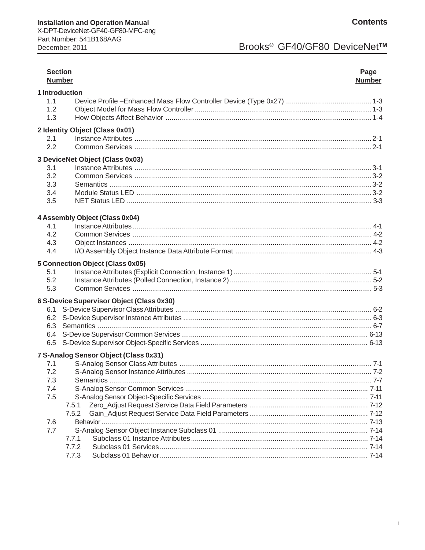# Brooks<sup>®</sup> GF40/GF80 DeviceNet™

|     | <b>Section</b><br><b>Number</b> |                                           | Page<br><b>Number</b> |
|-----|---------------------------------|-------------------------------------------|-----------------------|
|     | 1 Introduction                  |                                           |                       |
| 1.1 |                                 |                                           |                       |
| 1.2 |                                 |                                           |                       |
| 1.3 |                                 |                                           |                       |
|     |                                 | 2 Identity Object (Class 0x01)            |                       |
| 2.1 |                                 |                                           |                       |
| 2.2 |                                 |                                           |                       |
|     |                                 | 3 DeviceNet Object (Class 0x03)           |                       |
| 3.1 |                                 |                                           |                       |
| 3.2 |                                 |                                           |                       |
| 3.3 |                                 |                                           |                       |
| 3.4 |                                 |                                           |                       |
| 3.5 |                                 |                                           |                       |
|     |                                 | 4 Assembly Object (Class 0x04)            |                       |
| 4.1 |                                 |                                           |                       |
| 4.2 |                                 |                                           |                       |
| 4.3 |                                 |                                           |                       |
| 4.4 |                                 |                                           |                       |
|     |                                 |                                           |                       |
|     |                                 | 5 Connection Object (Class 0x05)          |                       |
| 5.1 |                                 |                                           |                       |
| 5.2 |                                 |                                           |                       |
| 5.3 |                                 |                                           |                       |
|     |                                 | 6 S-Device Supervisor Object (Class 0x30) |                       |
| 6.1 |                                 |                                           |                       |
|     |                                 |                                           |                       |
|     |                                 |                                           |                       |
|     |                                 |                                           |                       |
| 6.5 |                                 |                                           |                       |
|     |                                 | 7 S-Analog Sensor Object (Class 0x31)     |                       |
| 7.1 |                                 |                                           |                       |
| 7.2 |                                 |                                           |                       |
| 7.3 |                                 |                                           |                       |
| 7.4 |                                 |                                           |                       |
| 7.5 |                                 |                                           |                       |
|     | 7.5.1                           |                                           |                       |
|     | 7.5.2                           |                                           |                       |
| 7.6 |                                 |                                           |                       |
| 7.7 |                                 |                                           |                       |
|     | 7.7.1                           |                                           |                       |
|     | 7.7.2                           |                                           |                       |
|     | 7.7.3                           |                                           |                       |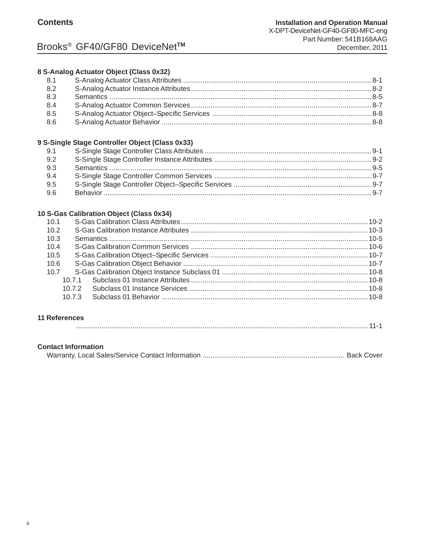# Brooks<sup>®</sup> GF40/GF80 DeviceNet™

### 8 S-Analog Actuator Object (Class 0x32)

### 9 S-Single Stage Controller Object (Class 0x33)

| 9.1 |  |
|-----|--|
| 9.2 |  |
| 9.3 |  |
| 9.4 |  |
| 9.5 |  |
| 9.6 |  |
|     |  |

### 10 S-Gas Calibration Object (Class 0x34)

| 10.1 |        |  |
|------|--------|--|
| 10.2 |        |  |
| 10.3 |        |  |
| 104  |        |  |
| 10.5 |        |  |
| 10.6 |        |  |
| 10.7 |        |  |
|      | 1071   |  |
|      | 10.7.2 |  |
|      | 1073   |  |
|      |        |  |
|      |        |  |

### 11 References

### **Contact Information**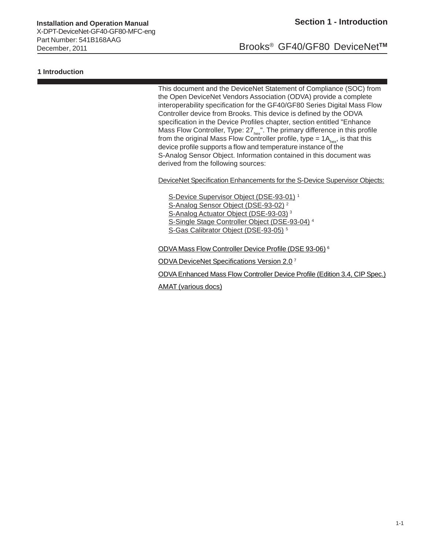Part Number: 541B168AAG December, 2011

### Brooks® GF40/GF80 DeviceNet**TM**

### **1 Introduction**

This document and the DeviceNet Statement of Compliance (SOC) from the Open DeviceNet Vendors Association (ODVA) provide a complete interoperability specification for the GF40/GF80 Series Digital Mass Flow Controller device from Brooks. This device is defined by the ODVA specification in the Device Profiles chapter, section entitled "Enhance Mass Flow Controller, Type:  $27_{\text{hex}}$ ". The primary difference in this profile from the original Mass Flow Controller profile, type =  $1A_{\text{hex}}$ , is that this device profile supports a flow and temperature instance of the S-Analog Sensor Object. Information contained in this document was derived from the following sources:

DeviceNet Specification Enhancements for the S-Device Supervisor Objects:

S-Device Supervisor Object (DSE-93-01)<sup>1</sup> S-Analog Sensor Object (DSE-93-02)<sup>2</sup> S-Analog Actuator Object (DSE-93-03)<sup>3</sup> S-Single Stage Controller Object (DSE-93-04) 4 S-Gas Calibrator Object (DSE-93-05)<sup>5</sup>

ODVA Mass Flow Controller Device Profile (DSE 93-06) 6

ODVA DeviceNet Specifications Version 2.0 7

ODVA Enhanced Mass Flow Controller Device Profile (Edition 3.4, CIP Spec.)

AMAT (various docs)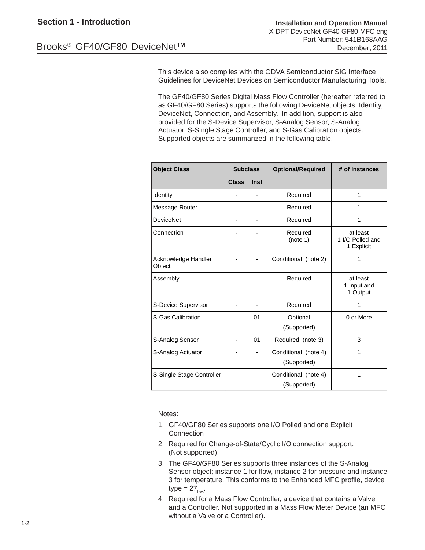This device also complies with the ODVA Semiconductor SIG Interface Guidelines for DeviceNet Devices on Semiconductor Manufacturing Tools.

The GF40/GF80 Series Digital Mass Flow Controller (hereafter referred to as GF40/GF80 Series) supports the following DeviceNet objects: Identity, DeviceNet, Connection, and Assembly. In addition, support is also provided for the S-Device Supervisor, S-Analog Sensor, S-Analog Actuator, S-Single Stage Controller, and S-Gas Calibration objects. Supported objects are summarized in the following table.

| <b>Object Class</b>           | <b>Subclass</b> |             | <b>Optional/Required</b>            | # of Instances                             |  |
|-------------------------------|-----------------|-------------|-------------------------------------|--------------------------------------------|--|
|                               | <b>Class</b>    | <b>Inst</b> |                                     |                                            |  |
| Identity                      |                 | ۰           | Required                            | 1                                          |  |
| Message Router                |                 |             | Required                            | 1                                          |  |
| <b>DeviceNet</b>              |                 |             | Required                            | 1                                          |  |
| Connection                    |                 |             | Required<br>(note 1)                | at least<br>1 I/O Polled and<br>1 Explicit |  |
| Acknowledge Handler<br>Object |                 |             | Conditional (note 2)                | 1                                          |  |
| Assembly                      |                 |             | Required                            | at least<br>1 Input and<br>1 Output        |  |
| S-Device Supervisor           |                 |             | Required                            | 1                                          |  |
| S-Gas Calibration             |                 | 01          | Optional<br>(Supported)             | 0 or More                                  |  |
| S-Analog Sensor               |                 | 01          | Required (note 3)                   | 3                                          |  |
| S-Analog Actuator             |                 |             | Conditional (note 4)<br>(Supported) | 1                                          |  |
| S-Single Stage Controller     |                 |             | Conditional (note 4)<br>(Supported) | 1                                          |  |

Notes:

- 1. GF40/GF80 Series supports one I/O Polled and one Explicit **Connection**
- 2. Required for Change-of-State/Cyclic I/O connection support. (Not supported).
- 3. The GF40/GF80 Series supports three instances of the S-Analog Sensor object; instance 1 for flow, instance 2 for pressure and instance 3 for temperature. This conforms to the Enhanced MFC profile, device  $type = 27_{hex}.$
- 4. Required for a Mass Flow Controller, a device that contains a Valve and a Controller. Not supported in a Mass Flow Meter Device (an MFC without a Valve or a Controller).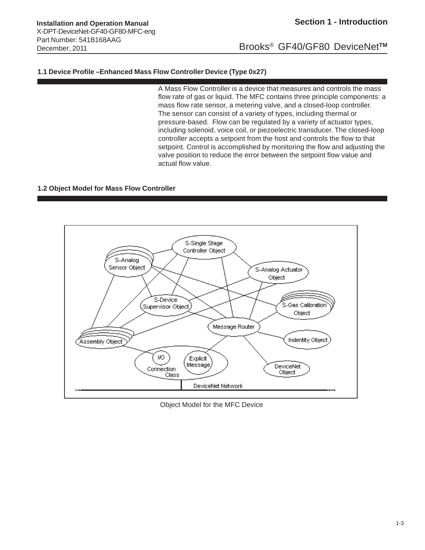### **1.1 Device Profile –Enhanced Mass Flow Controller Device (Type 0x27)**

A Mass Flow Controller is a device that measures and controls the mass flow rate of gas or liquid. The MFC contains three principle components: a mass flow rate sensor, a metering valve, and a closed-loop controller. The sensor can consist of a variety of types, including thermal or pressure-based. Flow can be regulated by a variety of actuator types, including solenoid, voice coil, or piezoelectric transducer. The closed-loop controller accepts a setpoint from the host and controls the flow to that setpoint. Control is accomplished by monitoring the flow and adjusting the valve position to reduce the error between the setpoint flow value and actual flow value.

### **1.2 Object Model for Mass Flow Controller**



Object Model for the MFC Device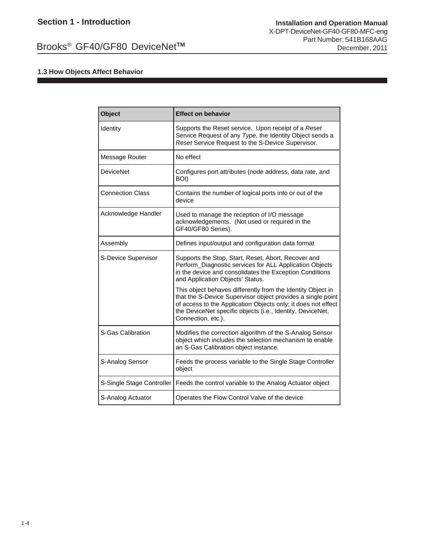### **1.3 How Objects Affect Behavior**

| <b>Object</b>           | <b>Effect on behavior</b>                                                                                                                                                                                                                                                       |  |  |  |  |
|-------------------------|---------------------------------------------------------------------------------------------------------------------------------------------------------------------------------------------------------------------------------------------------------------------------------|--|--|--|--|
| Identity                | Supports the Reset service. Upon receipt of a Reset<br>Service Request of any Type, the Identity Object sends a<br>Reset Service Request to the S-Device Supervisor.                                                                                                            |  |  |  |  |
| Message Router          | No effect                                                                                                                                                                                                                                                                       |  |  |  |  |
| <b>DeviceNet</b>        | Configures port attributes (node address, data rate, and<br>BOI)                                                                                                                                                                                                                |  |  |  |  |
| <b>Connection Class</b> | Contains the number of logical ports into or out of the<br>device                                                                                                                                                                                                               |  |  |  |  |
| Acknowledge Handler     | Used to manage the reception of I/O message<br>acknowledgements. (Not used or required in the<br>GF40/GF80 Series).                                                                                                                                                             |  |  |  |  |
| Assembly                | Defines input/output and configuration data format                                                                                                                                                                                                                              |  |  |  |  |
| S-Device Supervisor     | Supports the Stop, Start, Reset, Abort, Recover and<br>Perform_Diagnostic services for ALL Application Objects<br>in the device and consolidates the Exception Conditions<br>and Application Objects' Status.                                                                   |  |  |  |  |
|                         | This object behaves differently from the Identity Object in<br>that the S-Device Supervisor object provides a single point<br>of access to the Application Objects only; it does not effect<br>the DeviceNet specific objects (i.e., Identity, DeviceNet,<br>Connection, etc.). |  |  |  |  |
| S-Gas Calibration       | Modifies the correction algorithm of the S-Analog Sensor<br>object which includes the selection mechanism to enable<br>an S-Gas Calibration object instance.                                                                                                                    |  |  |  |  |
| S-Analog Sensor         | Feeds the process variable to the Single Stage Controller<br>object                                                                                                                                                                                                             |  |  |  |  |
|                         | S-Single Stage Controller   Feeds the control variable to the Analog Actuator object                                                                                                                                                                                            |  |  |  |  |
| S-Analog Actuator       | Operates the Flow Control Valve of the device                                                                                                                                                                                                                                   |  |  |  |  |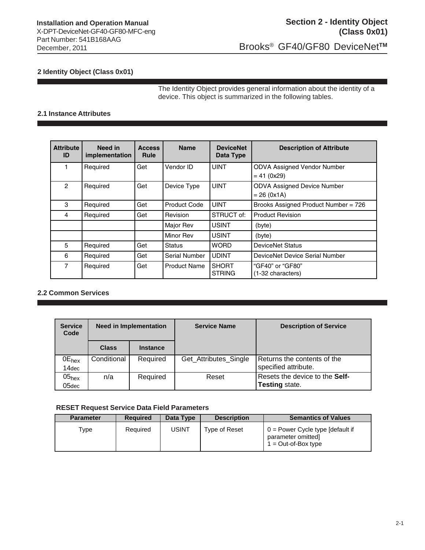### **2 Identity Object (Class 0x01)**

The Identity Object provides general information about the identity of a device. This object is summarized in the following tables.

### **2.1 Instance Attributes**

| <b>Attribute</b><br>ID | Need in<br>implementation | <b>Access</b><br><b>Rule</b> | <b>Name</b>         | <b>DeviceNet</b><br>Data Type | <b>Description of Attribute</b>                     |
|------------------------|---------------------------|------------------------------|---------------------|-------------------------------|-----------------------------------------------------|
|                        | Required                  | Get                          | Vendor ID           | <b>UINT</b>                   | <b>ODVA Assigned Vendor Number</b><br>$= 41 (0x29)$ |
| 2                      | Required                  | Get                          | Device Type         | <b>UINT</b>                   | <b>ODVA Assigned Device Number</b><br>$= 26 (0x1A)$ |
| 3                      | Required                  | Get                          | <b>Product Code</b> | <b>UINT</b>                   | Brooks Assigned Product Number = 726                |
| 4                      | Required                  | Get                          | Revision            | STRUCT of:                    | <b>Product Revision</b>                             |
|                        |                           |                              | Major Rev           | <b>USINT</b>                  | (byte)                                              |
|                        |                           |                              | Minor Rev           | <b>USINT</b>                  | (byte)                                              |
| 5                      | Required                  | Get                          | <b>Status</b>       | WORD                          | DeviceNet Status                                    |
| 6                      | Required                  | Get                          | Serial Number       | <b>UDINT</b>                  | DeviceNet Device Serial Number                      |
| 7                      | Required                  | Get                          | <b>Product Name</b> | <b>SHORT</b><br><b>STRING</b> | "GF40" or "GF80"<br>(1-32 characters)               |

### **2.2 Common Services**

| <b>Service</b><br>Code | <b>Need in Implementation</b> |                 | <b>Service Name</b>   | <b>Description of Service</b>                       |
|------------------------|-------------------------------|-----------------|-----------------------|-----------------------------------------------------|
|                        | <b>Class</b>                  | <b>Instance</b> |                       |                                                     |
| $0E_{hex}$<br>$14$ dec | Conditional                   | Required        | Get_Attributes_Single | Returns the contents of the<br>specified attribute. |
| 05 <sub>hex</sub>      | n/a                           | Required        | Reset                 | Resets the device to the Self-                      |
| $05$ dec               |                               |                 |                       | <b>Testing state.</b>                               |

### **RESET Request Service Data Field Parameters**

| <b>Parameter</b> | <b>Required</b> | Data Type    | <b>Description</b> | <b>Semantics of Values</b>                                                        |
|------------------|-----------------|--------------|--------------------|-----------------------------------------------------------------------------------|
| $\mathsf{v}$ pe  | Required        | <b>USINT</b> | Type of Reset      | $0 =$ Power Cycle type [default if<br>parameter omitted]<br>$1 = Out-of-Box$ type |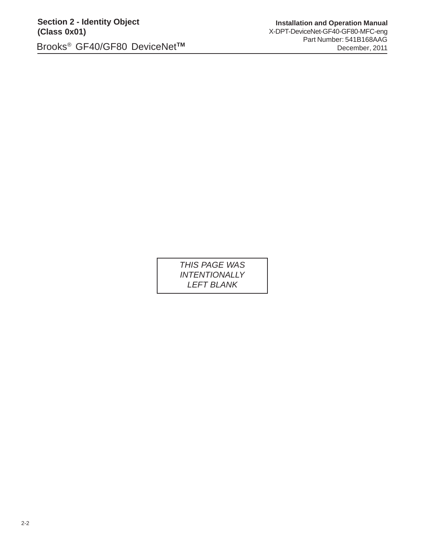*THIS PAGE WAS INTENTIONALLY LEFT BLANK*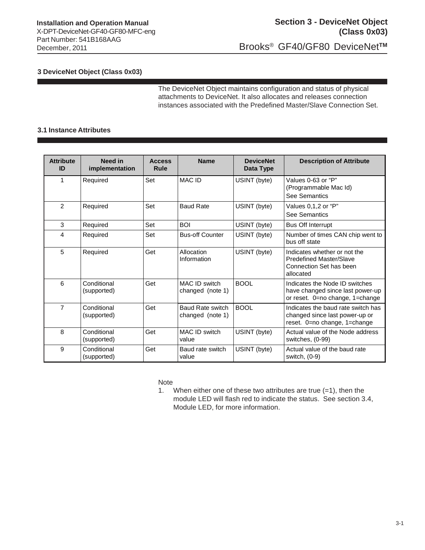### **3 DeviceNet Object (Class 0x03)**

The DeviceNet Object maintains configuration and status of physical attachments to DeviceNet. It also allocates and releases connection instances associated with the Predefined Master/Slave Connection Set.

### **3.1 Instance Attributes**

| <b>Attribute</b><br>ID | <b>Need in</b><br>implementation | <b>Access</b><br><b>Rule</b> | <b>Name</b>                                 | <b>DeviceNet</b><br>Data Type | <b>Description of Attribute</b>                                                                        |
|------------------------|----------------------------------|------------------------------|---------------------------------------------|-------------------------------|--------------------------------------------------------------------------------------------------------|
| 1                      | Required                         | Set                          | <b>MAC ID</b>                               | USINT (byte)                  | Values 0-63 or "P"<br>(Programmable Mac Id)<br>See Semantics                                           |
| 2                      | Required                         | Set                          | <b>Baud Rate</b>                            | USINT (byte)                  | Values 0,1,2 or "P"<br>See Semantics                                                                   |
| 3                      | Required                         | Set                          | <b>BOI</b>                                  | USINT (byte)                  | <b>Bus Off Interrupt</b>                                                                               |
| 4                      | Required                         | Set                          | <b>Bus-off Counter</b>                      | USINT (byte)                  | Number of times CAN chip went to<br>bus off state                                                      |
| 5                      | Required                         | Get                          | Allocation<br>Information                   | USINT (byte)                  | Indicates whether or not the<br><b>Predefined Master/Slave</b><br>Connection Set has been<br>allocated |
| 6                      | Conditional<br>(supported)       | Get                          | MAC ID switch<br>changed (note 1)           | <b>BOOL</b>                   | Indicates the Node ID switches<br>have changed since last power-up<br>or reset. 0=no change, 1=change  |
| $\overline{7}$         | Conditional<br>(supported)       | Get                          | <b>Baud Rate switch</b><br>changed (note 1) | <b>BOOL</b>                   | Indicates the baud rate switch has<br>changed since last power-up or<br>reset. 0=no change, 1=change   |
| 8                      | Conditional<br>(supported)       | Get                          | MAC ID switch<br>value                      | USINT (byte)                  | Actual value of the Node address<br>switches, (0-99)                                                   |
| 9                      | Conditional<br>(supported)       | Get                          | Baud rate switch<br>value                   | USINT (byte)                  | Actual value of the baud rate<br>switch, (0-9)                                                         |

Note

1. When either one of these two attributes are true (=1), then the module LED will flash red to indicate the status. See section 3.4, Module LED, for more information.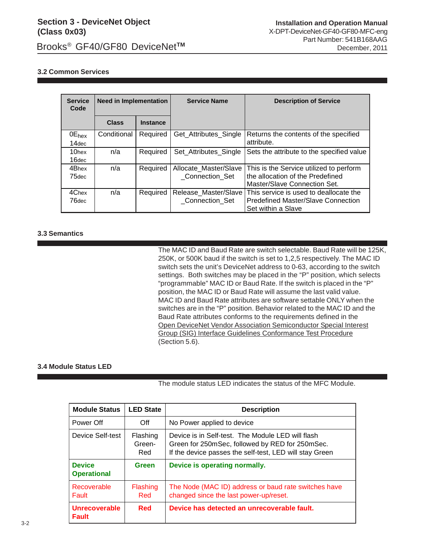### **3.2 Common Services**

| <b>Service</b><br>Code                 | <b>Need in Implementation</b> |                 | <b>Service Name</b>                            | <b>Description of Service</b>                                                                               |  |
|----------------------------------------|-------------------------------|-----------------|------------------------------------------------|-------------------------------------------------------------------------------------------------------------|--|
|                                        | <b>Class</b>                  | <b>Instance</b> |                                                |                                                                                                             |  |
| 0 $\mathsf{E_{hex}}$<br>$14$ dec       | Conditional                   | Required        | Get Attributes Single                          | Returns the contents of the specified<br>attribute.                                                         |  |
| 10 <sub>hex</sub><br>16 <sub>dec</sub> | n/a                           | Required        | Set Attributes Single                          | Sets the attribute to the specified value                                                                   |  |
| 4Bhex<br>75 <sub>dec</sub>             | n/a                           | Required        | Allocate Master/Slave<br><b>Connection Set</b> | This is the Service utilized to perform<br>the allocation of the Predefined<br>Master/Slave Connection Set. |  |
| 4Chex<br>76 <sub>dec</sub>             | n/a                           | Required        | Release Master/Slave<br><b>Connection Set</b>  | This service is used to deallocate the<br>Predefined Master/Slave Connection<br>Set within a Slave          |  |

### **3.3 Semantics**

The MAC ID and Baud Rate are switch selectable. Baud Rate will be 125K, 250K, or 500K baud if the switch is set to 1,2,5 respectively. The MAC ID switch sets the unit's DeviceNet address to 0-63, according to the switch settings. Both switches may be placed in the "P" position, which selects "programmable" MAC ID or Baud Rate. If the switch is placed in the "P" position, the MAC ID or Baud Rate will assume the last valid value. MAC ID and Baud Rate attributes are software settable ONLY when the switches are in the "P" position. Behavior related to the MAC ID and the Baud Rate attributes conforms to the requirements defined in the Open DeviceNet Vendor Association Semiconductor Special Interest Group (SIG) Interface Guidelines Conformance Test Procedure (Section 5.6).

### **3.4 Module Status LED**

The module status LED indicates the status of the MFC Module.

| <b>Module Status</b>                | <b>LED State</b>          | <b>Description</b>                                                                                                                                              |
|-------------------------------------|---------------------------|-----------------------------------------------------------------------------------------------------------------------------------------------------------------|
| Power Off                           | Off                       | No Power applied to device                                                                                                                                      |
| Device Self-test                    | Flashing<br>Green-<br>Red | Device is in Self-test. The Module LED will flash<br>Green for 250mSec, followed by RED for 250mSec.<br>If the device passes the self-test, LED will stay Green |
| <b>Device</b><br><b>Operational</b> | Green                     | Device is operating normally.                                                                                                                                   |
| Recoverable<br>Fault                | <b>Flashing</b><br>Red    | The Node (MAC ID) address or baud rate switches have<br>changed since the last power-up/reset.                                                                  |
| Unrecoverable<br><b>Fault</b>       | <b>Red</b>                | Device has detected an unrecoverable fault.                                                                                                                     |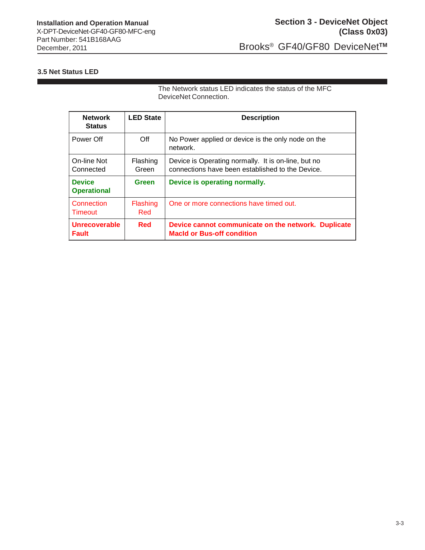### **3.5 Net Status LED**

The Network status LED indicates the status of the MFC DeviceNet Connection.

| <b>Network</b><br><b>Status</b>     | <b>LED State</b>  | <b>Description</b>                                                                                      |
|-------------------------------------|-------------------|---------------------------------------------------------------------------------------------------------|
| Power Off                           | Off               | No Power applied or device is the only node on the<br>network.                                          |
| On-line Not<br>Connected            | Flashing<br>Green | Device is Operating normally. It is on-line, but no<br>connections have been established to the Device. |
| <b>Device</b><br><b>Operational</b> | Green             | Device is operating normally.                                                                           |
| Connection<br>Timeout               | Flashing<br>Red   | One or more connections have timed out.                                                                 |
| Unrecoverable<br><b>Fault</b>       | <b>Red</b>        | Device cannot communicate on the network. Duplicate<br><b>MacId or Bus-off condition</b>                |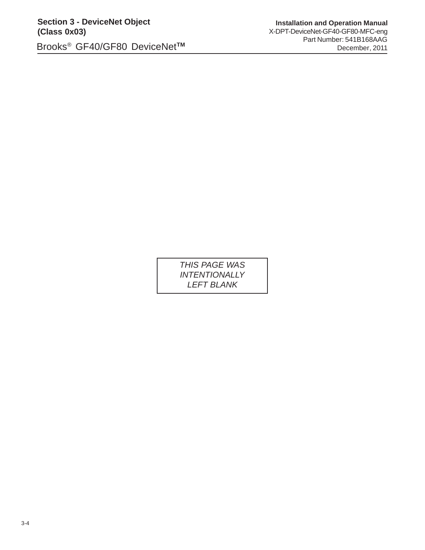*THIS PAGE WAS INTENTIONALLY LEFT BLANK*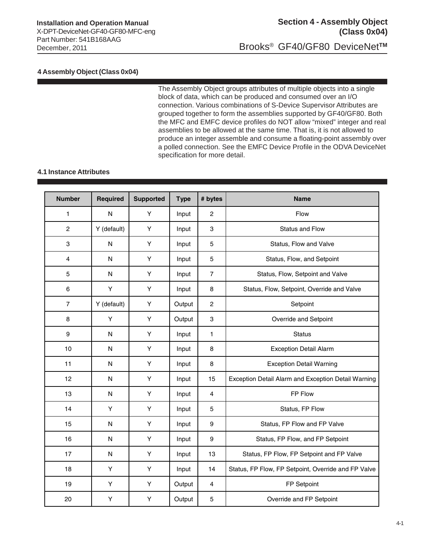### **4 Assembly Object (Class 0x04)**

December, 2011

The Assembly Object groups attributes of multiple objects into a single block of data, which can be produced and consumed over an I/O connection. Various combinations of S-Device Supervisor Attributes are grouped together to form the assemblies supported by GF40/GF80. Both the MFC and EMFC device profiles do NOT allow "mixed" integer and real assemblies to be allowed at the same time. That is, it is not allowed to produce an integer assemble and consume a floating-point assembly over a polled connection. See the EMFC Device Profile in the ODVA DeviceNet specification for more detail.

### **4.1 Instance Attributes**

| <b>Number</b>    | <b>Required</b> | <b>Supported</b> | <b>Type</b> | # bytes                 | <b>Name</b>                                         |
|------------------|-----------------|------------------|-------------|-------------------------|-----------------------------------------------------|
| 1                | ${\sf N}$       | Y                | Input       | $\overline{2}$          | Flow                                                |
| $\overline{2}$   | Y (default)     | Υ                | Input       | 3                       | <b>Status and Flow</b>                              |
| 3                | $\mathsf{N}$    | Υ                | Input       | 5                       | Status, Flow and Valve                              |
| 4                | N               | Υ                | Input       | 5                       | Status, Flow, and Setpoint                          |
| 5                | N               | Y                | Input       | $\overline{7}$          | Status, Flow, Setpoint and Valve                    |
| 6                | Υ               | Υ                | Input       | 8                       | Status, Flow, Setpoint, Override and Valve          |
| $\overline{7}$   | Y (default)     | Υ                | Output      | $\overline{c}$          | Setpoint                                            |
| $\bf 8$          | Y               | Y                | Output      | 3                       | Override and Setpoint                               |
| $\boldsymbol{9}$ | N               | Υ                | Input       | 1                       | <b>Status</b>                                       |
| 10               | $\mathsf{N}$    | Y                | Input       | 8                       | <b>Exception Detail Alarm</b>                       |
| 11               | N               | Y                | Input       | 8                       | <b>Exception Detail Warning</b>                     |
| 12               | ${\sf N}$       | Y                | Input       | 15                      | Exception Detail Alarm and Exception Detail Warning |
| 13               | N               | Υ                | Input       | $\overline{\mathbf{4}}$ | FP Flow                                             |
| 14               | Υ               | Y                | Input       | 5                       | Status, FP Flow                                     |
| 15               | $\mathsf{N}$    | Υ                | Input       | 9                       | Status, FP Flow and FP Valve                        |
| 16               | ${\sf N}$       | Υ                | Input       | $\boldsymbol{9}$        | Status, FP Flow, and FP Setpoint                    |
| 17               | ${\sf N}$       | Υ                | Input       | 13                      | Status, FP Flow, FP Setpoint and FP Valve           |
| 18               | Y               | Y                | Input       | 14                      | Status, FP Flow, FP Setpoint, Override and FP Valve |
| 19               | Υ               | Y                | Output      | $\overline{\mathbf{4}}$ | FP Setpoint                                         |
| 20               | Υ               | Υ                | Output      | 5                       | Override and FP Setpoint                            |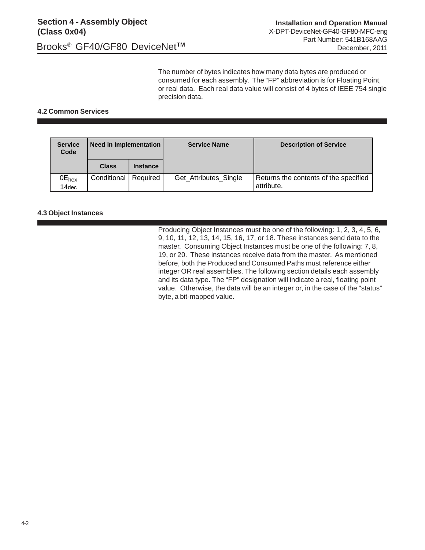### **Section 4 - Assembly Object (Class 0x04)** Brooks® GF40/GF80 DeviceNet**TM**

The number of bytes indicates how many data bytes are produced or consumed for each assembly. The "FP" abbreviation is for Floating Point, or real data. Each real data value will consist of 4 bytes of IEEE 754 single precision data.

### **4.2 Common Services**

| <b>Service</b><br>Code | Need in Implementation |                 | <b>Service Name</b>   | <b>Description of Service</b>                       |
|------------------------|------------------------|-----------------|-----------------------|-----------------------------------------------------|
|                        | <b>Class</b>           | <b>Instance</b> |                       |                                                     |
| $0E_{hex}$<br>14dec    | Conditional   Required |                 | Get_Attributes_Single | Returns the contents of the specified<br>attribute. |

### **4.3 Object Instances**

Producing Object Instances must be one of the following: 1, 2, 3, 4, 5, 6, 9, 10, 11, 12, 13, 14, 15, 16, 17, or 18. These instances send data to the master. Consuming Object Instances must be one of the following: 7, 8, 19, or 20. These instances receive data from the master. As mentioned before, both the Produced and Consumed Paths must reference either integer OR real assemblies. The following section details each assembly and its data type. The "FP" designation will indicate a real, floating point value. Otherwise, the data will be an integer or, in the case of the "status" byte, a bit-mapped value.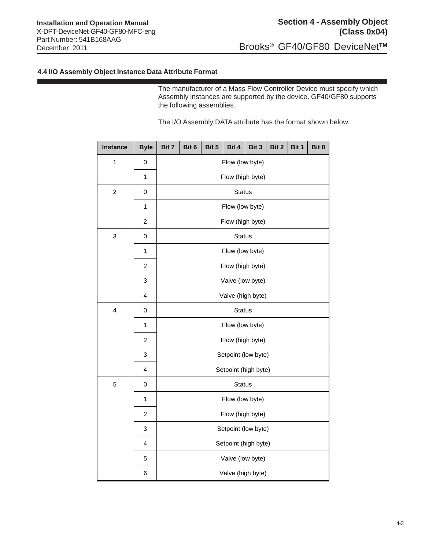### **4.4 I/O Assembly Object Instance Data Attribute Format**

The manufacturer of a Mass Flow Controller Device must specify which Assembly instances are supported by the device. GF40/GF80 supports the following assemblies.

The I/O Assembly DATA attribute has the format shown below.

| <b>Instance</b>           | <b>Byte</b>             | Bit 7            | Bit 6           | Bit 5 | Bit 4                | Bit 3 | Bit 2 | Bit 1 | Bit 0 |  |  |
|---------------------------|-------------------------|------------------|-----------------|-------|----------------------|-------|-------|-------|-------|--|--|
| $\mathbf{1}$              | 0                       |                  |                 |       | Flow (low byte)      |       |       |       |       |  |  |
|                           | $\mathbf{1}$            |                  |                 |       | Flow (high byte)     |       |       |       |       |  |  |
| $\boldsymbol{2}$          | 0                       |                  | <b>Status</b>   |       |                      |       |       |       |       |  |  |
|                           | 1                       |                  | Flow (low byte) |       |                      |       |       |       |       |  |  |
|                           | $\overline{c}$          | Flow (high byte) |                 |       |                      |       |       |       |       |  |  |
| $\ensuremath{\mathsf{3}}$ | 0                       | <b>Status</b>    |                 |       |                      |       |       |       |       |  |  |
|                           | $\mathbf{1}$            |                  |                 |       | Flow (low byte)      |       |       |       |       |  |  |
|                           | $\overline{2}$          |                  |                 |       | Flow (high byte)     |       |       |       |       |  |  |
|                           | 3                       |                  |                 |       | Valve (low byte)     |       |       |       |       |  |  |
|                           | $\overline{\mathbf{4}}$ |                  |                 |       | Valve (high byte)    |       |       |       |       |  |  |
| $\overline{\mathbf{4}}$   | 0                       |                  |                 |       | <b>Status</b>        |       |       |       |       |  |  |
|                           | $\mathbf 1$             |                  |                 |       | Flow (low byte)      |       |       |       |       |  |  |
|                           | $\overline{c}$          |                  |                 |       | Flow (high byte)     |       |       |       |       |  |  |
|                           | 3                       |                  |                 |       | Setpoint (low byte)  |       |       |       |       |  |  |
|                           | $\overline{\mathbf{4}}$ |                  |                 |       | Setpoint (high byte) |       |       |       |       |  |  |
| 5                         | 0                       |                  |                 |       | <b>Status</b>        |       |       |       |       |  |  |
|                           | $\mathbf{1}$            |                  |                 |       | Flow (low byte)      |       |       |       |       |  |  |
|                           | $\overline{c}$          |                  |                 |       | Flow (high byte)     |       |       |       |       |  |  |
|                           | 3                       |                  |                 |       | Setpoint (low byte)  |       |       |       |       |  |  |
|                           | 4                       |                  |                 |       | Setpoint (high byte) |       |       |       |       |  |  |
|                           | 5                       |                  |                 |       | Valve (low byte)     |       |       |       |       |  |  |
|                           | 6                       |                  |                 |       | Valve (high byte)    |       |       |       |       |  |  |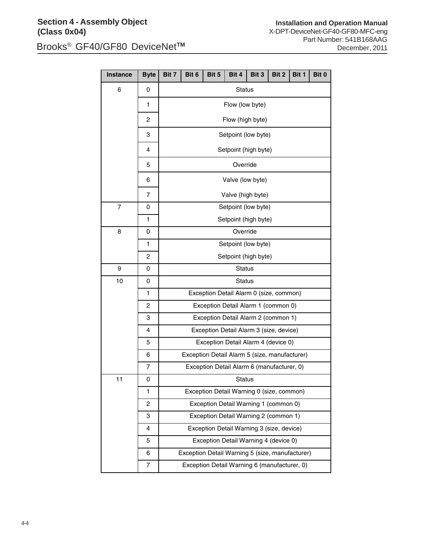| <b>Instance</b> | <b>Byte</b> | Bit 7 | Bit 6                | Bit 5                                           | Bit 4                | Bit 3 | Bit 2 | Bit 1 | Bit 0 |  |  |  |
|-----------------|-------------|-------|----------------------|-------------------------------------------------|----------------------|-------|-------|-------|-------|--|--|--|
| 6               | 0           |       |                      |                                                 | <b>Status</b>        |       |       |       |       |  |  |  |
|                 | 1           |       |                      |                                                 | Flow (low byte)      |       |       |       |       |  |  |  |
|                 | 2           |       |                      |                                                 | Flow (high byte)     |       |       |       |       |  |  |  |
|                 | 3           |       | Setpoint (low byte)  |                                                 |                      |       |       |       |       |  |  |  |
|                 | 4           |       | Setpoint (high byte) |                                                 |                      |       |       |       |       |  |  |  |
|                 | 5           |       |                      |                                                 | Override             |       |       |       |       |  |  |  |
|                 | 6           |       | Valve (low byte)     |                                                 |                      |       |       |       |       |  |  |  |
|                 | 7           |       | Valve (high byte)    |                                                 |                      |       |       |       |       |  |  |  |
| $\overline{7}$  | 0           |       | Setpoint (low byte)  |                                                 |                      |       |       |       |       |  |  |  |
|                 | 1           |       |                      |                                                 | Setpoint (high byte) |       |       |       |       |  |  |  |
| 8               | 0           |       |                      |                                                 | Override             |       |       |       |       |  |  |  |
|                 | 1           |       |                      |                                                 | Setpoint (low byte)  |       |       |       |       |  |  |  |
|                 | 2           |       |                      |                                                 | Setpoint (high byte) |       |       |       |       |  |  |  |
| 9               | 0           |       |                      |                                                 | <b>Status</b>        |       |       |       |       |  |  |  |
| 10              | 0           |       |                      |                                                 | <b>Status</b>        |       |       |       |       |  |  |  |
|                 | 1           |       |                      | Exception Detail Alarm 0 (size, common)         |                      |       |       |       |       |  |  |  |
|                 | 2           |       |                      | Exception Detail Alarm 1 (common 0)             |                      |       |       |       |       |  |  |  |
|                 | 3           |       |                      | Exception Detail Alarm 2 (common 1)             |                      |       |       |       |       |  |  |  |
|                 | 4           |       |                      | Exception Detail Alarm 3 (size, device)         |                      |       |       |       |       |  |  |  |
|                 | 5           |       |                      | Exception Detail Alarm 4 (device 0)             |                      |       |       |       |       |  |  |  |
|                 | 6           |       |                      | Exception Detail Alarm 5 (size, manufacturer)   |                      |       |       |       |       |  |  |  |
|                 | 7           |       |                      | Exception Detail Alarm 6 (manufacturer, 0)      |                      |       |       |       |       |  |  |  |
| 11              | 0           |       |                      |                                                 | Status               |       |       |       |       |  |  |  |
|                 | 1           |       |                      | Exception Detail Warning 0 (size, common)       |                      |       |       |       |       |  |  |  |
|                 | 2           |       |                      | Exception Detail Warning 1 (common 0)           |                      |       |       |       |       |  |  |  |
|                 | 3           |       |                      | Exception Detail Warning 2 (common 1)           |                      |       |       |       |       |  |  |  |
|                 | 4           |       |                      | Exception Detail Warning 3 (size, device)       |                      |       |       |       |       |  |  |  |
|                 | 5           |       |                      | Exception Detail Warning 4 (device 0)           |                      |       |       |       |       |  |  |  |
|                 | 6           |       |                      | Exception Detail Warning 5 (size, manufacturer) |                      |       |       |       |       |  |  |  |
|                 | 7           |       |                      | Exception Detail Warning 6 (manufacturer, 0)    |                      |       |       |       |       |  |  |  |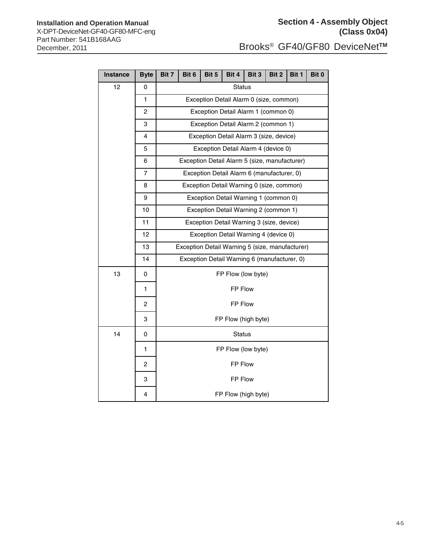| <b>Instance</b> | <b>Byte</b>    | Bit 7 | Bit 6                                      | Bit 5 | Bit 4                                           | Bit 3 | Bit 2 | Bit 1 | Bit 0 |  |  |  |
|-----------------|----------------|-------|--------------------------------------------|-------|-------------------------------------------------|-------|-------|-------|-------|--|--|--|
| 12              | 0              |       |                                            |       | <b>Status</b>                                   |       |       |       |       |  |  |  |
|                 | 1              |       |                                            |       | Exception Detail Alarm 0 (size, common)         |       |       |       |       |  |  |  |
|                 | $\overline{c}$ |       |                                            |       | Exception Detail Alarm 1 (common 0)             |       |       |       |       |  |  |  |
|                 | 3              |       | Exception Detail Alarm 2 (common 1)        |       |                                                 |       |       |       |       |  |  |  |
|                 | 4              |       | Exception Detail Alarm 3 (size, device)    |       |                                                 |       |       |       |       |  |  |  |
|                 | 5              |       | Exception Detail Alarm 4 (device 0)        |       |                                                 |       |       |       |       |  |  |  |
|                 | 6              |       |                                            |       | Exception Detail Alarm 5 (size, manufacturer)   |       |       |       |       |  |  |  |
|                 | 7              |       | Exception Detail Alarm 6 (manufacturer, 0) |       |                                                 |       |       |       |       |  |  |  |
|                 | 8              |       | Exception Detail Warning 0 (size, common)  |       |                                                 |       |       |       |       |  |  |  |
|                 | 9              |       |                                            |       | Exception Detail Warning 1 (common 0)           |       |       |       |       |  |  |  |
|                 | 10             |       |                                            |       | Exception Detail Warning 2 (common 1)           |       |       |       |       |  |  |  |
|                 | 11             |       |                                            |       | Exception Detail Warning 3 (size, device)       |       |       |       |       |  |  |  |
|                 | 12             |       |                                            |       | Exception Detail Warning 4 (device 0)           |       |       |       |       |  |  |  |
|                 | 13             |       |                                            |       | Exception Detail Warning 5 (size, manufacturer) |       |       |       |       |  |  |  |
|                 | 14             |       |                                            |       | Exception Detail Warning 6 (manufacturer, 0)    |       |       |       |       |  |  |  |
| 13              | 0              |       |                                            |       | FP Flow (low byte)                              |       |       |       |       |  |  |  |
|                 | 1              |       |                                            |       | FP Flow                                         |       |       |       |       |  |  |  |
|                 | 2              |       |                                            |       | FP Flow                                         |       |       |       |       |  |  |  |
|                 | 3              |       |                                            |       | FP Flow (high byte)                             |       |       |       |       |  |  |  |
| 14              | 0              |       |                                            |       | <b>Status</b>                                   |       |       |       |       |  |  |  |
|                 | 1              |       |                                            |       | FP Flow (low byte)                              |       |       |       |       |  |  |  |
|                 | $\overline{c}$ |       |                                            |       | FP Flow                                         |       |       |       |       |  |  |  |
|                 | 3              |       |                                            |       | FP Flow                                         |       |       |       |       |  |  |  |
|                 | 4              |       |                                            |       | FP Flow (high byte)                             |       |       |       |       |  |  |  |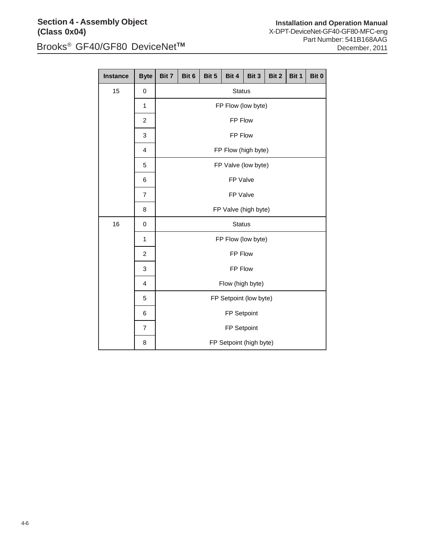| <b>Instance</b> | <b>Byte</b>    | Bit 7                  | Bit 6                                      | Bit 5 | Bit 4                   | Bit 3 | Bit 2 | Bit 1 | Bit 0 |  |  |  |
|-----------------|----------------|------------------------|--------------------------------------------|-------|-------------------------|-------|-------|-------|-------|--|--|--|
| 15              | 0              |                        |                                            |       | <b>Status</b>           |       |       |       |       |  |  |  |
|                 | 1              |                        |                                            |       | FP Flow (low byte)      |       |       |       |       |  |  |  |
|                 | 2              |                        | FP Flow                                    |       |                         |       |       |       |       |  |  |  |
|                 | 3              |                        | FP Flow                                    |       |                         |       |       |       |       |  |  |  |
|                 | $\overline{4}$ |                        | FP Flow (high byte)<br>FP Valve (low byte) |       |                         |       |       |       |       |  |  |  |
|                 | 5              |                        |                                            |       |                         |       |       |       |       |  |  |  |
|                 | 6              |                        |                                            |       | FP Valve                |       |       |       |       |  |  |  |
|                 | $\overline{7}$ |                        |                                            |       | FP Valve                |       |       |       |       |  |  |  |
|                 | 8              |                        |                                            |       | FP Valve (high byte)    |       |       |       |       |  |  |  |
| 16              | 0              |                        |                                            |       | <b>Status</b>           |       |       |       |       |  |  |  |
|                 | 1              |                        |                                            |       | FP Flow (low byte)      |       |       |       |       |  |  |  |
|                 | $\overline{c}$ |                        |                                            |       | FP Flow                 |       |       |       |       |  |  |  |
|                 | 3              |                        |                                            |       | FP Flow                 |       |       |       |       |  |  |  |
|                 | 4              |                        |                                            |       | Flow (high byte)        |       |       |       |       |  |  |  |
|                 | 5              | FP Setpoint (low byte) |                                            |       |                         |       |       |       |       |  |  |  |
|                 | 6              |                        |                                            |       |                         |       |       |       |       |  |  |  |
|                 | 7              | FP Setpoint            |                                            |       |                         |       |       |       |       |  |  |  |
|                 | 8              |                        |                                            |       | FP Setpoint (high byte) |       |       |       |       |  |  |  |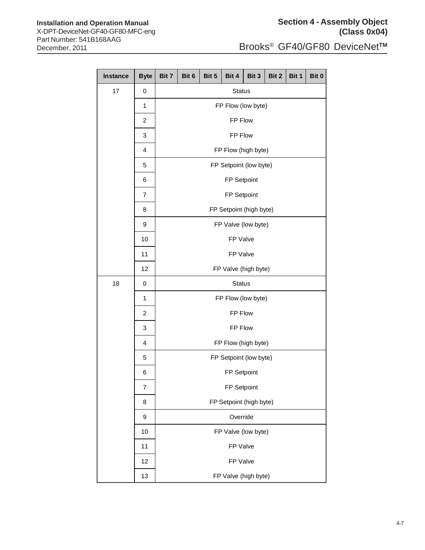| <b>Instance</b> | <b>Byte</b>             | Bit 7 | Bit 6                   | Bit 5 | Bit 4                   | Bit 3 | Bit 2 | Bit 1 | Bit 0 |  |  |  |
|-----------------|-------------------------|-------|-------------------------|-------|-------------------------|-------|-------|-------|-------|--|--|--|
| 17              | 0                       |       |                         |       | <b>Status</b>           |       |       |       |       |  |  |  |
|                 | 1                       |       |                         |       | FP Flow (low byte)      |       |       |       |       |  |  |  |
|                 | $\overline{c}$          |       |                         |       | FP Flow                 |       |       |       |       |  |  |  |
|                 | 3                       |       | FP Flow                 |       |                         |       |       |       |       |  |  |  |
|                 | 4                       |       | FP Flow (high byte)     |       |                         |       |       |       |       |  |  |  |
|                 | 5                       |       | FP Setpoint (low byte)  |       |                         |       |       |       |       |  |  |  |
|                 | 6                       |       | FP Setpoint             |       |                         |       |       |       |       |  |  |  |
|                 | $\overline{7}$          |       | FP Setpoint             |       |                         |       |       |       |       |  |  |  |
|                 | 8                       |       | FP Setpoint (high byte) |       |                         |       |       |       |       |  |  |  |
|                 | 9                       |       |                         |       | FP Valve (low byte)     |       |       |       |       |  |  |  |
|                 | 10                      |       |                         |       | FP Valve                |       |       |       |       |  |  |  |
|                 | 11                      |       |                         |       | FP Valve                |       |       |       |       |  |  |  |
|                 | 12                      |       |                         |       | FP Valve (high byte)    |       |       |       |       |  |  |  |
| 18              | 0                       |       |                         |       | <b>Status</b>           |       |       |       |       |  |  |  |
|                 | $\mathbf 1$             |       |                         |       | FP Flow (low byte)      |       |       |       |       |  |  |  |
|                 | $\overline{\mathbf{c}}$ |       |                         |       | FP Flow                 |       |       |       |       |  |  |  |
|                 | 3                       |       |                         |       | FP Flow                 |       |       |       |       |  |  |  |
|                 | 4                       |       |                         |       | FP Flow (high byte)     |       |       |       |       |  |  |  |
|                 | 5                       |       |                         |       | FP Setpoint (low byte)  |       |       |       |       |  |  |  |
|                 | 6                       |       |                         |       | FP Setpoint             |       |       |       |       |  |  |  |
|                 | $\overline{7}$          |       |                         |       | FP Setpoint             |       |       |       |       |  |  |  |
|                 | 8                       |       |                         |       | FP Setpoint (high byte) |       |       |       |       |  |  |  |
|                 | 9                       |       |                         |       | Override                |       |       |       |       |  |  |  |
|                 | 10                      |       |                         |       | FP Valve (low byte)     |       |       |       |       |  |  |  |
|                 | 11                      |       |                         |       | FP Valve                |       |       |       |       |  |  |  |
|                 | 12                      |       | FP Valve                |       |                         |       |       |       |       |  |  |  |
|                 | 13                      |       |                         |       | FP Valve (high byte)    |       |       |       |       |  |  |  |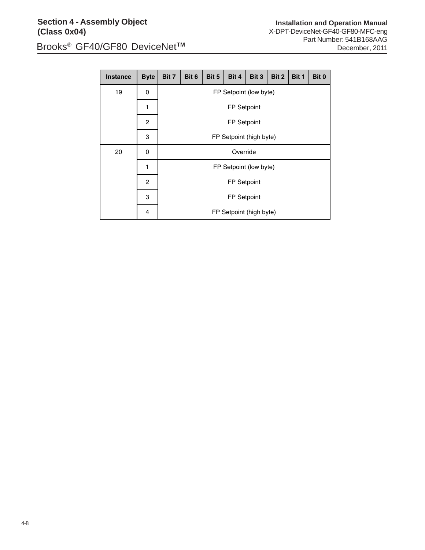| <b>Instance</b> | <b>Byte</b>    | Bit 7                   | Bit 6                  | Bit 5 | Bit 4                   | Bit 3 | Bit 2 | Bit 1 | Bit 0 |  |  |
|-----------------|----------------|-------------------------|------------------------|-------|-------------------------|-------|-------|-------|-------|--|--|
| 19              | 0              |                         | FP Setpoint (low byte) |       |                         |       |       |       |       |  |  |
|                 | 1              |                         | FP Setpoint            |       |                         |       |       |       |       |  |  |
|                 | $\overline{c}$ | FP Setpoint             |                        |       |                         |       |       |       |       |  |  |
|                 | 3              |                         |                        |       | FP Setpoint (high byte) |       |       |       |       |  |  |
| 20              | 0              |                         |                        |       | Override                |       |       |       |       |  |  |
|                 | 1              |                         |                        |       | FP Setpoint (low byte)  |       |       |       |       |  |  |
|                 | $\overline{c}$ |                         |                        |       | FP Setpoint             |       |       |       |       |  |  |
|                 | 3              |                         | FP Setpoint            |       |                         |       |       |       |       |  |  |
|                 | 4              | FP Setpoint (high byte) |                        |       |                         |       |       |       |       |  |  |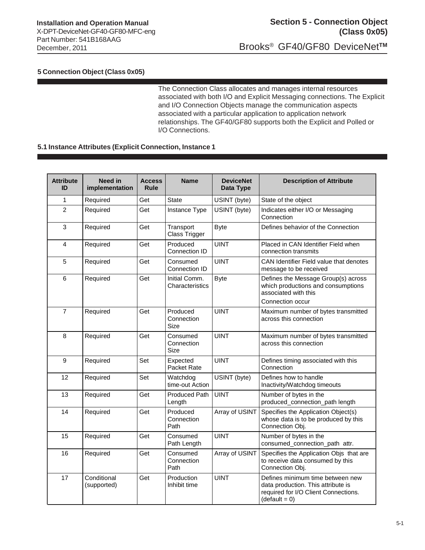### **5 Connection Object (Class 0x05)**

The Connection Class allocates and manages internal resources associated with both I/O and Explicit Messaging connections. The Explicit and I/O Connection Objects manage the communication aspects associated with a particular application to application network relationships. The GF40/GF80 supports both the Explicit and Polled or I/O Connections.

### **5.1 Instance Attributes (Explicit Connection, Instance 1**

| <b>Attribute</b><br>ID | <b>Need in</b><br>implementation | <b>Access</b><br><b>Rule</b> | <b>Name</b>                               | <b>DeviceNet</b><br>Data Type | <b>Description of Attribute</b>                                                                                                   |  |
|------------------------|----------------------------------|------------------------------|-------------------------------------------|-------------------------------|-----------------------------------------------------------------------------------------------------------------------------------|--|
| 1                      | Required                         | Get                          | <b>State</b>                              | USINT (byte)                  | State of the object                                                                                                               |  |
| $\overline{c}$         | Required                         | Get                          | Instance Type                             | USINT (byte)                  | Indicates either I/O or Messaging<br>Connection                                                                                   |  |
| 3                      | Required                         | Get                          | Transport<br><b>Byte</b><br>Class Trigger |                               | Defines behavior of the Connection                                                                                                |  |
| 4                      | Required                         | Get                          | <b>UINT</b><br>Produced<br>Connection ID  |                               | Placed in CAN Identifier Field when<br>connection transmits                                                                       |  |
| 5                      | Required                         | Get                          | Consumed<br>Connection ID                 | <b>UINT</b>                   | CAN Identifier Field value that denotes<br>message to be received                                                                 |  |
| 6                      | Required                         | Get                          | Initial Comm.<br>Characteristics          | <b>Byte</b>                   | Defines the Message Group(s) across<br>which productions and consumptions<br>associated with this<br>Connection occur             |  |
| $\overline{7}$         | Required                         | Get                          | Produced<br>Connection<br><b>Size</b>     | <b>UINT</b>                   | Maximum number of bytes transmitted<br>across this connection                                                                     |  |
| 8                      | Required                         | Get                          | Consumed<br>Connection<br><b>Size</b>     | <b>UINT</b>                   | Maximum number of bytes transmitted<br>across this connection                                                                     |  |
| 9                      | Required                         | Set                          | Expected<br>Packet Rate                   | <b>UINT</b>                   | Defines timing associated with this<br>Connection                                                                                 |  |
| 12                     | Required                         | Set                          | Watchdog<br>time-out Action               | USINT (byte)                  | Defines how to handle<br>Inactivity/Watchdog timeouts                                                                             |  |
| 13                     | Required                         | Get                          | <b>Produced Path</b><br>Length            | <b>UINT</b>                   | Number of bytes in the<br>produced_connection_path length                                                                         |  |
| 14                     | Required                         | Get                          | Produced<br>Connection<br>Path            | Array of USINT                | Specifies the Application Object(s)<br>whose data is to be produced by this<br>Connection Obj.                                    |  |
| 15                     | Required                         | Get                          | Consumed<br>Path Length                   | <b>UINT</b>                   | Number of bytes in the<br>consumed_connection_path attr.                                                                          |  |
| 16                     | Required                         | Get                          | Consumed<br>Connection<br>Path            | Array of USINT                | Specifies the Application Objs that are<br>to receive data consumed by this<br>Connection Obj.                                    |  |
| 17                     | Conditional<br>(supported)       | Get                          | Production<br>Inhibit time                | <b>UINT</b>                   | Defines minimum time between new<br>data production. This attribute is<br>required for I/O Client Connections.<br>$(detault = 0)$ |  |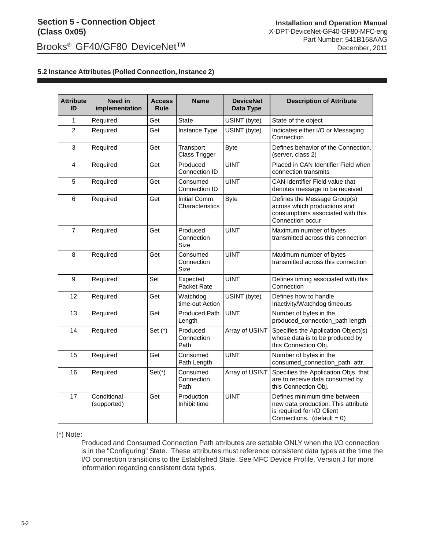### **5.2 Instance Attributes (Polled Connection, Instance 2)**

| <b>Attribute</b><br>ID | <b>Need in</b><br>implementation | <b>Access</b><br><b>Rule</b> | <b>Name</b>                      | <b>DeviceNet</b><br>Data Type | <b>Description of Attribute</b>                                                                                                    |
|------------------------|----------------------------------|------------------------------|----------------------------------|-------------------------------|------------------------------------------------------------------------------------------------------------------------------------|
| 1                      | Required                         | Get                          | <b>State</b>                     | USINT (byte)                  | State of the object                                                                                                                |
| $\overline{2}$         | Required                         | Get                          | Instance Type                    | USINT (byte)                  | Indicates either I/O or Messaging<br>Connection                                                                                    |
| 3                      | Required                         | Get                          | Transport<br>Class Trigger       | <b>Byte</b>                   | Defines behavior of the Connection,<br>(server, class 2)                                                                           |
| 4                      | Required                         | Get                          | Produced<br>Connection ID        | <b>UINT</b>                   | Placed in CAN Identifier Field when<br>connection transmits                                                                        |
| 5                      | Required                         | Get                          | Consumed<br>Connection ID        | <b>UINT</b>                   | CAN Identifier Field value that<br>denotes message to be received                                                                  |
| 6                      | Required                         | Get                          | Initial Comm.<br>Characteristics | <b>Byte</b>                   | Defines the Message Group(s)<br>across which productions and<br>consumptions associated with this<br>Connection occur              |
| $\overline{7}$         | Required                         | Get                          | Produced<br>Connection<br>Size   | <b>UINT</b>                   | Maximum number of bytes<br>transmitted across this connection                                                                      |
| 8                      | Required                         | Get                          | Consumed<br>Connection<br>Size   | <b>UINT</b>                   | Maximum number of bytes<br>transmitted across this connection                                                                      |
| 9                      | Required                         | Set                          | Expected<br>Packet Rate          | <b>UINT</b>                   | Defines timing associated with this<br>Connection                                                                                  |
| 12                     | Required                         | Get                          | Watchdog<br>time-out Action      | USINT (byte)                  | Defines how to handle<br>Inactivity/Watchdog timeouts                                                                              |
| 13                     | Required                         | Get                          | <b>Produced Path</b><br>Length   | <b>UINT</b>                   | Number of bytes in the<br>produced_connection_path length                                                                          |
| 14                     | Required                         | Set $(*)$                    | Produced<br>Connection<br>Path   | Array of USINT                | Specifies the Application Object(s)<br>whose data is to be produced by<br>this Connection Obj.                                     |
| 15                     | Required                         | Get                          | Consumed<br>Path Length          | <b>UINT</b>                   | Number of bytes in the<br>consumed_connection_path attr.                                                                           |
| 16                     | Required                         | $Set(*)$                     | Consumed<br>Connection<br>Path   | Array of USINT                | Specifies the Application Objs that<br>are to receive data consumed by<br>this Connection Obj.                                     |
| 17                     | Conditional<br>(supported)       | Get                          | Production<br>Inhibit time       | <b>UINT</b>                   | Defines minimum time between<br>new data production. This attribute<br>is required for I/O Client<br>Connections. (default = $0$ ) |

(\*) Note:

Produced and Consumed Connection Path attributes are settable ONLY when the I/O connection is in the "Configuring" State. These attributes must reference consistent data types at the time the I/O connection transitions to the Established State. See MFC Device Profile, Version J for more information regarding consistent data types.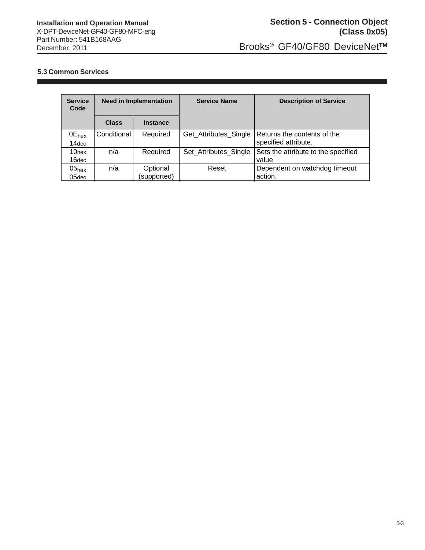### **5.3 Common Services**

| <b>Service</b><br>Code          | <b>Need in Implementation</b> |                         | <b>Service Name</b>   | <b>Description of Service</b>                       |
|---------------------------------|-------------------------------|-------------------------|-----------------------|-----------------------------------------------------|
|                                 | <b>Class</b>                  | <b>Instance</b>         |                       |                                                     |
| $0E_{hex}$<br>14 <sub>dec</sub> | Conditional                   | Required                | Get_Attributes_Single | Returns the contents of the<br>specified attribute. |
| 10 <sub>hex</sub><br>16dec      | n/a                           | Required                | Set_Attributes_Single | Sets the attribute to the specified<br>value        |
| 05 <sub>hex</sub><br>$05$ dec   | n/a                           | Optional<br>(supported) | Reset                 | Dependent on watchdog timeout<br>action.            |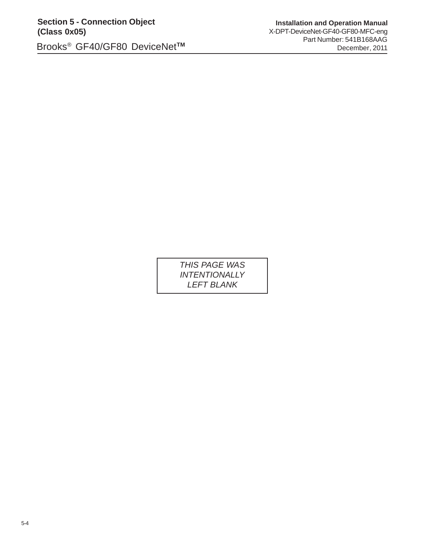*THIS PAGE WAS INTENTIONALLY LEFT BLANK*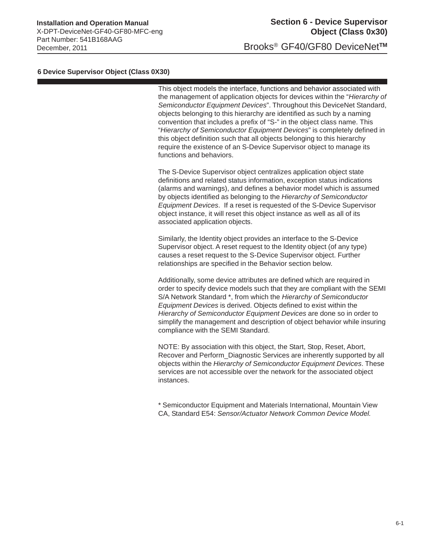### **6 Device Supervisor Object (Class 0X30)**

This object models the interface, functions and behavior associated with the management of application objects for devices within the "*Hierarchy of Semiconductor Equipment Devices*". Throughout this DeviceNet Standard, objects belonging to this hierarchy are identified as such by a naming convention that includes a prefix of "S-" in the object class name. This "*Hierarchy of Semiconductor Equipment Devices*" is completely defined in this object definition such that all objects belonging to this hierarchy require the existence of an S-Device Supervisor object to manage its functions and behaviors.

The S-Device Supervisor object centralizes application object state definitions and related status information, exception status indications (alarms and warnings), and defines a behavior model which is assumed by objects identified as belonging to the *Hierarchy of Semiconductor Equipment Devices*. If a reset is requested of the S-Device Supervisor object instance, it will reset this object instance as well as all of its associated application objects.

Similarly, the Identity object provides an interface to the S-Device Supervisor object. A reset request to the Identity object (of any type) causes a reset request to the S-Device Supervisor object. Further relationships are specified in the Behavior section below.

Additionally, some device attributes are defined which are required in order to specify device models such that they are compliant with the SEMI S/A Network Standard \*, from which the *Hierarchy of Semiconductor Equipment Devices* is derived. Objects defined to exist within the *Hierarchy of Semiconductor Equipment Devices* are done so in order to simplify the management and description of object behavior while insuring compliance with the SEMI Standard.

NOTE: By association with this object, the Start, Stop, Reset, Abort, Recover and Perform\_Diagnostic Services are inherently supported by all objects within the *Hierarchy of Semiconductor Equipment Devices*. These services are not accessible over the network for the associated object instances.

\* Semiconductor Equipment and Materials International, Mountain View CA, Standard E54: *Sensor/Actuator Network Common Device Model.*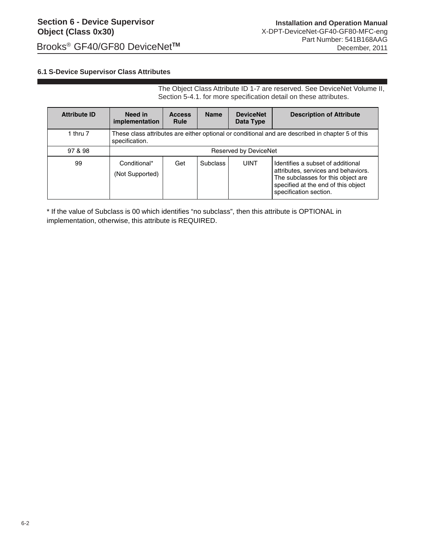### **6.1 S-Device Supervisor Class Attributes**

The Object Class Attribute ID 1-7 are reserved. See DeviceNet Volume II, Section 5-4.1. for more specification detail on these attributes.

| <b>Attribute ID</b> | Need in<br>implementation                                                                                          | <b>Access</b><br><b>Rule</b> | <b>Name</b>     | <b>DeviceNet</b><br>Data Type | <b>Description of Attribute</b>                                                                                                                                                 |
|---------------------|--------------------------------------------------------------------------------------------------------------------|------------------------------|-----------------|-------------------------------|---------------------------------------------------------------------------------------------------------------------------------------------------------------------------------|
| 1 thru 7            | These class attributes are either optional or conditional and are described in chapter 5 of this<br>specification. |                              |                 |                               |                                                                                                                                                                                 |
| 97 & 98             | Reserved by DeviceNet                                                                                              |                              |                 |                               |                                                                                                                                                                                 |
| 99                  | Conditional*<br>(Not Supported)                                                                                    | Get                          | <b>Subclass</b> | <b>UINT</b>                   | Identifies a subset of additional<br>attributes, services and behaviors.<br>The subclasses for this object are<br>specified at the end of this object<br>specification section. |

\* If the value of Subclass is 00 which identifies "no subclass", then this attribute is OPTIONAL in implementation, otherwise, this attribute is REQUIRED.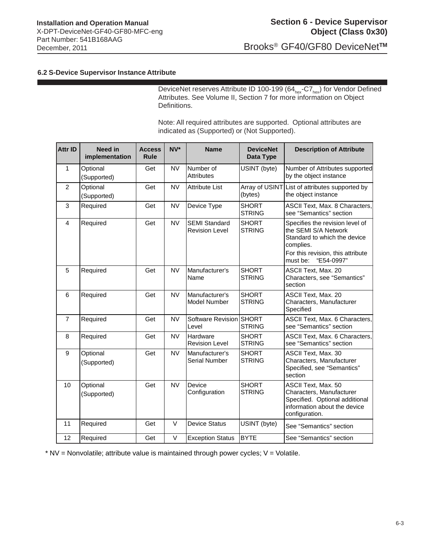### **6.2 S-Device Supervisor Instance Attribute**

DeviceNet reserves Attribute ID 100-199 (64<sub>hex</sub>-C7<sub>hex</sub>) for Vendor Defined Attributes. See Volume II, Section 7 for more information on Object Definitions.

Note: All required attributes are supported. Optional attributes are indicated as (Supported) or (Not Supported).

| <b>Attr ID</b> | <b>Need in</b><br>implementation | <b>Access</b><br><b>Rule</b> | NV*       | <b>Name</b>                                   | <b>DeviceNet</b><br>Data Type | <b>Description of Attribute</b>                                                                                                                                     |
|----------------|----------------------------------|------------------------------|-----------|-----------------------------------------------|-------------------------------|---------------------------------------------------------------------------------------------------------------------------------------------------------------------|
| 1              | Optional<br>(Supported)          | Get                          | <b>NV</b> | Number of<br><b>Attributes</b>                | USINT (byte)                  | Number of Attributes supported<br>by the object instance                                                                                                            |
| $\overline{2}$ | Optional<br>(Supported)          | Get                          | <b>NV</b> | <b>Attribute List</b>                         | (bytes)                       | Array of USINT List of attributes supported by<br>the object instance                                                                                               |
| 3              | Required                         | Get                          | <b>NV</b> | Device Type                                   | <b>SHORT</b><br><b>STRING</b> | ASCII Text, Max. 8 Characters,<br>see "Semantics" section                                                                                                           |
| $\overline{4}$ | Required                         | Get                          | <b>NV</b> | <b>SEMI Standard</b><br><b>Revision Level</b> | <b>SHORT</b><br><b>STRING</b> | Specifies the revision level of<br>the SEMI S/A Network<br>Standard to which the device<br>complies.<br>For this revision, this attribute<br>"E54-0997"<br>must be: |
| 5              | Required                         | Get                          | <b>NV</b> | Manufacturer's<br>Name                        | <b>SHORT</b><br><b>STRING</b> | ASCII Text, Max. 20<br>Characters, see "Semantics"<br>section                                                                                                       |
| 6              | Required                         | Get                          | <b>NV</b> | Manufacturer's<br>Model Number                | <b>SHORT</b><br><b>STRING</b> | ASCII Text, Max. 20<br>Characters, Manufacturer<br>Specified                                                                                                        |
| $\overline{7}$ | Required                         | Get                          | <b>NV</b> | Software Revision SHORT<br>Level              | <b>STRING</b>                 | ASCII Text, Max. 6 Characters,<br>see "Semantics" section                                                                                                           |
| 8              | Required                         | Get                          | <b>NV</b> | Hardware<br><b>Revision Level</b>             | <b>SHORT</b><br><b>STRING</b> | ASCII Text, Max. 6 Characters,<br>see "Semantics" section                                                                                                           |
| 9              | Optional<br>(Supported)          | Get                          | <b>NV</b> | Manufacturer's<br>Serial Number               | <b>SHORT</b><br><b>STRING</b> | ASCII Text, Max. 30<br>Characters, Manufacturer<br>Specified, see "Semantics"<br>section                                                                            |
| 10             | Optional<br>(Supported)          | Get                          | <b>NV</b> | Device<br>Configuration                       | <b>SHORT</b><br><b>STRING</b> | ASCII Text, Max. 50<br>Characters, Manufacturer<br>Specified. Optional additional<br>information about the device<br>configuration.                                 |
| 11             | Required                         | Get                          | $\vee$    | <b>Device Status</b>                          | USINT (byte)                  | See "Semantics" section                                                                                                                                             |
| 12             | Required                         | Get                          | $\vee$    | <b>Exception Status</b>                       | <b>BYTE</b>                   | See "Semantics" section                                                                                                                                             |

 $*$  NV = Nonvolatile; attribute value is maintained through power cycles; V = Volatile.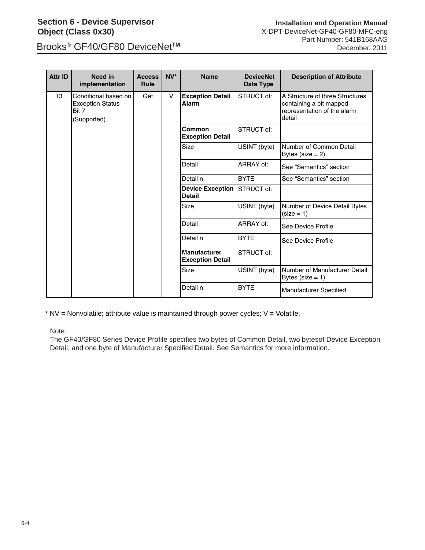### **Section 6 - Device Supervisor Object (Class 0x30)**

Brooks® GF40/GF80 DeviceNet**TM**

| Attr ID | Need in<br>implementation                                               | <b>Access</b><br><b>Rule</b> | $NV^*$ | <b>Name</b>                                    | <b>DeviceNet</b><br>Data Type | <b>Description of Attribute</b>                                                                     |
|---------|-------------------------------------------------------------------------|------------------------------|--------|------------------------------------------------|-------------------------------|-----------------------------------------------------------------------------------------------------|
| 13      | Conditional based on<br><b>Exception Status</b><br>Bit 7<br>(Supported) | Get                          | V      | <b>Exception Detail</b><br><b>Alarm</b>        | STRUCT of:                    | A Structure of three Structures<br>containing a bit mapped<br>representation of the alarm<br>detail |
|         |                                                                         |                              |        | Common<br><b>Exception Detail</b>              | STRUCT of:                    |                                                                                                     |
|         |                                                                         |                              |        | Size                                           | USINT (byte)                  | Number of Common Detail<br>Bytes (size $= 2$ )                                                      |
|         |                                                                         |                              |        | Detail                                         | ARRAY of:                     | See "Semantics" section                                                                             |
|         |                                                                         |                              |        | Detail n                                       | <b>BYTE</b>                   | See "Semantics" section                                                                             |
|         |                                                                         |                              |        | <b>Device Exception</b><br><b>Detail</b>       | STRUCT of:                    |                                                                                                     |
|         |                                                                         |                              |        | Size                                           | USINT (byte)                  | Number of Device Detail Bytes<br>$(size = 1)$                                                       |
|         |                                                                         |                              |        | Detail                                         | ARRAY of:                     | See Device Profile                                                                                  |
|         |                                                                         |                              |        | Detail n                                       | <b>BYTE</b>                   | See Device Profile                                                                                  |
|         |                                                                         |                              |        | <b>Manufacturer</b><br><b>Exception Detail</b> | STRUCT of:                    |                                                                                                     |
|         |                                                                         |                              |        | Size                                           | USINT (byte)                  | Number of Manufacturer Detail<br>Bytes (size $= 1$ )                                                |
|         |                                                                         |                              |        | Detail n                                       | <b>BYTE</b>                   | Manufacturer Specified                                                                              |

 $*$  NV = Nonvolatile; attribute value is maintained through power cycles; V = Volatile.

Note:

The GF40/GF80 Series Device Profile specifies two bytes of Common Detail, two bytesof Device Exception Detail, and one byte of Manufacturer Specified Detail. See Semantics for more information.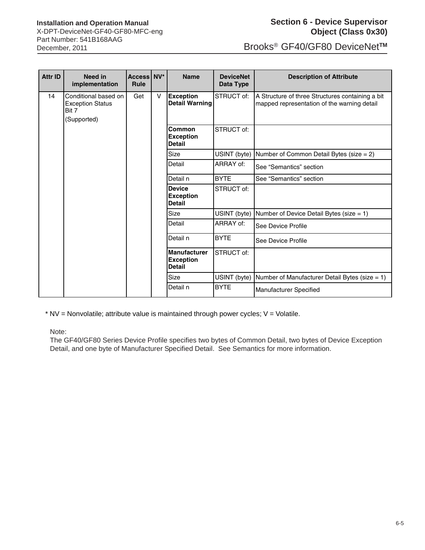| Attr ID | <b>Need in</b><br>implementation                                        | Access NV*<br><b>Rule</b> |   | <b>Name</b>                                              | <b>DeviceNet</b><br>Data Type | <b>Description of Attribute</b>                                                                 |
|---------|-------------------------------------------------------------------------|---------------------------|---|----------------------------------------------------------|-------------------------------|-------------------------------------------------------------------------------------------------|
| 14      | Conditional based on<br><b>Exception Status</b><br>Bit 7<br>(Supported) | Get                       | V | <b>Exception</b><br><b>Detail Warning</b>                | STRUCT of:                    | A Structure of three Structures containing a bit<br>mapped representation of the warning detail |
|         |                                                                         |                           |   | <b>Common</b><br><b>Exception</b><br><b>Detail</b>       | STRUCT of:                    |                                                                                                 |
|         |                                                                         |                           |   | Size                                                     | USINT (byte)                  | Number of Common Detail Bytes (size $= 2$ )                                                     |
|         |                                                                         |                           |   | Detail                                                   | ARRAY of:                     | See "Semantics" section                                                                         |
|         |                                                                         |                           |   | Detail n                                                 | <b>BYTE</b>                   | See "Semantics" section                                                                         |
|         |                                                                         |                           |   | <b>Device</b><br><b>Exception</b><br><b>Detail</b>       | STRUCT of:                    |                                                                                                 |
|         |                                                                         |                           |   | <b>Size</b>                                              | USINT (byte)                  | Number of Device Detail Bytes (size = 1)                                                        |
|         |                                                                         |                           |   | Detail                                                   | ARRAY of:                     | See Device Profile                                                                              |
|         |                                                                         |                           |   | Detail n                                                 | <b>BYTE</b>                   | See Device Profile                                                                              |
|         |                                                                         |                           |   | <b>Manufacturer</b><br><b>Exception</b><br><b>Detail</b> | STRUCT of:                    |                                                                                                 |
|         |                                                                         |                           |   | Size                                                     | USINT (byte)                  | Number of Manufacturer Detail Bytes (size = 1)                                                  |
|         |                                                                         |                           |   | Detail n                                                 | <b>BYTE</b>                   | <b>Manufacturer Specified</b>                                                                   |

 $*$  NV = Nonvolatile; attribute value is maintained through power cycles; V = Volatile.

Note:

The GF40/GF80 Series Device Profile specifies two bytes of Common Detail, two bytes of Device Exception Detail, and one byte of Manufacturer Specified Detail. See Semantics for more information.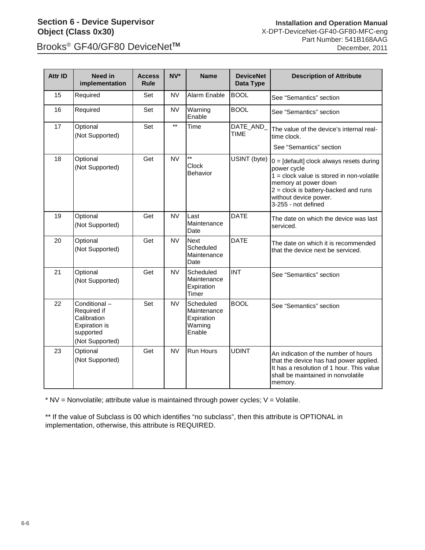| Attr ID | <b>Need in</b><br>implementation                                                            | <b>Access</b><br><b>Rule</b> | NV*          | <b>Name</b>                                                 | <b>DeviceNet</b><br>Data Type | <b>Description of Attribute</b>                                                                                                                                                                                            |
|---------|---------------------------------------------------------------------------------------------|------------------------------|--------------|-------------------------------------------------------------|-------------------------------|----------------------------------------------------------------------------------------------------------------------------------------------------------------------------------------------------------------------------|
| 15      | Required                                                                                    | Set                          | <b>NV</b>    | Alarm Enable                                                | <b>BOOL</b>                   | See "Semantics" section                                                                                                                                                                                                    |
| 16      | Required                                                                                    | Set                          | <b>NV</b>    | Warning<br>Enable                                           | <b>BOOL</b>                   | See "Semantics" section                                                                                                                                                                                                    |
| 17      | Optional<br>(Not Supported)                                                                 | Set                          | $\star\star$ | Time                                                        | DATE_AND_<br><b>TIME</b>      | The value of the device's internal real-<br>time clock.<br>See "Semantics" section                                                                                                                                         |
| 18      | Optional<br>(Not Supported)                                                                 | Get                          | <b>NV</b>    | $\star\star$<br><b>Clock</b><br>Behavior                    | USINT (byte)                  | $0 =$ [default] clock always resets during<br>power cycle<br>$1 =$ clock value is stored in non-volatile<br>memory at power down<br>$2 =$ clock is battery-backed and runs<br>without device power.<br>3-255 - not defined |
| 19      | Optional<br>(Not Supported)                                                                 | Get                          | <b>NV</b>    | Last<br>Maintenance<br>Date                                 | <b>DATE</b>                   | The date on which the device was last<br>serviced.                                                                                                                                                                         |
| 20      | Optional<br>(Not Supported)                                                                 | Get                          | <b>NV</b>    | Next<br>Scheduled<br>Maintenance<br>Date                    | <b>DATE</b>                   | The date on which it is recommended<br>that the device next be serviced.                                                                                                                                                   |
| 21      | Optional<br>(Not Supported)                                                                 | Get                          | <b>NV</b>    | Scheduled<br>Maintenance<br>Expiration<br>Timer             | <b>INT</b>                    | See "Semantics" section                                                                                                                                                                                                    |
| 22      | Conditional-<br>Required if<br>Calibration<br>Expiration is<br>supported<br>(Not Supported) | Set                          | <b>NV</b>    | Scheduled<br>Maintenance<br>Expiration<br>Warning<br>Enable | <b>BOOL</b>                   | See "Semantics" section                                                                                                                                                                                                    |
| 23      | Optional<br>(Not Supported)                                                                 | Get                          | <b>NV</b>    | <b>Run Hours</b>                                            | <b>UDINT</b>                  | An indication of the number of hours<br>that the device has had power applied.<br>It has a resolution of 1 hour. This value<br>shall be maintained in nonvolatile<br>memory.                                               |

 $*$  NV = Nonvolatile; attribute value is maintained through power cycles; V = Volatile.

\*\* If the value of Subclass is 00 which identifies "no subclass", then this attribute is OPTIONAL in implementation, otherwise, this attribute is REQUIRED.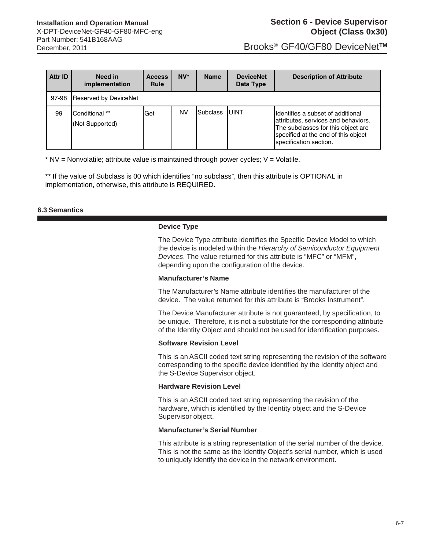| <b>Attr ID</b> | Need in<br>implementation         | <b>Access</b><br><b>Rule</b> | $N V^*$ | <b>Name</b>     | <b>DeviceNet</b><br>Data Type | <b>Description of Attribute</b>                                                                                                                                                  |
|----------------|-----------------------------------|------------------------------|---------|-----------------|-------------------------------|----------------------------------------------------------------------------------------------------------------------------------------------------------------------------------|
| 97-98          | <b>Reserved by DeviceNet</b>      |                              |         |                 |                               |                                                                                                                                                                                  |
| 99             | Conditional **<br>(Not Supported) | Get                          | NV      | <b>Subclass</b> | <b>IUINT</b>                  | Ildentifies a subset of additional<br>attributes, services and behaviors.<br>The subclasses for this object are<br>specified at the end of this object<br>specification section. |

 $*$  NV = Nonvolatile; attribute value is maintained through power cycles; V = Volatile.

\*\* If the value of Subclass is 00 which identifies "no subclass", then this attribute is OPTIONAL in implementation, otherwise, this attribute is REQUIRED.

### **6.3 Semantics**

### **Device Type**

The Device Type attribute identifies the Specific Device Model to which the device is modeled within the *Hierarchy of Semiconductor Equipment Devices*. The value returned for this attribute is "MFC" or "MFM", depending upon the configuration of the device.

### **Manufacturer's Name**

The Manufacturer's Name attribute identifies the manufacturer of the device. The value returned for this attribute is "Brooks Instrument".

The Device Manufacturer attribute is not guaranteed, by specification, to be unique. Therefore, it is not a substitute for the corresponding attribute of the Identity Object and should not be used for identification purposes.

### **Software Revision Level**

This is an ASCII coded text string representing the revision of the software corresponding to the specific device identified by the Identity object and the S-Device Supervisor object.

### **Hardware Revision Level**

This is an ASCII coded text string representing the revision of the hardware, which is identified by the Identity object and the S-Device Supervisor object.

### **Manufacturer's Serial Number**

This attribute is a string representation of the serial number of the device. This is not the same as the Identity Object's serial number, which is used to uniquely identify the device in the network environment.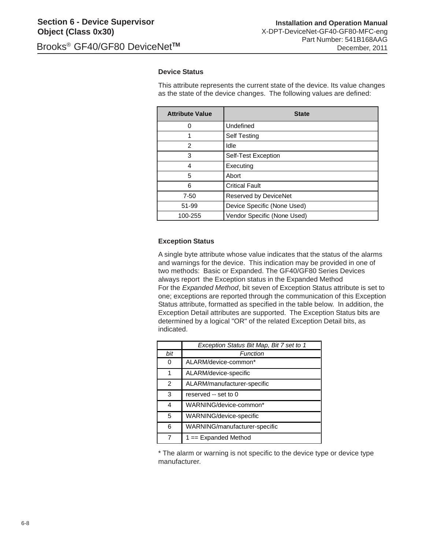#### **Device Status**

This attribute represents the current state of the device. Its value changes as the state of the device changes. The following values are defined:

| <b>Attribute Value</b> | <b>State</b>                |
|------------------------|-----------------------------|
| O                      | Undefined                   |
| 1                      | <b>Self Testing</b>         |
| $\overline{2}$         | Idle                        |
| 3                      | Self-Test Exception         |
| 4                      | Executing                   |
| 5                      | Abort                       |
| 6                      | <b>Critical Fault</b>       |
| $7 - 50$               | Reserved by DeviceNet       |
| 51-99                  | Device Specific (None Used) |
| 100-255                | Vendor Specific (None Used) |

### **Exception Status**

A single byte attribute whose value indicates that the status of the alarms and warnings for the device. This indication may be provided in one of two methods: Basic or Expanded. The GF40/GF80 Series Devices always report the Exception status in the Expanded Method For the *Expanded Method*, bit seven of Exception Status attribute is set to one; exceptions are reported through the communication of this Exception Status attribute, formatted as specified in the table below. In addition, the Exception Detail attributes are supported. The Exception Status bits are determined by a logical "OR" of the related Exception Detail bits, as indicated.

|     | Exception Status Bit Map, Bit 7 set to 1 |
|-----|------------------------------------------|
| bit | Function                                 |
| 0   | ALARM/device-common*                     |
| 1   | ALARM/device-specific                    |
| 2   | ALARM/manufacturer-specific              |
| 3   | reserved -- set to 0                     |
| 4   | WARNING/device-common*                   |
| 5   | WARNING/device-specific                  |
| 6   | WARNING/manufacturer-specific            |
|     | $1 ==$ Expanded Method                   |

\* The alarm or warning is not specific to the device type or device type manufacturer.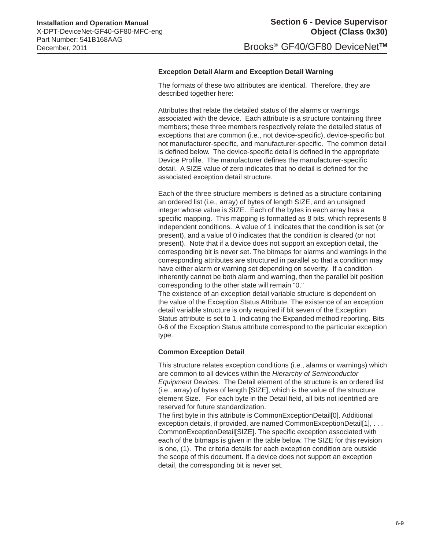### **Exception Detail Alarm and Exception Detail Warning**

The formats of these two attributes are identical. Therefore, they are described together here:

Attributes that relate the detailed status of the alarms or warnings associated with the device. Each attribute is a structure containing three members; these three members respectively relate the detailed status of exceptions that are common (i.e., not device-specific), device-specific but not manufacturer-specific, and manufacturer-specific. The common detail is defined below. The device-specific detail is defined in the appropriate Device Profile. The manufacturer defines the manufacturer-specific detail. A SIZE value of zero indicates that no detail is defined for the associated exception detail structure.

Each of the three structure members is defined as a structure containing an ordered list (i.e., array) of bytes of length SIZE, and an unsigned integer whose value is SIZE. Each of the bytes in each array has a specific mapping. This mapping is formatted as 8 bits, which represents 8 independent conditions. A value of 1 indicates that the condition is set (or present), and a value of 0 indicates that the condition is cleared (or not present). Note that if a device does not support an exception detail, the corresponding bit is never set. The bitmaps for alarms and warnings in the corresponding attributes are structured in parallel so that a condition may have either alarm or warning set depending on severity. If a condition inherently cannot be both alarm and warning, then the parallel bit position corresponding to the other state will remain "0."

The existence of an exception detail variable structure is dependent on the value of the Exception Status Attribute. The existence of an exception detail variable structure is only required if bit seven of the Exception Status attribute is set to 1, indicating the Expanded method reporting. Bits 0-6 of the Exception Status attribute correspond to the particular exception type.

### **Common Exception Detail**

This structure relates exception conditions (i.e., alarms or warnings) which are common to all devices within the *Hierarchy of Semiconductor Equipment Devices*. The Detail element of the structure is an ordered list (i.e., array) of bytes of length [SIZE], which is the value of the structure element Size. For each byte in the Detail field, all bits not identified are reserved for future standardization.

The first byte in this attribute is CommonExceptionDetail[0]. Additional exception details, if provided, are named CommonExceptionDetail[1], . . . CommonExceptionDetail[SIZE]. The specific exception associated with each of the bitmaps is given in the table below. The SIZE for this revision is one, (1). The criteria details for each exception condition are outside the scope of this document. If a device does not support an exception detail, the corresponding bit is never set.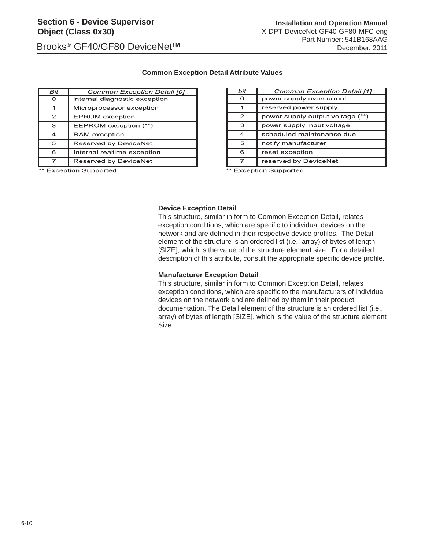| Bit | Common Exception Detail [0]   |
|-----|-------------------------------|
|     | internal diagnostic exception |
| 1   | Microprocessor exception      |
| 2   | <b>EPROM</b> exception        |
| з   | EEPROM exception (**)         |
| ⊿   | RAM exception                 |
| 5   | Reserved by DeviceNet         |
| ഒ   | Internal realtime exception   |
|     | Reserved by DeviceNet         |

**Common Exception Detail Attribute Values**

**\*\* Exception Supported** 

| bit           | <b>Common Exception Detail [1]</b> |
|---------------|------------------------------------|
|               | power supply overcurrent           |
|               | reserved power supply              |
| $\mathcal{P}$ | power supply output voltage (**)   |
| 3             | power supply input voltage         |
|               | scheduled maintenance due          |
| 5             | notify manufacturer                |
| ൳             | reset exception                    |
|               | reserved by DeviceNet              |

\*\* Exception Supported

### **Device Exception Detail**

This structure, similar in form to Common Exception Detail, relates exception conditions, which are specific to individual devices on the network and are defined in their respective device profiles. The Detail element of the structure is an ordered list (i.e., array) of bytes of length [SIZE], which is the value of the structure element size. For a detailed description of this attribute, consult the appropriate specific device profile.

### **Manufacturer Exception Detail**

This structure, similar in form to Common Exception Detail, relates exception conditions, which are specific to the manufacturers of individual devices on the network and are defined by them in their product documentation. The Detail element of the structure is an ordered list (i.e., array) of bytes of length [SIZE], which is the value of the structure element Size.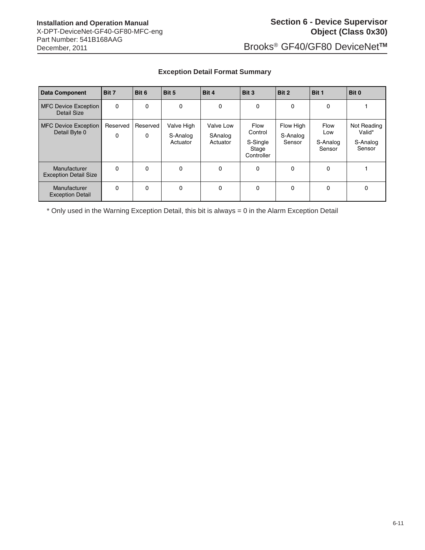# **Section 6 - Device Supervisor Object (Class 0x30)**

Brooks® GF40/GF80 DeviceNet**TM**

# **Exception Detail Format Summary**

| <b>Data Component</b>                        | Bit 7         | <b>Bit 6</b>  | Bit 5                              | Bit 4                            | Bit 3                                              | Bit 2                           | Bit 1                             | <b>Bit 0</b>                                |
|----------------------------------------------|---------------|---------------|------------------------------------|----------------------------------|----------------------------------------------------|---------------------------------|-----------------------------------|---------------------------------------------|
| <b>MFC Device Exception</b><br>Detail Size   | $\Omega$      | 0             | 0                                  | 0                                | 0                                                  | 0                               | 0                                 |                                             |
| <b>MFC Device Exception</b><br>Detail Byte 0 | Reserved<br>0 | Reserved<br>0 | Valve High<br>S-Analog<br>Actuator | Valve Low<br>SAnalog<br>Actuator | Flow<br>Control<br>S-Single<br>Stage<br>Controller | Flow High<br>S-Analog<br>Sensor | Flow<br>Low<br>S-Analog<br>Sensor | Not Reading<br>Valid*<br>S-Analog<br>Sensor |
| Manufacturer<br><b>Exception Detail Size</b> | $\Omega$      | $\Omega$      | 0                                  | $\Omega$                         | $\Omega$                                           | $\Omega$                        | $\mathbf 0$                       |                                             |
| Manufacturer<br><b>Exception Detail</b>      | 0             | $\Omega$      | 0                                  | 0                                | $\Omega$                                           | $\Omega$                        | $\mathbf 0$                       | $\Omega$                                    |

\* Only used in the Warning Exception Detail, this bit is always = 0 in the Alarm Exception Detail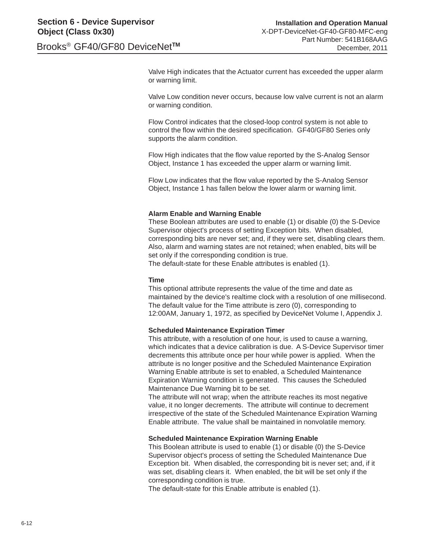Valve High indicates that the Actuator current has exceeded the upper alarm or warning limit.

Valve Low condition never occurs, because low valve current is not an alarm or warning condition.

Flow Control indicates that the closed-loop control system is not able to control the flow within the desired specification. GF40/GF80 Series only supports the alarm condition.

Flow High indicates that the flow value reported by the S-Analog Sensor Object, Instance 1 has exceeded the upper alarm or warning limit.

Flow Low indicates that the flow value reported by the S-Analog Sensor Object, Instance 1 has fallen below the lower alarm or warning limit.

### **Alarm Enable and Warning Enable**

These Boolean attributes are used to enable (1) or disable (0) the S-Device Supervisor object's process of setting Exception bits. When disabled, corresponding bits are never set; and, if they were set, disabling clears them. Also, alarm and warning states are not retained; when enabled, bits will be set only if the corresponding condition is true. The default-state for these Enable attributes is enabled (1).

#### **Time**

This optional attribute represents the value of the time and date as maintained by the device's realtime clock with a resolution of one millisecond. The default value for the Time attribute is zero (0), corresponding to 12:00AM, January 1, 1972, as specified by DeviceNet Volume I, Appendix J.

### **Scheduled Maintenance Expiration Timer**

This attribute, with a resolution of one hour, is used to cause a warning, which indicates that a device calibration is due. A S-Device Supervisor timer decrements this attribute once per hour while power is applied. When the attribute is no longer positive and the Scheduled Maintenance Expiration Warning Enable attribute is set to enabled, a Scheduled Maintenance Expiration Warning condition is generated. This causes the Scheduled Maintenance Due Warning bit to be set.

The attribute will not wrap; when the attribute reaches its most negative value, it no longer decrements. The attribute will continue to decrement irrespective of the state of the Scheduled Maintenance Expiration Warning Enable attribute. The value shall be maintained in nonvolatile memory.

#### **Scheduled Maintenance Expiration Warning Enable**

This Boolean attribute is used to enable (1) or disable (0) the S-Device Supervisor object's process of setting the Scheduled Maintenance Due Exception bit. When disabled, the corresponding bit is never set; and, if it was set, disabling clears it. When enabled, the bit will be set only if the corresponding condition is true.

The default-state for this Enable attribute is enabled (1).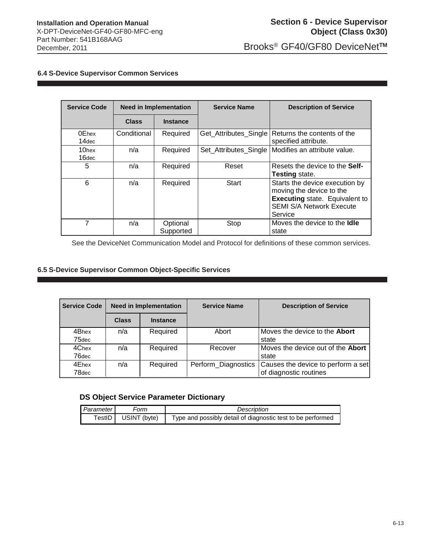# **6.4 S-Device Supervisor Common Services**

| <b>Service Code</b>                    | <b>Need in Implementation</b> |                       | <b>Service Name</b>   | <b>Description of Service</b>                                                                                                                     |
|----------------------------------------|-------------------------------|-----------------------|-----------------------|---------------------------------------------------------------------------------------------------------------------------------------------------|
|                                        | <b>Class</b>                  | <b>Instance</b>       |                       |                                                                                                                                                   |
| $0E$ hex<br>14 <sub>dec</sub>          | Conditional                   | Required              | Get_Attributes_Single | Returns the contents of the<br>specified attribute.                                                                                               |
| 10 <sub>hex</sub><br>16 <sub>dec</sub> | n/a                           | Required              | Set Attributes Single | Modifies an attribute value.                                                                                                                      |
| 5                                      | n/a                           | Required              | Reset                 | Resets the device to the Self-<br><b>Testing</b> state.                                                                                           |
| 6                                      | n/a                           | Required              | Start                 | Starts the device execution by<br>moving the device to the<br><b>Executing state. Equivalent to</b><br><b>SEMI S/A Network Execute</b><br>Service |
| 7                                      | n/a                           | Optional<br>Supported | Stop                  | Moves the device to the <b>Idle</b><br>state                                                                                                      |

See the DeviceNet Communication Model and Protocol for definitions of these common services.

## **6.5 S-Device Supervisor Common Object-Specific Services**

| <b>Service Code</b>        |              | <b>Need in Implementation</b> | <b>Service Name</b> | <b>Description of Service</b>                                |
|----------------------------|--------------|-------------------------------|---------------------|--------------------------------------------------------------|
|                            | <b>Class</b> | <b>Instance</b>               |                     |                                                              |
| 4Bhex<br>75 <sub>dec</sub> | n/a          | Required                      | Abort               | Moves the device to the <b>Abort</b><br>state                |
| 4Chex<br>76dec             | n/a          | Required                      | Recover             | Moves the device out of the Abort<br>state                   |
| 4Ehex<br>78 <sub>dec</sub> | n/a          | Required                      | Perform_Diagnostics | Causes the device to perform a set<br>of diagnostic routines |

# **DS Object Service Parameter Dictionary**

| Parameter | Form                | Description                                                 |
|-----------|---------------------|-------------------------------------------------------------|
|           | TestID USINT (byte) | Type and possibly detail of diagnostic test to be performed |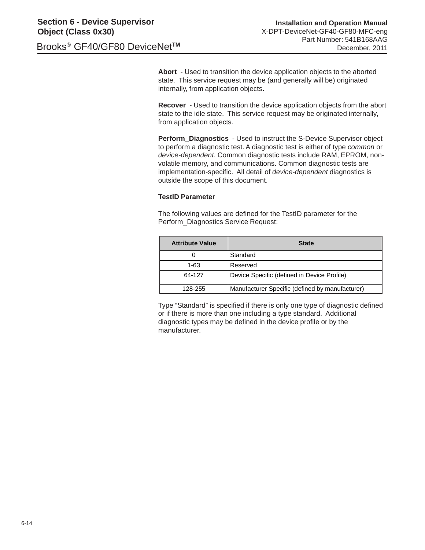**Abort** - Used to transition the device application objects to the aborted state. This service request may be (and generally will be) originated internally, from application objects.

**Recover** - Used to transition the device application objects from the abort state to the idle state. This service request may be originated internally, from application objects.

**Perform\_Diagnostics** - Used to instruct the S-Device Supervisor object to perform a diagnostic test. A diagnostic test is either of type *common* or *device-dependent*. Common diagnostic tests include RAM, EPROM, nonvolatile memory, and communications. Common diagnostic tests are implementation-specific. All detail of *device-dependent* diagnostics is outside the scope of this document.

## **TestID Parameter**

The following values are defined for the TestID parameter for the Perform\_Diagnostics Service Request:

| <b>Attribute Value</b> | <b>State</b>                                    |
|------------------------|-------------------------------------------------|
|                        | Standard                                        |
| $1 - 63$               | Reserved                                        |
| 64-127                 | Device Specific (defined in Device Profile)     |
| 128-255                | Manufacturer Specific (defined by manufacturer) |

Type "Standard" is specified if there is only one type of diagnostic defined or if there is more than one including a type standard. Additional diagnostic types may be defined in the device profile or by the manufacturer.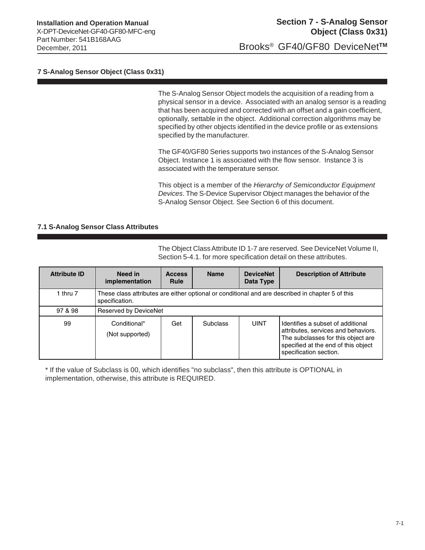# **7 S-Analog Sensor Object (Class 0x31)**

The S-Analog Sensor Object models the acquisition of a reading from a physical sensor in a device. Associated with an analog sensor is a reading that has been acquired and corrected with an offset and a gain coefficient, optionally, settable in the object. Additional correction algorithms may be specified by other objects identified in the device profile or as extensions specified by the manufacturer.

The GF40/GF80 Series supports two instances of the S-Analog Sensor Object. Instance 1 is associated with the flow sensor. Instance 3 is associated with the temperature sensor.

This object is a member of the *Hierarchy of Semiconductor Equipment Devices*. The S-Device Supervisor Object manages the behavior of the S-Analog Sensor Object. See Section 6 of this document.

# **7.1 S-Analog Sensor Class Attributes**

The Object Class Attribute ID 1-7 are reserved. See DeviceNet Volume II, Section 5-4.1. for more specification detail on these attributes.

| <b>Attribute ID</b> | Need in<br>implementation       | <b>Access</b><br><b>Rule</b>                                                                     | <b>Name</b>     | <b>DeviceNet</b><br>Data Type | <b>Description of Attribute</b>                                                                                                                                                 |  |  |  |
|---------------------|---------------------------------|--------------------------------------------------------------------------------------------------|-----------------|-------------------------------|---------------------------------------------------------------------------------------------------------------------------------------------------------------------------------|--|--|--|
| 1 thru $7$          | specification.                  | These class attributes are either optional or conditional and are described in chapter 5 of this |                 |                               |                                                                                                                                                                                 |  |  |  |
| 97 & 98             |                                 | Reserved by DeviceNet                                                                            |                 |                               |                                                                                                                                                                                 |  |  |  |
| 99                  | Conditional*<br>(Not supported) | Get                                                                                              | <b>Subclass</b> | <b>UINT</b>                   | Identifies a subset of additional<br>attributes, services and behaviors.<br>The subclasses for this object are<br>specified at the end of this object<br>specification section. |  |  |  |

\* If the value of Subclass is 00, which identifies "no subclass", then this attribute is OPTIONAL in implementation, otherwise, this attribute is REQUIRED.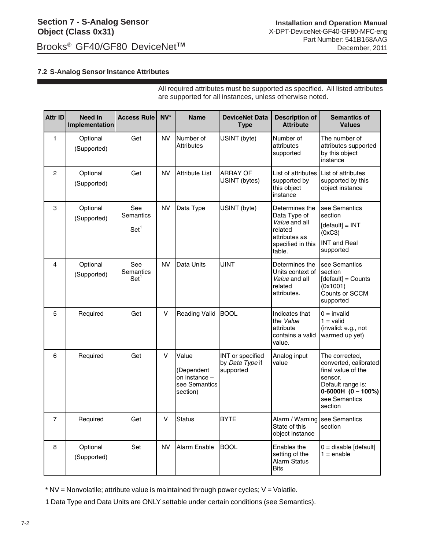# **7.2 S-Analog Sensor Instance Attributes**

All required attributes must be supported as specified. All listed attributes are supported for all instances, unless otherwise noted.

| Attr ID        | Need in<br>Implementation | <b>Access Rule</b>                          | NV*       | <b>Name</b>                                                       | <b>DeviceNet Data</b><br><b>Type</b>             | <b>Description of</b><br><b>Attribute</b>                                                                  | <b>Semantics of</b><br><b>Values</b>                                                                                                            |
|----------------|---------------------------|---------------------------------------------|-----------|-------------------------------------------------------------------|--------------------------------------------------|------------------------------------------------------------------------------------------------------------|-------------------------------------------------------------------------------------------------------------------------------------------------|
| $\mathbf{1}$   | Optional<br>(Supported)   | Get                                         | <b>NV</b> | Number of<br><b>Attributes</b>                                    | USINT (byte)                                     | Number of<br>attributes<br>supported                                                                       | The number of<br>attributes supported<br>by this object<br>instance                                                                             |
| $\overline{c}$ | Optional<br>(Supported)   | Get                                         | <b>NV</b> | <b>Attribute List</b>                                             | <b>ARRAY OF</b><br>USINT (bytes)                 | List of attributes<br>supported by<br>this object<br>instance                                              | List of attributes<br>supported by this<br>object instance                                                                                      |
| 3              | Optional<br>(Supported)   | See<br><b>Semantics</b><br>Set <sup>1</sup> | <b>NV</b> | Data Type                                                         | USINT (byte)                                     | Determines the<br>Data Type of<br>Value and all<br>related<br>attributes as<br>specified in this<br>table. | see Semantics<br>section<br>$[default] = INT$<br>(0xC3)<br><b>INT and Real</b><br>supported                                                     |
| $\overline{4}$ | Optional<br>(Supported)   | See<br>Semantics<br>Set <sup>1</sup>        | <b>NV</b> | Data Units                                                        | <b>UINT</b>                                      | Determines the<br>Units context of<br>Value and all<br>related<br>attributes.                              | see Semantics<br>section<br>[default] = Counts<br>(0x1001)<br>Counts or SCCM<br>supported                                                       |
| 5              | Required                  | Get                                         | $\vee$    | <b>Reading Valid</b>                                              | <b>BOOL</b>                                      | Indicates that<br>the Value<br>attribute<br>contains a valid<br>value.                                     | $0 =$ invalid<br>$1 =$ valid<br>(invalid: e.g., not<br>warmed up yet)                                                                           |
| 6              | Required                  | Get                                         | $\vee$    | Value<br>(Dependent<br>on instance -<br>see Semantics<br>section) | INT or specified<br>by Data Type if<br>supported | Analog input<br>value                                                                                      | The corrected,<br>converted, calibrated<br>final value of the<br>sensor.<br>Default range is:<br>$0-6000H (0-100%)$<br>see Semantics<br>section |
| 7              | Required                  | Get                                         | v         | <b>Status</b>                                                     | <b>BYTE</b>                                      | Alarm / Warning see Semantics<br>State of this<br>object instance                                          | section                                                                                                                                         |
| 8              | Optional<br>(Supported)   | Set                                         | <b>NV</b> | Alarm Enable                                                      | <b>BOOL</b>                                      | Enables the<br>setting of the<br>Alarm Status<br><b>Bits</b>                                               | $0 =$ disable [default]<br>$1 =$ enable                                                                                                         |

 $*$  NV = Nonvolatile; attribute value is maintained through power cycles; V = Volatile.

1 Data Type and Data Units are ONLY settable under certain conditions (see Semantics).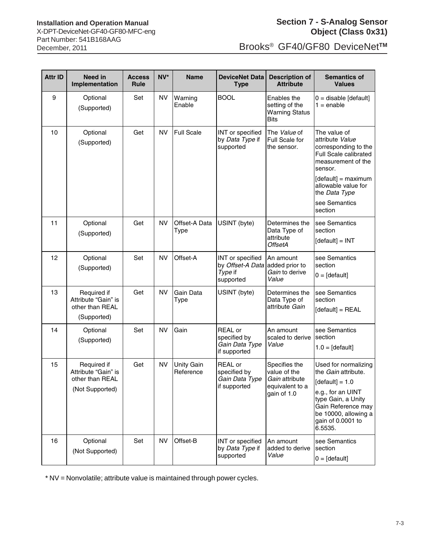# **Section 7 - S-Analog Sensor Object (Class 0x31)**

Brooks® GF40/GF80 DeviceNet**TM**

| <b>Attr ID</b> | Need in<br>Implementation                                                | <b>Access</b><br><b>Rule</b> | $N V^*$   | Name                    | <b>DeviceNet Data</b><br><b>Type</b>                         | <b>Description of</b><br><b>Attribute</b>                                         | <b>Semantics of</b><br><b>Values</b>                                                                                                                                                      |
|----------------|--------------------------------------------------------------------------|------------------------------|-----------|-------------------------|--------------------------------------------------------------|-----------------------------------------------------------------------------------|-------------------------------------------------------------------------------------------------------------------------------------------------------------------------------------------|
| 9              | Optional<br>(Supported)                                                  | Set                          | <b>NV</b> | Warning<br>Enable       | <b>BOOL</b>                                                  | Enables the<br>setting of the<br><b>Warning Status</b><br><b>Bits</b>             | $0 =$ disable [default]<br>$1 =$ enable                                                                                                                                                   |
| 10             | Optional<br>(Supported)                                                  | Get                          | <b>NV</b> | <b>Full Scale</b>       | INT or specified<br>by Data Type if<br>supported             | The Value of<br>Full Scale for<br>the sensor.                                     | The value of<br>attribute Value<br>corresponding to the<br>Full Scale calibrated<br>measurement of the<br>sensor.<br>$[default] = maximum$<br>allowable value for<br>the Data Type        |
|                |                                                                          |                              |           |                         |                                                              |                                                                                   | see Semantics<br>section                                                                                                                                                                  |
| 11             | Optional<br>(Supported)                                                  | Get                          | <b>NV</b> | Offset-A Data<br>Type   | USINT (byte)                                                 | Determines the<br>Data Type of<br>attribute<br><b>OffsetA</b>                     | see Semantics<br>section<br>$[default] = INT$                                                                                                                                             |
| 12             | Optional<br>(Supported)                                                  | Set                          | <b>NV</b> | Offset-A                | INT or specified<br>by Offset-A Data<br>Type if<br>supported | An amount<br>added prior to<br>Gain to derive<br>Value                            | see Semantics<br>section<br>$0 = [default]$                                                                                                                                               |
| 13             | Required if<br>Attribute "Gain" is<br>other than REAL                    | Get                          | <b>NV</b> | Gain Data<br>Type       | USINT (byte)                                                 | Determines the<br>Data Type of<br>attribute Gain                                  | see Semantics<br>section<br>[default] = REAL                                                                                                                                              |
|                | (Supported)                                                              |                              |           |                         |                                                              |                                                                                   |                                                                                                                                                                                           |
| 14             | Optional<br>(Supported)                                                  | Set                          | <b>NV</b> | Gain                    | REAL or<br>specified by<br>Gain Data Type<br>if supported    | An amount<br>scaled to derive<br>Value                                            | see Semantics<br>section<br>$1.0 = [default]$                                                                                                                                             |
| 15             | Required if<br>Attribute "Gain" is<br>other than REAL<br>(Not Supported) | Get                          | <b>NV</b> | Unity Gain<br>Reference | REAL or<br>specified by<br>Gain Data Type<br>if supported    | Specifies the<br>value of the<br>Gain attribute<br>equivalent to a<br>gain of 1.0 | Used for normalizing<br>the Gain attribute.<br>$[default] = 1.0$<br>e.g., for an UINT<br>type Gain, a Unity<br>Gain Reference may<br>be 10000, allowing a<br>gain of 0.0001 to<br>6.5535. |
| 16             | Optional<br>(Not Supported)                                              | Set                          | <b>NV</b> | Offset-B                | INT or specified<br>by Data Type if<br>supported             | An amount<br>added to derive<br>Value                                             | see Semantics<br>section<br>$0 = [default]$                                                                                                                                               |

\* NV = Nonvolatile; attribute value is maintained through power cycles.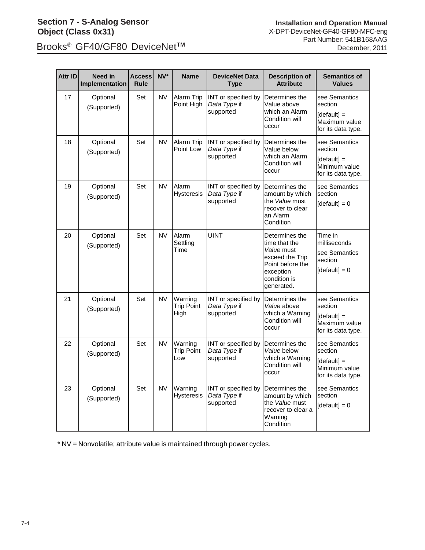| Attr ID | Need in<br><b>Implementation</b> | <b>Access</b><br><b>Rule</b> | $N V^*$   | <b>Name</b>                          | <b>DeviceNet Data</b><br><b>Type</b>             | <b>Description of</b><br><b>Attribute</b>                                                                                       | <b>Semantics of</b><br><b>Values</b>                                             |
|---------|----------------------------------|------------------------------|-----------|--------------------------------------|--------------------------------------------------|---------------------------------------------------------------------------------------------------------------------------------|----------------------------------------------------------------------------------|
| 17      | Optional<br>(Supported)          | Set                          | <b>NV</b> | <b>Alarm Trip</b><br>Point High      | INT or specified by<br>Data Type if<br>supported | Determines the<br>Value above<br>which an Alarm<br>Condition will<br>occur                                                      | see Semantics<br>section<br>$[default] =$<br>Maximum value<br>for its data type. |
| 18      | Optional<br>(Supported)          | Set                          | <b>NV</b> | Alarm Trip<br>Point Low              | INT or specified by<br>Data Type if<br>supported | Determines the<br>Value below<br>which an Alarm<br>Condition will<br>occur                                                      | see Semantics<br>section<br>$[default] =$<br>Minimum value<br>for its data type. |
| 19      | Optional<br>(Supported)          | Set                          | <b>NV</b> | Alarm<br><b>Hysteresis</b>           | INT or specified by<br>Data Type if<br>supported | Determines the<br>amount by which<br>the Value must<br>recover to clear<br>an Alarm<br>Condition                                | see Semantics<br>section<br>$[default] = 0$                                      |
| 20      | Optional<br>(Supported)          | Set                          | <b>NV</b> | Alarm<br>Settling<br>Time            | <b>UINT</b>                                      | Determines the<br>time that the<br>Value must<br>exceed the Trip<br>Point before the<br>exception<br>condition is<br>generated. | Time in<br>milliseconds<br>see Semantics<br>section<br>$[default] = 0$           |
| 21      | Optional<br>(Supported)          | Set                          | <b>NV</b> | Warning<br><b>Trip Point</b><br>High | INT or specified by<br>Data Type if<br>supported | Determines the<br>Value above<br>which a Warning<br>Condition will<br>occur                                                     | see Semantics<br>section<br>$[default] =$<br>Maximum value<br>for its data type. |
| 22      | Optional<br>(Supported)          | Set                          | <b>NV</b> | Warning<br><b>Trip Point</b><br>Low  | INT or specified by<br>Data Type if<br>supported | Determines the<br>Value below<br>which a Warning<br>Condition will<br>occur                                                     | see Semantics<br>section<br>$[default] =$<br>Minimum value<br>for its data type. |
| 23      | Optional<br>(Supported)          | Set                          | <b>NV</b> | Warning<br><b>Hysteresis</b>         | INT or specified by<br>Data Type if<br>supported | Determines the<br>amount by which<br>the Value must<br>recover to clear a<br>Warning<br>Condition                               | see Semantics<br>section<br>$[default] = 0$                                      |

\* NV = Nonvolatile; attribute value is maintained through power cycles.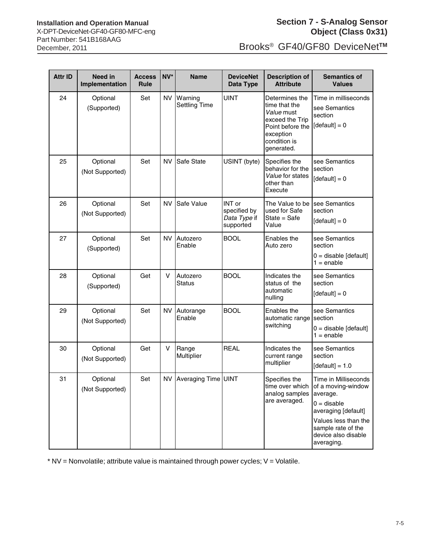# **Section 7 - S-Analog Sensor Object (Class 0x31)**

Brooks® GF40/GF80 DeviceNet**TM**

| <b>Attr ID</b> | <b>Need in</b><br>Implementation | <b>Access</b><br>Rule | NV*       | <b>Name</b>               | <b>DeviceNet</b><br>Data Type                       | <b>Description of</b><br><b>Attribute</b>                                                                                       | <b>Semantics of</b><br><b>Values</b>                                                                                                                                              |
|----------------|----------------------------------|-----------------------|-----------|---------------------------|-----------------------------------------------------|---------------------------------------------------------------------------------------------------------------------------------|-----------------------------------------------------------------------------------------------------------------------------------------------------------------------------------|
| 24             | Optional<br>(Supported)          | Set                   | <b>NV</b> | Warning<br>Settling Time  | <b>UINT</b>                                         | Determines the<br>time that the<br>Value must<br>exceed the Trip<br>Point before the<br>exception<br>condition is<br>generated. | Time in milliseconds<br>see Semantics<br>section<br>$[default] = 0$                                                                                                               |
| 25             | Optional<br>(Not Supported)      | Set                   | <b>NV</b> | Safe State                | USINT (byte)                                        | Specifies the<br>behavior for the<br>Value for states<br>other than<br>Execute                                                  | see Semantics<br>section<br>$[default] = 0$                                                                                                                                       |
| 26             | Optional<br>(Not Supported)      | Set                   | <b>NV</b> | Safe Value                | INT or<br>specified by<br>Data Type if<br>supported | The Value to be<br>used for Safe<br>$State = Safe$<br>Value                                                                     | see Semantics<br>section<br>$[default] = 0$                                                                                                                                       |
| 27             | Optional<br>(Supported)          | Set                   | <b>NV</b> | Autozero<br>Enable        | <b>BOOL</b>                                         | Enables the<br>Auto zero                                                                                                        | see Semantics<br>section<br>$0 =$ disable [default]<br>$1 =$ enable                                                                                                               |
| 28             | Optional<br>(Supported)          | Get                   | v         | Autozero<br><b>Status</b> | <b>BOOL</b>                                         | Indicates the<br>status of the<br>automatic<br>nulling                                                                          | see Semantics<br>section<br>$[default] = 0$                                                                                                                                       |
| 29             | Optional<br>(Not Supported)      | Set                   | <b>NV</b> | Autorange<br>Enable       | <b>BOOL</b>                                         | Enables the<br>automatic range section<br>switching                                                                             | see Semantics<br>$0 =$ disable [default]<br>$1 =$ enable                                                                                                                          |
| 30             | Optional<br>(Not Supported)      | Get                   | V         | Range<br>Multiplier       | <b>REAL</b>                                         | Indicates the<br>current range<br>multiplier                                                                                    | see Semantics<br>section<br>$[default] = 1.0$                                                                                                                                     |
| 31             | Optional<br>(Not Supported)      | Set                   |           | NV Averaging Time UINT    |                                                     | Specifies the<br>time over which<br>analog samples<br>are averaged.                                                             | Time in Milliseconds<br>of a moving-window<br>average.<br>$0 =$ disable<br>averaging [default]<br>Values less than the<br>sample rate of the<br>device also disable<br>averaging. |

 $*$  NV = Nonvolatile; attribute value is maintained through power cycles; V = Volatile.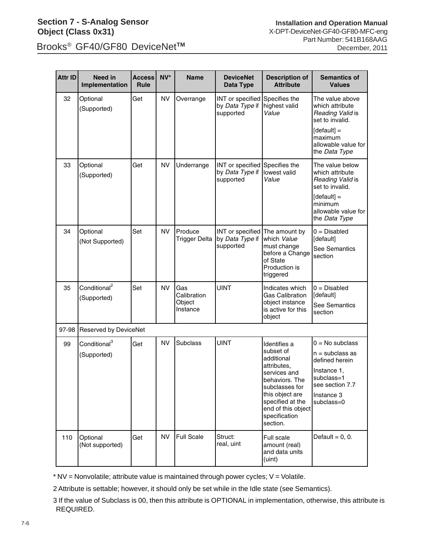| <b>Attr ID</b> | Need in<br>Implementation               | <b>Access</b><br><b>Rule</b> | NV*       | <b>Name</b>                              | <b>DeviceNet</b><br>Data Type                    | <b>Description of</b><br><b>Attribute</b>                                                                                                                                                            | <b>Semantics of</b><br><b>Values</b>                                                                                                          |
|----------------|-----------------------------------------|------------------------------|-----------|------------------------------------------|--------------------------------------------------|------------------------------------------------------------------------------------------------------------------------------------------------------------------------------------------------------|-----------------------------------------------------------------------------------------------------------------------------------------------|
| 32             | Optional<br>(Supported)                 | Get                          | <b>NV</b> | Overrange                                | INT or specified<br>by Data Type if<br>supported | Specifies the<br>highest valid<br>Value                                                                                                                                                              | The value above<br>which attribute<br>Reading Valid is<br>set to invalid.<br>$[default] =$<br>maximum<br>allowable value for<br>the Data Type |
| 33             | Optional<br>(Supported)                 | Get                          | <b>NV</b> | Underrange                               | INT or specified<br>by Data Type if<br>supported | Specifies the<br>lowest valid<br>Value                                                                                                                                                               | The value below<br>which attribute<br>Reading Valid is<br>set to invalid.<br>$[default] =$<br>minimum<br>allowable value for<br>the Data Type |
| 34             | Optional<br>(Not Supported)             | Set                          | NV.       | Produce<br><b>Trigger Delta</b>          | INT or specified<br>by Data Type if<br>supported | The amount by<br>which Value<br>must change<br>before a Change<br>of State<br>Production is<br>triggered                                                                                             | $0 = Disabled$<br>[default]<br><b>See Semantics</b><br>section                                                                                |
| 35             | Conditional <sup>2</sup><br>(Supported) | Set                          | NV        | Gas<br>Calibration<br>Object<br>Instance | <b>UINT</b>                                      | Indicates which<br><b>Gas Calibration</b><br>object instance<br>is active for this<br>object                                                                                                         | $0 = Disabled$<br>[default]<br><b>See Semantics</b><br>section                                                                                |
| 97-98          | Reserved by DeviceNet                   |                              |           |                                          |                                                  |                                                                                                                                                                                                      |                                                                                                                                               |
| 99             | Conditional <sup>3</sup><br>(Supported) | Get                          | NV.       | Subclass                                 | <b>UINT</b>                                      | Identifies a<br>subset of<br>additional<br>attributes,<br>services and<br>behaviors. The<br>subclasses for<br>this object are<br>specified at the<br>end of this object<br>specification<br>section. | $0 = No$ subclass<br>$n =$ subclass as<br>defined herein<br>Instance 1,<br>subclass=1<br>see section 7.7<br>Instance 3<br>subclass=0          |
| 110            | Optional<br>(Not supported)             | Get                          | <b>NV</b> | <b>Full Scale</b>                        | Struct:<br>real, uint                            | Full scale<br>amount (real)<br>and data units<br>(uint)                                                                                                                                              | Default = $0, 0$ .                                                                                                                            |

 $*$  NV = Nonvolatile; attribute value is maintained through power cycles; V = Volatile.

2 Attribute is settable; however, it should only be set while in the Idle state (see Semantics).

3 If the value of Subclass is 00, then this attribute is OPTIONAL in implementation, otherwise, this attribute is REQUIRED.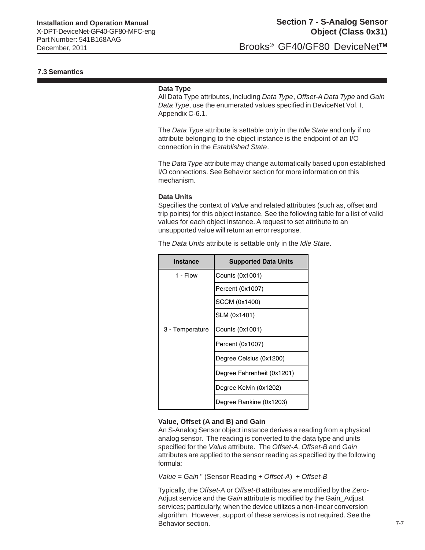## **7.3 Semantics**

### **Data Type**

All Data Type attributes, including *Data Type*, *Offset-A Data Type* and *Gain Data Type*, use the enumerated values specified in DeviceNet Vol. I, Appendix C-6.1.

The *Data Type* attribute is settable only in the *Idle State* and only if no attribute belonging to the object instance is the endpoint of an I/O connection in the *Established State*.

The *Data Type* attribute may change automatically based upon established I/O connections. See Behavior section for more information on this mechanism.

### **Data Units**

Specifies the context of *Value* and related attributes (such as, offset and trip points) for this object instance. See the following table for a list of valid values for each object instance. A request to set attribute to an unsupported value will return an error response.

The *Data Units* attribute is settable only in the *Idle State*.

| <b>Instance</b> | <b>Supported Data Units</b> |
|-----------------|-----------------------------|
| 1 - Flow        | Counts (0x1001)             |
|                 | Percent (0x1007)            |
|                 | <b>SCCM (0x1400)</b>        |
|                 | SLM (0x1401)                |
| 3 - Temperature | Counts (0x1001)             |
|                 | Percent (0x1007)            |
|                 | Degree Celsius (0x1200)     |
|                 | Degree Fahrenheit (0x1201)  |
|                 | Degree Kelvin (0x1202)      |
|                 | Degree Rankine (0x1203)     |

### **Value, Offset (A and B) and Gain**

An S-Analog Sensor object instance derives a reading from a physical analog sensor. The reading is converted to the data type and units specified for the *Value* attribute. The *Offset-A*, *Offset-B* and *Gain* attributes are applied to the sensor reading as specified by the following formula:

*Value* = *Gain* " (Sensor Reading + *Offset-A*) + *Offset-B*

Typically, the *Offset-A* or *Offset-B* attributes are modified by the Zero-Adjust service and the *Gain* attribute is modified by the Gain\_Adjust services; particularly, when the device utilizes a non-linear conversion algorithm. However, support of these services is not required. See the Behavior section.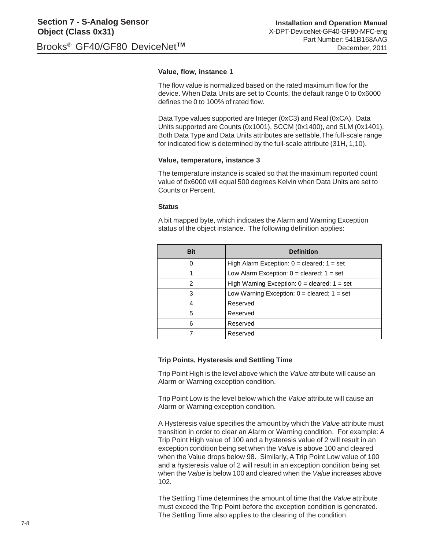### **Value, flow, instance 1**

The flow value is normalized based on the rated maximum flow for the device. When Data Units are set to Counts, the default range 0 to 0x6000 defines the 0 to 100% of rated flow.

Data Type values supported are Integer (0xC3) and Real (0xCA). Data Units supported are Counts (0x1001), SCCM (0x1400), and SLM (0x1401). Both Data Type and Data Units attributes are settable.The full-scale range for indicated flow is determined by the full-scale attribute (31H, 1,10).

### **Value, temperature, instance 3**

The temperature instance is scaled so that the maximum reported count value of 0x6000 will equal 500 degrees Kelvin when Data Units are set to Counts or Percent.

### **Status**

A bit mapped byte, which indicates the Alarm and Warning Exception status of the object instance. The following definition applies:

| <b>Bit</b> | <b>Definition</b>                                |
|------------|--------------------------------------------------|
|            | High Alarm Exception: $0 =$ cleared; $1 =$ set   |
|            | Low Alarm Exception: $0 =$ cleared; $1 =$ set    |
| 2          | High Warning Exception: $0 =$ cleared; $1 =$ set |
| з          | Low Warning Exception: $0 =$ cleared; $1 =$ set  |
|            | Reserved                                         |
| 5          | Reserved                                         |
| 6          | Reserved                                         |
|            | Reserved                                         |

### **Trip Points, Hysteresis and Settling Time**

Trip Point High is the level above which the *Value* attribute will cause an Alarm or Warning exception condition.

Trip Point Low is the level below which the *Value* attribute will cause an Alarm or Warning exception condition.

A Hysteresis value specifies the amount by which the *Value* attribute must transition in order to clear an Alarm or Warning condition. For example: A Trip Point High value of 100 and a hysteresis value of 2 will result in an exception condition being set when the *Value* is above 100 and cleared when the Value drops below 98. Similarly, A Trip Point Low value of 100 and a hysteresis value of 2 will result in an exception condition being set when the *Value* is below 100 and cleared when the *Value* increases above 102.

The Settling Time determines the amount of time that the *Value* attribute must exceed the Trip Point before the exception condition is generated. The Settling Time also applies to the clearing of the condition.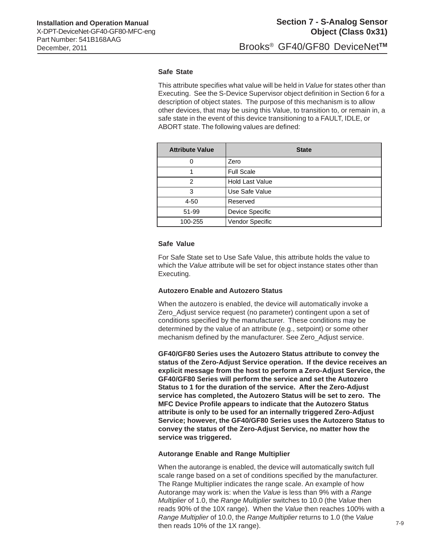#### **Safe State**

This attribute specifies what value will be held in *Value* for states other than Executing. See the S-Device Supervisor object definition in Section 6 for a description of object states. The purpose of this mechanism is to allow other devices, that may be using this Value, to transition to, or remain in, a safe state in the event of this device transitioning to a FAULT, IDLE, or ABORT state. The following values are defined:

| <b>Attribute Value</b> | <b>State</b>           |
|------------------------|------------------------|
| O                      | Zero                   |
|                        | <b>Full Scale</b>      |
| 2                      | <b>Hold Last Value</b> |
| 3                      | Use Safe Value         |
| $4 - 50$               | Reserved               |
| 51-99                  | Device Specific        |
| 100-255                | Vendor Specific        |

### **Safe Value**

For Safe State set to Use Safe Value, this attribute holds the value to which the *Value* attribute will be set for object instance states other than Executing.

#### **Autozero Enable and Autozero Status**

When the autozero is enabled, the device will automatically invoke a Zero\_Adjust service request (no parameter) contingent upon a set of conditions specified by the manufacturer. These conditions may be determined by the value of an attribute (e.g., setpoint) or some other mechanism defined by the manufacturer. See Zero\_Adjust service.

**GF40/GF80 Series uses the Autozero Status attribute to convey the status of the Zero-Adjust Service operation. If the device receives an explicit message from the host to perform a Zero-Adjust Service, the GF40/GF80 Series will perform the service and set the Autozero Status to 1 for the duration of the service. After the Zero-Adjust service has completed, the Autozero Status will be set to zero. The MFC Device Profile appears to indicate that the Autozero Status attribute is only to be used for an internally triggered Zero-Adjust Service; however, the GF40/GF80 Series uses the Autozero Status to convey the status of the Zero-Adjust Service, no matter how the service was triggered.**

### **Autorange Enable and Range Multiplier**

When the autorange is enabled, the device will automatically switch full scale range based on a set of conditions specified by the manufacturer. The Range Multiplier indicates the range scale. An example of how Autorange may work is: when the *Value* is less than 9% with a *Range Multiplier* of 1.0, the *Range Multiplier* switches to 10.0 (the *Value* then reads 90% of the 10X range). When the *Value* then reaches 100% with a *Range Multiplier* of 10.0, the *Range Multiplier* returns to 1.0 (the *Value* then reads 10% of the 1X range).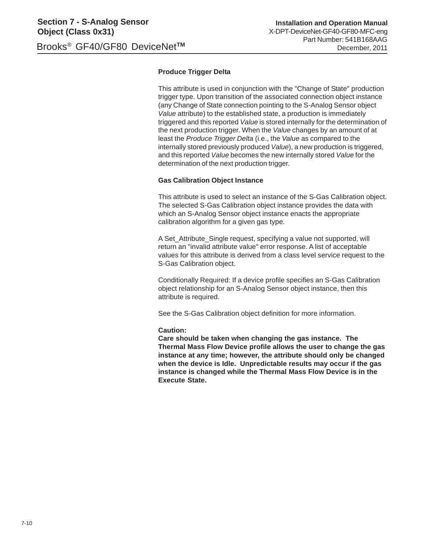## **Produce Trigger Delta**

This attribute is used in conjunction with the "Change of State" production trigger type. Upon transition of the associated connection object instance (any Change of State connection pointing to the S-Analog Sensor object *Value* attribute) to the established state, a production is immediately triggered and this reported *Value* is stored internally for the determination of the next production trigger. When the *Value* changes by an amount of at least the *Produce Trigger Delta* (i.e., the *Value* as compared to the internally stored previously produced *Value*), a new production is triggered, and this reported *Value* becomes the new internally stored *Value* for the determination of the next production trigger.

## **Gas Calibration Object Instance**

This attribute is used to select an instance of the S-Gas Calibration object. The selected S-Gas Calibration object instance provides the data with which an S-Analog Sensor object instance enacts the appropriate calibration algorithm for a given gas type.

A Set\_Attribute\_Single request, specifying a value not supported, will return an "invalid attribute value" error response. A list of acceptable values for this attribute is derived from a class level service request to the S-Gas Calibration object.

Conditionally Required: If a device profile specifies an S-Gas Calibration object relationship for an S-Analog Sensor object instance, then this attribute is required.

See the S-Gas Calibration object definition for more information.

### **Caution:**

**Care should be taken when changing the gas instance. The Thermal Mass Flow Device profile allows the user to change the gas instance at any time; however, the attribute should only be changed when the device is Idle. Unpredictable results may occur if the gas instance is changed while the Thermal Mass Flow Device is in the Execute State.**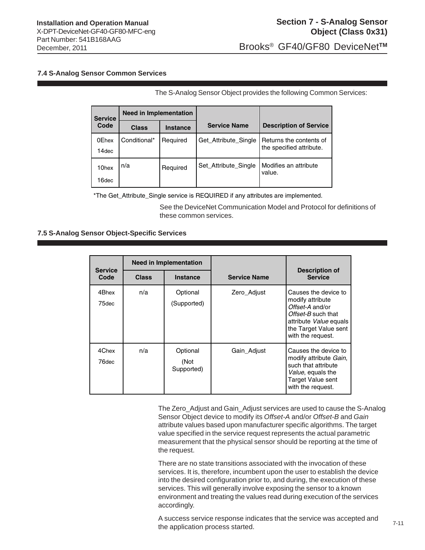# **7.4 S-Analog Sensor Common Services**

The S-Analog Sensor Object provides the following Common Services:

| <b>Service</b>             | <b>Need in Implementation</b> |                 |                      |                                                     |
|----------------------------|-------------------------------|-----------------|----------------------|-----------------------------------------------------|
| Code                       | <b>Class</b>                  | <b>Instance</b> | <b>Service Name</b>  | <b>Description of Service</b>                       |
| 0Ehex<br>14dec             | Conditional*                  | Required        | Get Attribute Single | Returns the contents of<br>the specified attribute. |
| 10 <sub>hex</sub><br>16dec | n/a                           | Required        | Set Attribute Single | Modifies an attribute<br>value.                     |

\*The Get\_Attribute\_Single service is REQUIRED if any attributes are implemented.

See the DeviceNet Communication Model and Protocol for definitions of these common services.

## **7.5 S-Analog Sensor Object-Specific Services**

| <b>Service</b> |              | <b>Need in Implementation</b>  |                     |                                                                                                                                                           |  |
|----------------|--------------|--------------------------------|---------------------|-----------------------------------------------------------------------------------------------------------------------------------------------------------|--|
| Code           | <b>Class</b> | <b>Instance</b>                | <b>Service Name</b> | <b>Description of</b><br><b>Service</b>                                                                                                                   |  |
| 4Bhex<br>75dec | n/a          | Optional<br>(Supported)        | Zero Adjust         | Causes the device to<br>modify attribute<br>Offset-A and/or<br>Offset-B such that<br>attribute Value equals<br>the Target Value sent<br>with the request. |  |
| 4Chex<br>76dec | n/a          | Optional<br>(Not<br>Supported) | Gain_Adjust         | Causes the device to<br>modify attribute Gain,<br>such that attribute<br>Value, equals the<br><b>Target Value sent</b><br>with the request.               |  |

The Zero\_Adjust and Gain\_Adjust services are used to cause the S-Analog Sensor Object device to modify its *Offset-A* and/or *Offset-B* and *Gain* attribute values based upon manufacturer specific algorithms. The target value specified in the service request represents the actual parametric measurement that the physical sensor should be reporting at the time of the request.

There are no state transitions associated with the invocation of these services. It is, therefore, incumbent upon the user to establish the device into the desired configuration prior to, and during, the execution of these services. This will generally involve exposing the sensor to a known environment and treating the values read during execution of the services accordingly.

A success service response indicates that the service was accepted and the application process started.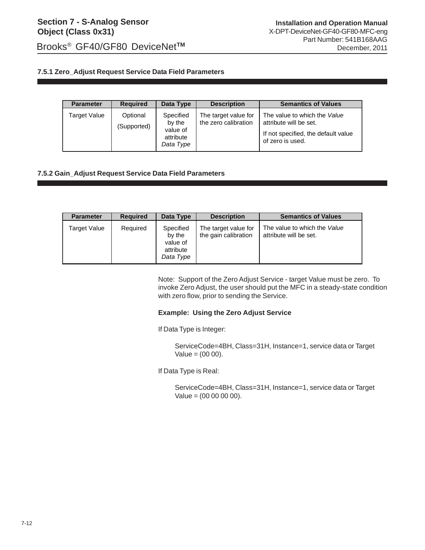# **7.5.1 Zero\_Adjust Request Service Data Field Parameters**

| <b>Parameter</b> | <b>Required</b>         | Data Type                                                 | <b>Description</b>                           | <b>Semantics of Values</b>                                                                                        |
|------------------|-------------------------|-----------------------------------------------------------|----------------------------------------------|-------------------------------------------------------------------------------------------------------------------|
| Target Value     | Optional<br>(Supported) | Specified<br>by the<br>value of<br>attribute<br>Data Type | The target value for<br>the zero calibration | The value to which the Value<br>attribute will be set.<br>If not specified, the default value<br>of zero is used. |

# **7.5.2 Gain\_Adjust Request Service Data Field Parameters**

| <b>Parameter</b> | <b>Required</b> | Data Type                                                 | <b>Description</b>                           | <b>Semantics of Values</b>                             |
|------------------|-----------------|-----------------------------------------------------------|----------------------------------------------|--------------------------------------------------------|
| Target Value     | Required        | Specified<br>by the<br>value of<br>attribute<br>Data Type | The target value for<br>the gain calibration | The value to which the Value<br>attribute will be set. |

Note: Support of the Zero Adjust Service - target Value must be zero. To invoke Zero Adjust, the user should put the MFC in a steady-state condition with zero flow, prior to sending the Service.

# **Example: Using the Zero Adjust Service**

If Data Type is Integer:

ServiceCode=4BH, Class=31H, Instance=1, service data or Target Value =  $(00 00)$ .

If Data Type is Real:

ServiceCode=4BH, Class=31H, Instance=1, service data or Target  $Value = (00 00 00 00)$ .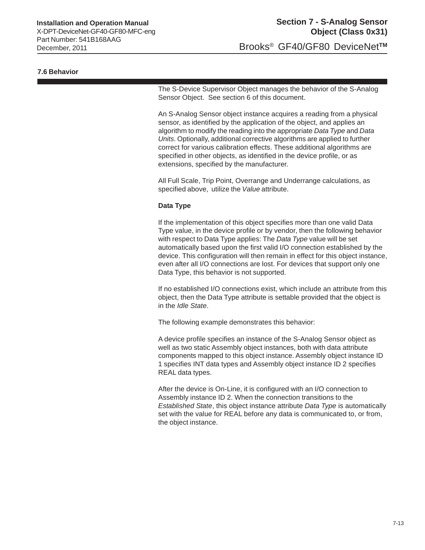# **7.6 Behavior**

The S-Device Supervisor Object manages the behavior of the S-Analog Sensor Object. See section 6 of this document.

An S-Analog Sensor object instance acquires a reading from a physical sensor, as identified by the application of the object, and applies an algorithm to modify the reading into the appropriate *Data Type* and *Data Units*. Optionally, additional corrective algorithms are applied to further correct for various calibration effects. These additional algorithms are specified in other objects, as identified in the device profile, or as extensions, specified by the manufacturer.

All Full Scale, Trip Point, Overrange and Underrange calculations, as specified above, utilize the *Value* attribute.

### **Data Type**

If the implementation of this object specifies more than one valid Data Type value, in the device profile or by vendor, then the following behavior with respect to Data Type applies: The *Data Type* value will be set automatically based upon the first valid I/O connection established by the device. This configuration will then remain in effect for this object instance, even after all I/O connections are lost. For devices that support only one Data Type, this behavior is not supported.

If no established I/O connections exist, which include an attribute from this object, then the Data Type attribute is settable provided that the object is in the *Idle State*.

The following example demonstrates this behavior:

A device profile specifies an instance of the S-Analog Sensor object as well as two static Assembly object instances, both with data attribute components mapped to this object instance. Assembly object instance ID 1 specifies INT data types and Assembly object instance ID 2 specifies REAL data types.

After the device is On-Line, it is configured with an I/O connection to Assembly instance ID 2. When the connection transitions to the *Established State*, this object instance attribute *Data Type* is automatically set with the value for REAL before any data is communicated to, or from, the object instance.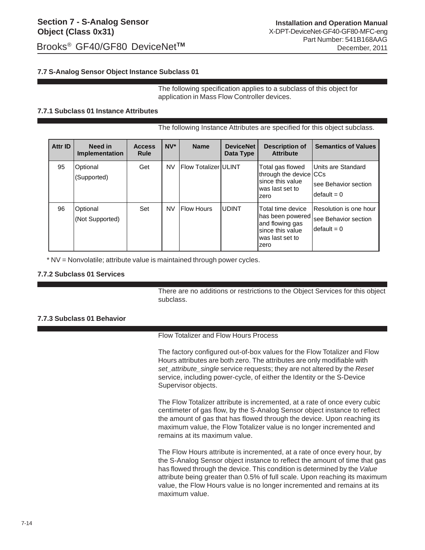# **7.7 S-Analog Sensor Object Instance Subclass 01**

The following specification applies to a subclass of this object for application in Mass Flow Controller devices.

## **7.7.1 Subclass 01 Instance Attributes**

The following Instance Attributes are specified for this object subclass.

| Attr ID | Need in<br><b>Implementation</b> | <b>Access</b><br><b>Rule</b> | $NV^*$ | <b>Name</b>                   | <b>DeviceNet</b><br>Data Type | <b>Description of</b><br><b>Attribute</b>                                                 | <b>Semantics of Values</b>                                                         |
|---------|----------------------------------|------------------------------|--------|-------------------------------|-------------------------------|-------------------------------------------------------------------------------------------|------------------------------------------------------------------------------------|
| 95      | Optional<br>(Supported)          | Get                          | NV.    | <b>IFlow Totalizer IULINT</b> |                               | Total gas flowed<br>through the device CCs<br>since this value<br>was last set to<br>zero | Units are Standard<br>see Behavior section<br>$default = 0$                        |
| 96      | Optional<br>(Not Supported)      | Set                          | NV.    | <b>Flow Hours</b>             | <b>UDINT</b>                  | Total time device<br>and flowing gas<br>since this value<br>was last set to<br>zero       | Resolution is one hour<br>thas been powered see Behavior section<br>$d$ efault = 0 |

\* NV = Nonvolatile; attribute value is maintained through power cycles.

# **7.7.2 Subclass 01 Services**

There are no additions or restrictions to the Object Services for this object subclass.

### **7.7.3 Subclass 01 Behavior**

Flow Totalizer and Flow Hours Process

The factory configured out-of-box values for the Flow Totalizer and Flow Hours attributes are both zero. The attributes are only modifiable with *set\_attribute\_single* service requests; they are not altered by the *Reset* service, including power-cycle, of either the Identity or the S-Device Supervisor objects.

The Flow Totalizer attribute is incremented, at a rate of once every cubic centimeter of gas flow, by the S-Analog Sensor object instance to reflect the amount of gas that has flowed through the device. Upon reaching its maximum value, the Flow Totalizer value is no longer incremented and remains at its maximum value.

The Flow Hours attribute is incremented, at a rate of once every hour, by the S-Analog Sensor object instance to reflect the amount of time that gas has flowed through the device. This condition is determined by the *Value* attribute being greater than 0.5% of full scale. Upon reaching its maximum value, the Flow Hours value is no longer incremented and remains at its maximum value.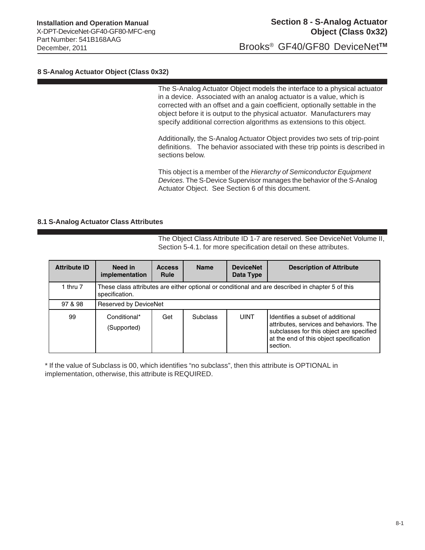# **8 S-Analog Actuator Object (Class 0x32)**

The S-Analog Actuator Object models the interface to a physical actuator in a device. Associated with an analog actuator is a value, which is corrected with an offset and a gain coefficient, optionally settable in the object before it is output to the physical actuator. Manufacturers may specify additional correction algorithms as extensions to this object.

Additionally, the S-Analog Actuator Object provides two sets of trip-point definitions. The behavior associated with these trip points is described in sections below.

This object is a member of the *Hierarchy of Semiconductor Equipment Devices*. The S-Device Supervisor manages the behavior of the S-Analog Actuator Object. See Section 6 of this document.

## **8.1 S-Analog Actuator Class Attributes**

The Object Class Attribute ID 1-7 are reserved. See DeviceNet Volume II, Section 5-4.1. for more specification detail on these attributes.

| <b>Attribute ID</b> | Need in<br>implementation                                                                                          | <b>Access</b><br>Rule        | <b>Name</b>     | <b>DeviceNet</b><br>Data Type | <b>Description of Attribute</b>                                                                                                                                                 |  |
|---------------------|--------------------------------------------------------------------------------------------------------------------|------------------------------|-----------------|-------------------------------|---------------------------------------------------------------------------------------------------------------------------------------------------------------------------------|--|
| 1 thru $7$          | These class attributes are either optional or conditional and are described in chapter 5 of this<br>specification. |                              |                 |                               |                                                                                                                                                                                 |  |
| 97 & 98             |                                                                                                                    | <b>Reserved by DeviceNet</b> |                 |                               |                                                                                                                                                                                 |  |
| 99                  | Conditional*<br>(Supported)                                                                                        | Get                          | <b>Subclass</b> | <b>UINT</b>                   | Identifies a subset of additional<br>attributes, services and behaviors. The<br>subclasses for this object are specified<br>at the end of this object specification<br>section. |  |

\* If the value of Subclass is 00, which identifies "no subclass", then this attribute is OPTIONAL in implementation, otherwise, this attribute is REQUIRED.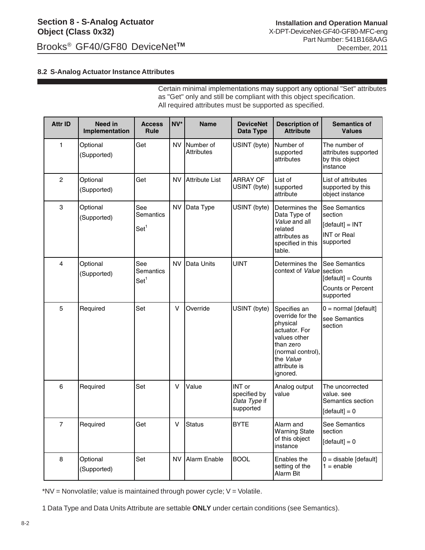# **8.2 S-Analog Actuator Instance Attributes**

Certain minimal implementations may support any optional "Set" attributes as "Get" only and still be compliant with this object specification. All required attributes must be supported as specified.

| <b>Attr ID</b> | <b>Need in</b><br>Implementation | <b>Access</b><br>Rule                | NV*       | <b>Name</b>                    | <b>DeviceNet</b><br>Data Type                       | <b>Description of</b><br><b>Attribute</b>                                                                                                                | <b>Semantics of</b><br><b>Values</b>                                                           |
|----------------|----------------------------------|--------------------------------------|-----------|--------------------------------|-----------------------------------------------------|----------------------------------------------------------------------------------------------------------------------------------------------------------|------------------------------------------------------------------------------------------------|
| $\mathbf{1}$   | Optional<br>(Supported)          | Get                                  | <b>NV</b> | Number of<br><b>Attributes</b> | USINT (byte)                                        | Number of<br>supported<br>attributes                                                                                                                     | The number of<br>attributes supported<br>by this object<br>instance                            |
| $\mathbf{2}$   | Optional<br>(Supported)          | Get                                  | <b>NV</b> | <b>Attribute List</b>          | <b>ARRAY OF</b><br>USINT (byte)                     | List of<br>supported<br>attribute                                                                                                                        | List of attributes<br>supported by this<br>object instance                                     |
| 3              | Optional<br>(Supported)          | See<br>Semantics<br>Set <sup>1</sup> | <b>NV</b> | Data Type                      | USINT (byte)                                        | Determines the<br>Data Type of<br>Value and all<br>related<br>attributes as<br>specified in this<br>table.                                               | See Semantics<br>section<br>$[default] = INT$<br><b>INT</b> or Real<br>supported               |
| 4              | Optional<br>(Supported)          | See<br>Semantics<br>Set <sup>1</sup> | <b>NV</b> | Data Units                     | <b>UINT</b>                                         | Determines the<br>context of Value                                                                                                                       | <b>See Semantics</b><br>section<br>[default] = Counts<br><b>Counts or Percent</b><br>supported |
| 5              | Required                         | Set                                  | ν         | Override                       | USINT (byte)                                        | Specifies an<br>override for the<br>physical<br>actuator. For<br>values other<br>than zero<br>(normal control),<br>the Value<br>attribute is<br>ignored. | $0 = normal$ [default]<br>see Semantics<br>section                                             |
| 6              | Required                         | Set                                  | V         | Value                          | INT or<br>specified by<br>Data Type if<br>supported | Analog output<br>value                                                                                                                                   | The uncorrected<br>value. see<br>Semantics section<br>$[default] = 0$                          |
| $\overline{7}$ | Required                         | Get                                  | v         | <b>Status</b>                  | <b>BYTE</b>                                         | Alarm and<br><b>Warning State</b><br>of this object<br>instance                                                                                          | See Semantics<br>section<br>$[default] = 0$                                                    |
| 8              | Optional<br>(Supported)          | Set                                  |           | NV Alarm Enable                | <b>BOOL</b>                                         | Enables the<br>setting of the<br>Alarm Bit                                                                                                               | $0 =$ disable [default]<br>$1 =$ enable                                                        |

\*NV = Nonvolatile; value is maintained through power cycle; V = Volatile.

1 Data Type and Data Units Attribute are settable **ONLY** under certain conditions (see Semantics).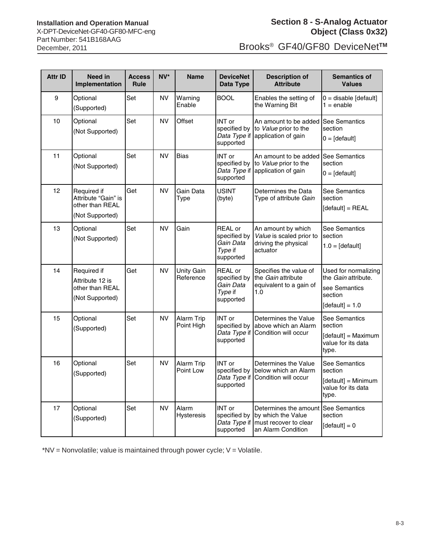# **Section 8 - S-Analog Actuator Object (Class 0x32)**

Brooks® GF40/GF80 DeviceNet**TM**

| <b>Attr ID</b> | Need in<br>Implementation                                                | <b>Access</b><br>Rule | NV*       | <b>Name</b>                | <b>DeviceNet</b><br>Data Type                                | <b>Description of</b><br><b>Attribute</b>                                                  | <b>Semantics of</b><br><b>Values</b>                                                         |
|----------------|--------------------------------------------------------------------------|-----------------------|-----------|----------------------------|--------------------------------------------------------------|--------------------------------------------------------------------------------------------|----------------------------------------------------------------------------------------------|
| 9              | Optional<br>(Supported)                                                  | Set                   | <b>NV</b> | Warning<br>Enable          | <b>BOOL</b>                                                  | Enables the setting of<br>the Warning Bit                                                  | $0 =$ disable [default]<br>$1 =$ enable                                                      |
| 10             | Optional<br>(Not Supported)                                              | Set                   | <b>NV</b> | Offset                     | INT or<br>specified by<br>Data Type if<br>supported          | An amount to be added<br>to Value prior to the<br>application of gain                      | <b>See Semantics</b><br>section<br>$0 = [default]$                                           |
| 11             | Optional<br>(Not Supported)                                              | Set                   | <b>NV</b> | <b>Bias</b>                | INT or<br>specified by<br>Data Type if<br>supported          | An amount to be added<br>to Value prior to the<br>application of gain                      | <b>See Semantics</b><br>section<br>$0 = [default]$                                           |
| 12             | Required if<br>Attribute "Gain" is<br>other than REAL<br>(Not Supported) | Get                   | <b>NV</b> | Gain Data<br>Type          | <b>USINT</b><br>(byte)                                       | Determines the Data<br>Type of attribute Gain                                              | <b>See Semantics</b><br>section<br>$[default] = REAL$                                        |
| 13             | Optional<br>(Not Supported)                                              | Set                   | <b>NV</b> | Gain                       | REAL or<br>specified by<br>Gain Data<br>Type if<br>supported | An amount by which<br>Value is scaled prior to<br>driving the physical<br>actuator         | <b>See Semantics</b><br>section<br>$1.0 = [default]$                                         |
| 14             | Required if<br>Attribute 12 is<br>other than REAL<br>(Not Supported)     | Get                   | <b>NV</b> | Unity Gain<br>Reference    | REAL or<br>specified by<br>Gain Data<br>Type if<br>supported | Specifies the value of<br>the Gain attribute<br>equivalent to a gain of<br>1.0             | Used for normalizing<br>the Gain attribute.<br>see Semantics<br>section<br>[default] = $1.0$ |
| 15             | Optional<br>(Supported)                                                  | Set                   | <b>NV</b> | Alarm Trip<br>Point High   | INT or<br>specified by<br>Data Type if<br>supported          | Determines the Value<br>above which an Alarm<br>Condition will occur                       | <b>See Semantics</b><br>section<br>[default] = Maximum<br>value for its data<br>type.        |
| 16             | Optional<br>(Supported)                                                  | Set                   | <b>NV</b> | Alarm Trip<br>Point Low    | INT or<br>specified by<br>supported                          | Determines the Value<br>below which an Alarm<br>Data Type if Condition will occur          | See Semantics<br>section<br>$[default] = Minimum$<br>value for its data<br>type.             |
| 17             | Optional<br>(Supported)                                                  | Set                   | <b>NV</b> | Alarm<br><b>Hysteresis</b> | INT or<br>specified by<br>Data Type if<br>supported          | Determines the amount<br>by which the Value<br>must recover to clear<br>an Alarm Condition | <b>See Semantics</b><br>section<br>$[default] = 0$                                           |

\*NV = Nonvolatile; value is maintained through power cycle; V = Volatile.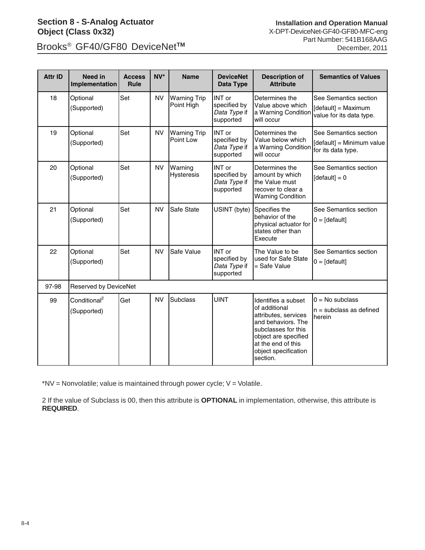| <b>Attr ID</b> | <b>Need in</b><br>Implementation        | <b>Access</b><br><b>Rule</b> | $N V^*$   | <b>Name</b>                       | <b>DeviceNet</b><br>Data Type                              | <b>Description of</b><br><b>Attribute</b>                                                                                                                                                   | <b>Semantics of Values</b>                                               |
|----------------|-----------------------------------------|------------------------------|-----------|-----------------------------------|------------------------------------------------------------|---------------------------------------------------------------------------------------------------------------------------------------------------------------------------------------------|--------------------------------------------------------------------------|
| 18             | Optional<br>(Supported)                 | Set                          | <b>NV</b> | <b>Warning Trip</b><br>Point High | INT or<br>specified by<br>Data Type if<br>supported        | Determines the<br>Value above which<br>a Warning Condition<br>will occur                                                                                                                    | See Semantics section<br>[default] = Maximum<br>value for its data type. |
| 19             | Optional<br>(Supported)                 | Set                          | <b>NV</b> | <b>Warning Trip</b><br>Point Low  | INT or<br>specified by<br>Data Type if<br>supported        | Determines the<br>Value below which<br>a Warning Condition<br>will occur                                                                                                                    | See Semantics section<br>[default] = Minimum value<br>for its data type. |
| 20             | Optional<br>(Supported)                 | Set                          | <b>NV</b> | Warning<br><b>Hysteresis</b>      | INT or<br>specified by<br>Data Type if<br>supported        | Determines the<br>amount by which<br>the Value must<br>recover to clear a<br><b>Warning Condition</b>                                                                                       | See Semantics section<br>$[default] = 0$                                 |
| 21             | Optional<br>(Supported)                 | Set                          | <b>NV</b> | Safe State                        | USINT (byte)                                               | Specifies the<br>behavior of the<br>physical actuator for<br>states other than<br>Execute                                                                                                   | See Semantics section<br>$0 = [default]$                                 |
| 22             | Optional<br>(Supported)                 | Set                          | <b>NV</b> | Safe Value                        | <b>INT</b> or<br>specified by<br>Data Type if<br>supported | The Value to be<br>used for Safe State<br>= Safe Value                                                                                                                                      | See Semantics section<br>$0 = [default]$                                 |
| 97-98          | Reserved by DeviceNet                   |                              |           |                                   |                                                            |                                                                                                                                                                                             |                                                                          |
| 99             | Conditional <sup>2</sup><br>(Supported) | Get                          | <b>NV</b> | <b>Subclass</b>                   | <b>UINT</b>                                                | Identifies a subset<br>of additional<br>attributes, services<br>and behaviors. The<br>subclasses for this<br>object are specified<br>at the end of this<br>object specification<br>section. | $0 = No$ subclass<br>$n =$ subclass as defined<br>herein                 |

\*NV = Nonvolatile; value is maintained through power cycle; V = Volatile.

2 If the value of Subclass is 00, then this attribute is **OPTIONAL** in implementation, otherwise, this attribute is **REQUIRED**.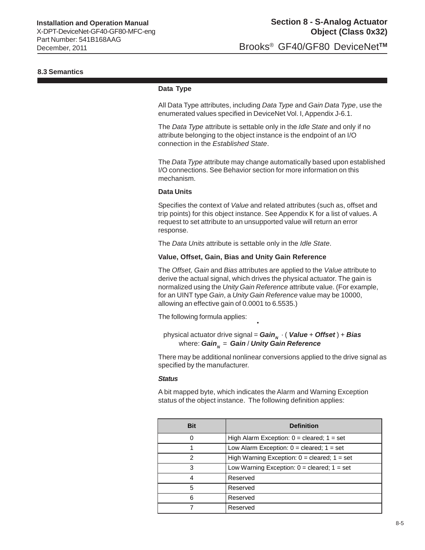### **8.3 Semantics**

#### **Data Type**

All Data Type attributes, including *Data Type* and *Gain Data Type*, use the enumerated values specified in DeviceNet Vol. I, Appendix J-6.1.

The *Data Type* attribute is settable only in the *Idle State* and only if no attribute belonging to the object instance is the endpoint of an I/O connection in the *Established State*.

The *Data Type* attribute may change automatically based upon established I/O connections. See Behavior section for more information on this mechanism.

#### **Data Units**

Specifies the context of *Value* and related attributes (such as, offset and trip points) for this object instance. See Appendix K for a list of values. A request to set attribute to an unsupported value will return an error response.

The *Data Units* attribute is settable only in the *Idle State*.

### **Value, Offset, Gain, Bias and Unity Gain Reference**

The *Offset, Gain* and *Bias* attributes are applied to the *Value* attribute to derive the actual signal, which drives the physical actuator. The gain is normalized using the *Unity Gain Reference* attribute value. (For example, for an UINT type *Gain*, a *Unity Gain Reference* value may be 10000, allowing an effective gain of 0.0001 to 6.5535.)

The following formula applies:

physical actuator drive signal = **Gain**<sub>N</sub> · ( **Value** + **Offset**) + **Bias** where: *Gain<sub>N</sub>* = *Gain* / *Unity Gain Reference* 

There may be additional nonlinear conversions applied to the drive signal as specified by the manufacturer.

#### *Status*

A bit mapped byte, which indicates the Alarm and Warning Exception status of the object instance. The following definition applies:

| Bit | <b>Definition</b>                                |
|-----|--------------------------------------------------|
|     | High Alarm Exception: $0 =$ cleared; $1 =$ set   |
|     | Low Alarm Exception: $0 =$ cleared; $1 =$ set    |
| 2   | High Warning Exception: $0 =$ cleared; $1 =$ set |
| 3   | Low Warning Exception: $0 =$ cleared; $1 =$ set  |
|     | Reserved                                         |
| 5   | Reserved                                         |
| 6   | Reserved                                         |
|     | Reserved                                         |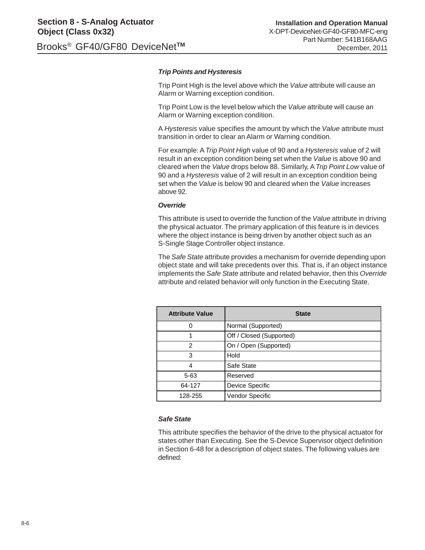## *Trip Points and Hysteresis*

Trip Point High is the level above which the *Value* attribute will cause an Alarm or Warning exception condition.

Trip Point Low is the level below which the *Value* attribute will cause an Alarm or Warning exception condition.

A *Hysteresis* value specifies the amount by which the *Value* attribute must transition in order to clear an Alarm or Warning condition.

For example: A *Trip Point High* value of 90 and a *Hysteresis* value of 2 will result in an exception condition being set when the *Value* is above 90 and cleared when the *Value* drops below 88. Similarly, A *Trip Point Low* value of 90 and a *Hysteresis* value of 2 will result in an exception condition being set when the *Value* is below 90 and cleared when the *Value* increases above 92.

### *Override*

This attribute is used to override the function of the *Value* attribute in driving the physical actuator. The primary application of this feature is in devices where the object instance is being driven by another object such as an S-Single Stage Controller object instance.

The *Safe State* attribute provides a mechanism for override depending upon object state and will take precedents over this. That is, if an object instance implements the *Safe State* attribute and related behavior, then this *Override* attribute and related behavior will only function in the Executing State.

| <b>Attribute Value</b> | <b>State</b>             |  |  |  |
|------------------------|--------------------------|--|--|--|
| U                      | Normal (Supported)       |  |  |  |
|                        | Off / Closed (Supported) |  |  |  |
| 2                      | On / Open (Supported)    |  |  |  |
| 3                      | Hold                     |  |  |  |
| 4                      | Safe State               |  |  |  |
| $5 - 63$               | Reserved                 |  |  |  |
| 64-127                 | Device Specific          |  |  |  |
| 128-255                | Vendor Specific          |  |  |  |

### *Safe State*

This attribute specifies the behavior of the drive to the physical actuator for states other than Executing. See the S-Device Supervisor object definition in Section 6-48 for a description of object states. The following values are defined: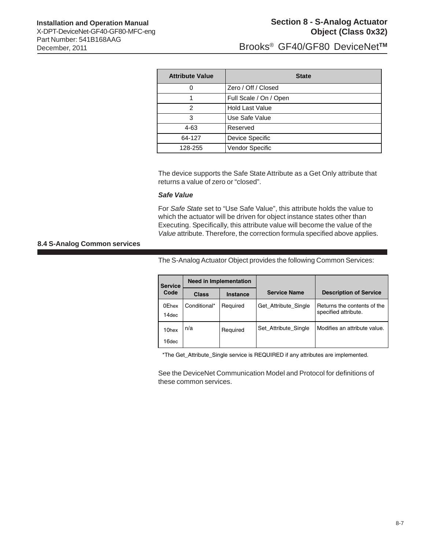| <b>Attribute Value</b> | <b>State</b>           |
|------------------------|------------------------|
|                        | Zero / Off / Closed    |
|                        | Full Scale / On / Open |
| 2                      | <b>Hold Last Value</b> |
| 3                      | Use Safe Value         |
| $4 - 63$               | Reserved               |
| 64-127                 | Device Specific        |
| 128-255                | Vendor Specific        |

The device supports the Safe State Attribute as a Get Only attribute that returns a value of zero or "closed".

### *Safe Value*

For *Safe State* set to "Use Safe Value", this attribute holds the value to which the actuator will be driven for object instance states other than Executing. Specifically, this attribute value will become the value of the *Value* attribute. Therefore, the correction formula specified above applies.

# **8.4 S-Analog Common services**

The S-Analog Actuator Object provides the following Common Services:

| <b>Service</b> |              | <b>Need in Implementation</b> |                      |                                                     |
|----------------|--------------|-------------------------------|----------------------|-----------------------------------------------------|
| Code           | <b>Class</b> | <b>Instance</b>               | <b>Service Name</b>  | <b>Description of Service</b>                       |
| 0Ehex<br>14dec | Conditional* | Required                      | Get_Attribute_Single | Returns the contents of the<br>specified attribute. |
| 10hex<br>6dec  | n/a          | Required                      | Set Attribute Single | Modifies an attribute value.                        |

\*The Get\_Attribute\_Single service is REQUIRED if any attributes are implemented.

See the DeviceNet Communication Model and Protocol for definitions of these common services.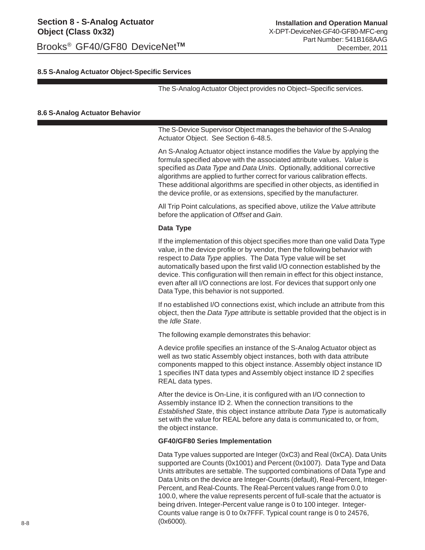## **8.5 S-Analog Actuator Object-Specific Services**

The S-Analog Actuator Object provides no Object–Specific services.

### **8.6 S-Analog Actuator Behavior**

The S-Device Supervisor Object manages the behavior of the S-Analog Actuator Object. See Section 6-48.5.

An S-Analog Actuator object instance modifies the *Value* by applying the formula specified above with the associated attribute values. *Value* is specified as *Data Type* and *Data Units*. Optionally, additional corrective algorithms are applied to further correct for various calibration effects. These additional algorithms are specified in other objects, as identified in the device profile, or as extensions, specified by the manufacturer.

All Trip Point calculations, as specified above, utilize the *Value* attribute before the application of *Offset* and *Gain*.

#### **Data Type**

If the implementation of this object specifies more than one valid Data Type value, in the device profile or by vendor, then the following behavior with respect to *Data Type* applies. The Data Type value will be set automatically based upon the first valid I/O connection established by the device. This configuration will then remain in effect for this object instance, even after all I/O connections are lost. For devices that support only one Data Type, this behavior is not supported.

If no established I/O connections exist, which include an attribute from this object, then the *Data Type* attribute is settable provided that the object is in the *Idle State*.

The following example demonstrates this behavior:

A device profile specifies an instance of the S-Analog Actuator object as well as two static Assembly object instances, both with data attribute components mapped to this object instance. Assembly object instance ID 1 specifies INT data types and Assembly object instance ID 2 specifies REAL data types.

After the device is On-Line, it is configured with an I/O connection to Assembly instance ID 2. When the connection transitions to the *Established State*, this object instance attribute *Data Type* is automatically set with the value for REAL before any data is communicated to, or from, the object instance.

#### **GF40/GF80 Series Implementation**

Data Type values supported are Integer (0xC3) and Real (0xCA). Data Units supported are Counts (0x1001) and Percent (0x1007). Data Type and Data Units attributes are settable. The supported combinations of Data Type and Data Units on the device are Integer-Counts (default), Real-Percent, Integer-Percent, and Real-Counts. The Real-Percent values range from 0.0 to 100.0, where the value represents percent of full-scale that the actuator is being driven. Integer-Percent value range is 0 to 100 integer. Integer-Counts value range is 0 to 0x7FFF. Typical count range is 0 to 24576, (0x6000).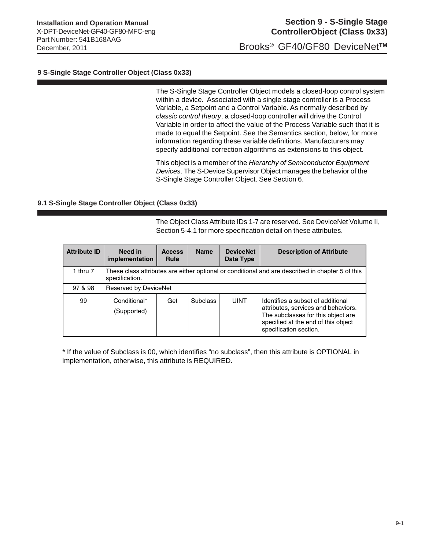# **9 S-Single Stage Controller Object (Class 0x33)**

The S-Single Stage Controller Object models a closed-loop control system within a device. Associated with a single stage controller is a Process Variable, a Setpoint and a Control Variable. As normally described by *classic control theory*, a closed-loop controller will drive the Control Variable in order to affect the value of the Process Variable such that it is made to equal the Setpoint. See the Semantics section, below, for more information regarding these variable definitions. Manufacturers may specify additional correction algorithms as extensions to this object.

This object is a member of the *Hierarchy of Semiconductor Equipment Devices*. The S-Device Supervisor Object manages the behavior of the S-Single Stage Controller Object. See Section 6.

# **9.1 S-Single Stage Controller Object (Class 0x33)**

The Object Class Attribute IDs 1-7 are reserved. See DeviceNet Volume II, Section 5-4.1 for more specification detail on these attributes.

| <b>Attribute ID</b> | Need in<br>implementation                                                                                          | <b>Access</b><br><b>Rule</b> | <b>Name</b>     | <b>DeviceNet</b><br>Data Type | <b>Description of Attribute</b>                                                                                                                                                 |  |  |
|---------------------|--------------------------------------------------------------------------------------------------------------------|------------------------------|-----------------|-------------------------------|---------------------------------------------------------------------------------------------------------------------------------------------------------------------------------|--|--|
| 1 thru $7$          | These class attributes are either optional or conditional and are described in chapter 5 of this<br>specification. |                              |                 |                               |                                                                                                                                                                                 |  |  |
| 97 & 98             | Reserved by DeviceNet                                                                                              |                              |                 |                               |                                                                                                                                                                                 |  |  |
| 99                  | Conditional*<br>(Supported)                                                                                        | Get                          | <b>Subclass</b> | <b>UINT</b>                   | Identifies a subset of additional<br>attributes, services and behaviors.<br>The subclasses for this object are<br>specified at the end of this object<br>specification section. |  |  |

\* If the value of Subclass is 00, which identifies "no subclass", then this attribute is OPTIONAL in implementation, otherwise, this attribute is REQUIRED.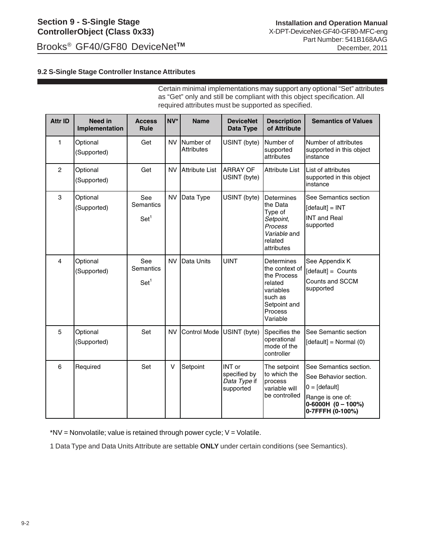# **9.2 S-Single Stage Controller Instance Attributes**

Certain minimal implementations may support any optional "Set" attributes as "Get" only and still be compliant with this object specification. All required attributes must be supported as specified.

| <b>Attr ID</b> | Need in<br>Implementation | <b>Access</b><br>Rule                       | NV*       | <b>Name</b>                    | <b>DeviceNet</b><br>Data Type                       | <b>Description</b><br>of Attribute                                                                                    | <b>Semantics of Values</b>                                                                                                       |
|----------------|---------------------------|---------------------------------------------|-----------|--------------------------------|-----------------------------------------------------|-----------------------------------------------------------------------------------------------------------------------|----------------------------------------------------------------------------------------------------------------------------------|
| 1              | Optional<br>(Supported)   | Get                                         | <b>NV</b> | Number of<br><b>Attributes</b> | USINT (byte)                                        | Number of<br>supported<br>attributes                                                                                  | Number of attributes<br>supported in this object<br>instance                                                                     |
| $\overline{2}$ | Optional<br>(Supported)   | Get                                         | <b>NV</b> | <b>Attribute List</b>          | <b>ARRAY OF</b><br>USINT (byte)                     | <b>Attribute List</b>                                                                                                 | List of attributes<br>supported in this object<br>instance                                                                       |
| 3              | Optional<br>(Supported)   | See<br><b>Semantics</b><br>Set <sup>1</sup> | <b>NV</b> | Data Type                      | USINT (byte)                                        | <b>Determines</b><br>the Data<br>Type of<br>Setpoint,<br>Process<br>Variable and<br>related<br>attributes             | See Semantics section<br>[default] = INT<br><b>INT and Real</b><br>supported                                                     |
| 4              | Optional<br>(Supported)   | See<br>Semantics<br>Set <sup>1</sup>        | <b>NV</b> | Data Units                     | <b>UINT</b>                                         | Determines<br>the context of<br>the Process<br>related<br>variables<br>such as<br>Setpoint and<br>Process<br>Variable | See Appendix K<br>[default] = Counts<br>Counts and SCCM<br>supported                                                             |
| 5              | Optional<br>(Supported)   | Set                                         | <b>NV</b> | Control Mode                   | USINT (byte)                                        | Specifies the<br>operational<br>mode of the<br>controller                                                             | See Semantic section<br>$[default] = Normal (0)$                                                                                 |
| 6              | Required                  | Set                                         | V         | Setpoint                       | INT or<br>specified by<br>Data Type if<br>supported | The setpoint<br>to which the<br>process<br>variable will<br>be controlled                                             | See Semantics section.<br>See Behavior section.<br>$0 = [default]$<br>Range is one of:<br>$0-6000H (0-100%)$<br>0-7FFFH (0-100%) |

 $*$ NV = Nonvolatile; value is retained through power cycle; V = Volatile.

1 Data Type and Data Units Attribute are settable **ONLY** under certain conditions (see Semantics).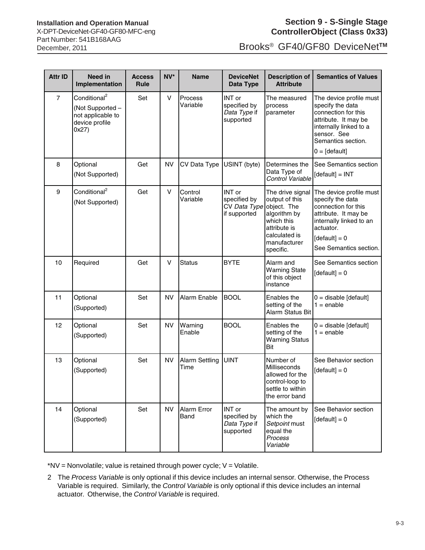# **Section 9 - S-Single Stage ControllerObject (Class 0x33)**

# Brooks® GF40/GF80 DeviceNet**TM**

| <b>Attr ID</b> | <b>Need in</b><br>Implementation                                                             | <b>Access</b><br><b>Rule</b> | NV*       | <b>Name</b>                   | <b>DeviceNet</b><br>Data Type                                      | <b>Description of</b><br><b>Attribute</b>                                                                                      | <b>Semantics of Values</b>                                                                                                                                                      |
|----------------|----------------------------------------------------------------------------------------------|------------------------------|-----------|-------------------------------|--------------------------------------------------------------------|--------------------------------------------------------------------------------------------------------------------------------|---------------------------------------------------------------------------------------------------------------------------------------------------------------------------------|
| $\overline{7}$ | Conditional <sup>2</sup><br>(Not Supported -<br>not applicable to<br>device profile<br>0x27) | Set                          | V         | Process<br>Variable           | INT or<br>specified by<br>Data Type if<br>supported                | The measured<br>process<br>parameter                                                                                           | The device profile must<br>specify the data<br>connection for this<br>attribute. It may be<br>internally linked to a<br>sensor. See<br>Semantics section.<br>$0 = [default]$    |
| 8              | Optional<br>(Not Supported)                                                                  | Get                          | <b>NV</b> | CV Data Type                  | USINT (byte)                                                       | Determines the<br>Data Type of<br>Control Variable                                                                             | See Semantics section<br>$[default] = INT$                                                                                                                                      |
| 9              | Conditional <sup>2</sup><br>(Not Supported)                                                  | Get                          | V         | Control<br>Variable           | INT or<br>specified by<br>CV Data Type object. The<br>if supported | The drive signal<br>output of this<br>algorithm by<br>which this<br>attribute is<br>calculated is<br>manufacturer<br>specific. | The device profile must<br>specify the data<br>connection for this<br>attribute. It may be<br>internally linked to an<br>actuator.<br>$[default] = 0$<br>See Semantics section. |
| 10             | Required                                                                                     | Get                          | v         | <b>Status</b>                 | <b>BYTE</b>                                                        | Alarm and<br><b>Warning State</b><br>of this object<br>instance                                                                | See Semantics section<br>$[default] = 0$                                                                                                                                        |
| 11             | Optional<br>(Supported)                                                                      | Set                          | <b>NV</b> | Alarm Enable                  | <b>BOOL</b>                                                        | Enables the<br>setting of the<br><b>Alarm Status Bit</b>                                                                       | $0 =$ disable [default]<br>$1 =$ enable                                                                                                                                         |
| 12             | Optional<br>(Supported)                                                                      | Set                          | <b>NV</b> | Warning<br>Enable             | <b>BOOL</b>                                                        | Enables the<br>setting of the<br><b>Warning Status</b><br>Bit                                                                  | $0 =$ disable [default]<br>$1 =$ enable                                                                                                                                         |
| 13             | Optional<br>(Supported)                                                                      | Set                          | <b>NV</b> | <b>Alarm Settling</b><br>Time | <b>UINT</b>                                                        | Number of<br>Milliseconds<br>allowed for the<br>control-loop to<br>settle to within<br>the error band                          | See Behavior section<br>$[default] = 0$                                                                                                                                         |
| 14             | Optional<br>(Supported)                                                                      | Set                          | <b>NV</b> | Alarm Error<br><b>Band</b>    | INT or<br>specified by<br>Data Type if<br>supported                | The amount by<br>which the<br>Setpoint must<br>equal the<br>Process<br>Variable                                                | See Behavior section<br>$[default] = 0$                                                                                                                                         |

\*NV = Nonvolatile; value is retained through power cycle; V = Volatile.

2 The *Process Variable* is only optional if this device includes an internal sensor. Otherwise, the Process Variable is required. Similarly, the *Control Variable* is only optional if this device includes an internal actuator. Otherwise, the *Control Variable* is required.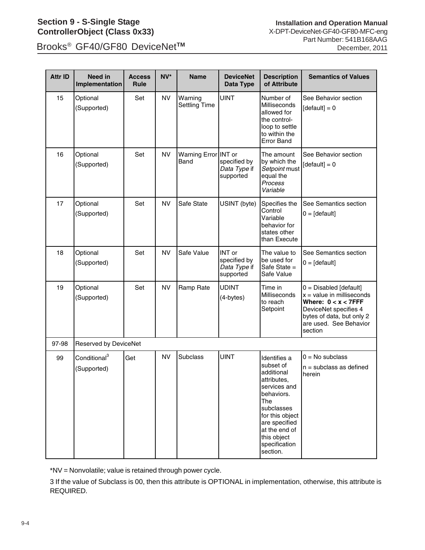| <b>Attr ID</b> | <b>Need in</b><br>Implementation        | <b>Access</b><br><b>Rule</b> | $N V^*$   | <b>Name</b>                  | <b>DeviceNet</b><br>Data Type                       | <b>Description</b><br>of Attribute                                                                                                                                                                         | <b>Semantics of Values</b>                                                                                                                                                    |
|----------------|-----------------------------------------|------------------------------|-----------|------------------------------|-----------------------------------------------------|------------------------------------------------------------------------------------------------------------------------------------------------------------------------------------------------------------|-------------------------------------------------------------------------------------------------------------------------------------------------------------------------------|
| 15             | Optional<br>(Supported)                 | Set                          | <b>NV</b> | Warning<br>Settling Time     | <b>UINT</b>                                         | Number of<br>Milliseconds<br>allowed for<br>the control-<br>loop to settle<br>to within the<br><b>Error Band</b>                                                                                           | See Behavior section<br>$[default] = 0$                                                                                                                                       |
| 16             | Optional<br>(Supported)                 | Set                          | <b>NV</b> | Warning Error INT or<br>Band | specified by<br>Data Type if<br>supported           | The amount<br>by which the<br>Setpoint must<br>equal the<br>Process<br>Variable                                                                                                                            | See Behavior section<br>$[default] = 0$                                                                                                                                       |
| 17             | Optional<br>(Supported)                 | Set                          | <b>NV</b> | Safe State                   | USINT (byte)                                        | Specifies the<br>Control<br>Variable<br>behavior for<br>states other<br>than Execute                                                                                                                       | See Semantics section<br>$0 = [default]$                                                                                                                                      |
| 18             | Optional<br>(Supported)                 | Set                          | <b>NV</b> | Safe Value                   | INT or<br>specified by<br>Data Type if<br>supported | The value to<br>be used for<br>Safe State =<br>Safe Value                                                                                                                                                  | See Semantics section<br>$0 = [default]$                                                                                                                                      |
| 19             | Optional<br>(Supported)                 | Set                          | <b>NV</b> | Ramp Rate                    | <b>UDINT</b><br>(4-bytes)                           | Time in<br>Milliseconds<br>to reach<br>Setpoint                                                                                                                                                            | $0 = Disabeled [default]$<br>$x = value$ in milliseconds<br>Where: $0 < x < 7$ FFF<br>DeviceNet specifies 4<br>bytes of data, but only 2<br>are used. See Behavior<br>section |
| 97-98          | <b>Reserved by DeviceNet</b>            |                              |           |                              |                                                     |                                                                                                                                                                                                            |                                                                                                                                                                               |
| 99             | Conditional <sup>3</sup><br>(Supported) | Get                          | <b>NV</b> | <b>Subclass</b>              | <b>UINT</b>                                         | Identifies a<br>subset of<br>additional<br>attributes,<br>services and<br>behaviors.<br>The<br>subclasses<br>for this object<br>are specified<br>at the end of<br>this object<br>specification<br>section. | $0 = No$ subclass<br>$n =$ subclass as defined<br>herein                                                                                                                      |

\*NV = Nonvolatile; value is retained through power cycle.

3 If the value of Subclass is 00, then this attribute is OPTIONAL in implementation, otherwise, this attribute is REQUIRED.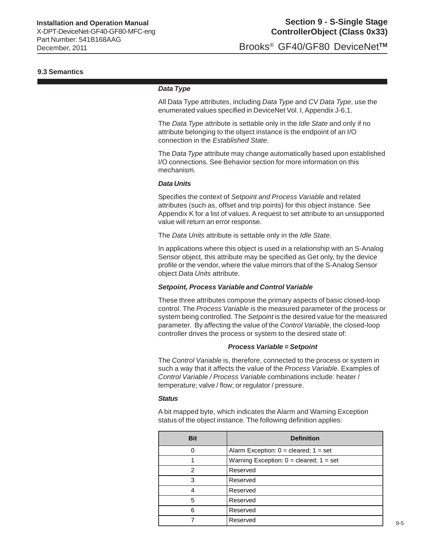### **9.3 Semantics**

#### *Data Type*

All Data Type attributes, including *Data Type* and *CV Data Type*, use the enumerated values specified in DeviceNet Vol. I, Appendix J-6.1.

The *Data Type* attribute is settable only in the *Idle State* and only if no attribute belonging to the object instance is the endpoint of an I/O connection in the *Established State*.

The *Data Type* attribute may change automatically based upon established I/O connections. See Behavior section for more information on this mechanism.

#### *Data Units*

Specifies the context of *Setpoint and Process Variable* and related attributes (such as, offset and trip points) for this object instance. See Appendix K for a list of values. A request to set attribute to an unsupported value will return an error response.

The *Data Units* attribute is settable only in the *Idle State*.

In applications where this object is used in a relationship with an S-Analog Sensor object, this attribute may be specified as Get only, by the device profile or the vendor, where the value mirrors that of the S-Analog Sensor object *Data Units* attribute.

#### *Setpoint, Process Variable and Control Variable*

These three attributes compose the primary aspects of basic closed-loop control. The *Process Variable* is the measured parameter of the process or system being controlled. The *Setpoint* is the desired value for the measured parameter. By affecting the value of the *Control Variable*, the closed-loop controller drives the process or system to the desired state of:

#### *Process Variable = Setpoint*

The *Control Variable* is, therefore, connected to the process or system in such a way that it affects the value of the *Process Variable*. Examples of *Control Variable / Process Variable* combinations include: heater / temperature; valve / flow; or regulator / pressure.

#### *Status*

A bit mapped byte, which indicates the Alarm and Warning Exception status of the object instance. The following definition applies:

| <b>Bit</b>    | <b>Definition</b>                           |  |  |  |  |  |
|---------------|---------------------------------------------|--|--|--|--|--|
|               | Alarm Exception: $0 =$ cleared; $1 =$ set   |  |  |  |  |  |
|               | Warning Exception: $0 =$ cleared; $1 =$ set |  |  |  |  |  |
| $\mathcal{P}$ | Reserved                                    |  |  |  |  |  |
| 3             | Reserved                                    |  |  |  |  |  |
|               | Reserved                                    |  |  |  |  |  |
| 5             | Reserved                                    |  |  |  |  |  |
| 6             | Reserved                                    |  |  |  |  |  |
|               | Reserved                                    |  |  |  |  |  |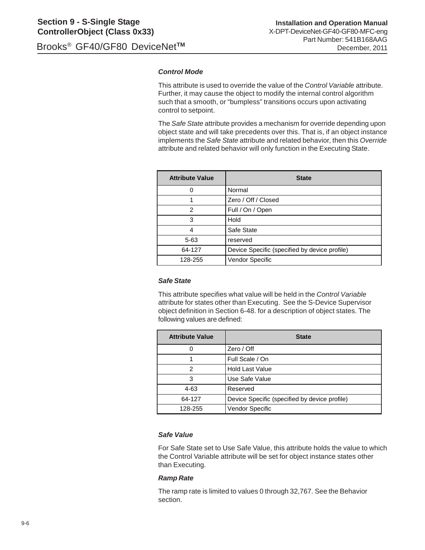### *Control Mode*

This attribute is used to override the value of the *Control Variable* attribute. Further, it may cause the object to modify the internal control algorithm such that a smooth, or "bumpless" transitions occurs upon activating control to setpoint.

The *Safe State* attribute provides a mechanism for override depending upon object state and will take precedents over this. That is, if an object instance implements the *Safe State* attribute and related behavior, then this *Override* attribute and related behavior will only function in the Executing State.

| <b>Attribute Value</b> | <b>State</b>                                  |  |  |  |
|------------------------|-----------------------------------------------|--|--|--|
| U                      | Normal                                        |  |  |  |
|                        | Zero / Off / Closed                           |  |  |  |
| 2                      | Full / On / Open                              |  |  |  |
| 3                      | Hold                                          |  |  |  |
| 4                      | Safe State                                    |  |  |  |
| $5 - 63$               | reserved                                      |  |  |  |
| 64-127                 | Device Specific (specified by device profile) |  |  |  |
| 128-255                | <b>Vendor Specific</b>                        |  |  |  |

### *Safe State*

This attribute specifies what value will be held in the *Control Variable* attribute for states other than Executing. See the S-Device Supervisor object definition in Section 6-48. for a description of object states. The following values are defined:

| <b>Attribute Value</b> | <b>State</b>                                  |
|------------------------|-----------------------------------------------|
| 0                      | Zero / Off                                    |
|                        | Full Scale / On                               |
| 2                      | <b>Hold Last Value</b>                        |
| 3                      | Use Safe Value                                |
| $4 - 63$               | Reserved                                      |
| 64-127                 | Device Specific (specified by device profile) |
| 128-255                | <b>Vendor Specific</b>                        |

### *Safe Value*

For Safe State set to Use Safe Value, this attribute holds the value to which the Control Variable attribute will be set for object instance states other than Executing.

# *Ramp Rate*

The ramp rate is limited to values 0 through 32,767. See the Behavior section.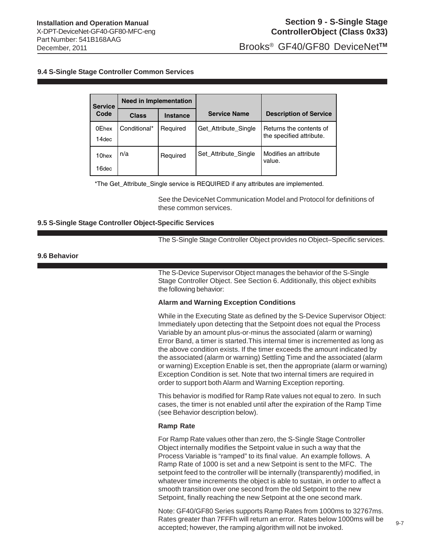### **9.4 S-Single Stage Controller Common Services**

| <b>Service</b> | <b>Need in Implementation</b> |                 |                      |                                                     |
|----------------|-------------------------------|-----------------|----------------------|-----------------------------------------------------|
| Code           | <b>Class</b>                  | <b>Instance</b> | <b>Service Name</b>  | <b>Description of Service</b>                       |
| 0Ehex<br>14dec | Conditional*                  | Required        | Get Attribute Single | Returns the contents of<br>the specified attribute. |
| 10hex<br>16dec | n/a                           | Required        | Set Attribute Single | Modifies an attribute<br>value.                     |

\*The Get\_Attribute\_Single service is REQUIRED if any attributes are implemented.

See the DeviceNet Communication Model and Protocol for definitions of these common services.

### **9.5 S-Single Stage Controller Object-Specific Services**

The S-Single Stage Controller Object provides no Object–Specific services.

# **9.6 Behavior**

The S-Device Supervisor Object manages the behavior of the S-Single Stage Controller Object. See Section 6. Additionally, this object exhibits the following behavior:

### **Alarm and Warning Exception Conditions**

While in the Executing State as defined by the S-Device Supervisor Object: Immediately upon detecting that the Setpoint does not equal the Process Variable by an amount plus-or-minus the associated (alarm or warning) Error Band, a timer is started.This internal timer is incremented as long as the above condition exists. If the timer exceeds the amount indicated by the associated (alarm or warning) Settling Time and the associated (alarm or warning) Exception Enable is set, then the appropriate (alarm or warning) Exception Condition is set. Note that two internal timers are required in order to support both Alarm and Warning Exception reporting.

This behavior is modified for Ramp Rate values not equal to zero. In such cases, the timer is not enabled until after the expiration of the Ramp Time (see Behavior description below).

#### **Ramp Rate**

For Ramp Rate values other than zero, the S-Single Stage Controller Object internally modifies the Setpoint value in such a way that the Process Variable is "ramped" to its final value. An example follows. A Ramp Rate of 1000 is set and a new Setpoint is sent to the MFC. The setpoint feed to the controller will be internally (transparently) modified, in whatever time increments the object is able to sustain, in order to affect a smooth transition over one second from the old Setpoint to the new Setpoint, finally reaching the new Setpoint at the one second mark.

Note: GF40/GF80 Series supports Ramp Rates from 1000ms to 32767ms. Rates greater than 7FFFh will return an error. Rates below 1000ms will be accepted; however, the ramping algorithm will not be invoked.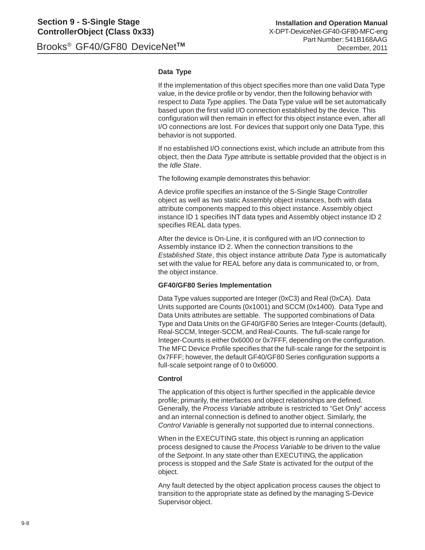### **Data Type**

If the implementation of this object specifies more than one valid Data Type value, in the device profile or by vendor, then the following behavior with respect to *Data Type* applies. The Data Type value will be set automatically based upon the first valid I/O connection established by the device. This configuration will then remain in effect for this object instance even, after all I/O connections are lost. For devices that support only one Data Type, this behavior is not supported.

If no established I/O connections exist, which include an attribute from this object, then the *Data Type* attribute is settable provided that the object is in the *Idle State*.

The following example demonstrates this behavior:

A device profile specifies an instance of the S-Single Stage Controller object as well as two static Assembly object instances, both with data attribute components mapped to this object instance. Assembly object instance ID 1 specifies INT data types and Assembly object instance ID 2 specifies REAL data types.

After the device is On-Line, it is configured with an I/O connection to Assembly instance ID 2. When the connection transitions to the *Established State*, this object instance attribute *Data Type* is automatically set with the value for REAL before any data is communicated to, or from, the object instance.

# **GF40/GF80 Series Implementation**

Data Type values supported are Integer (0xC3) and Real (0xCA). Data Units supported are Counts (0x1001) and SCCM (0x1400). Data Type and Data Units attributes are settable. The supported combinations of Data Type and Data Units on the GF40/GF80 Series are Integer-Counts (default), Real-SCCM, Integer-SCCM, and Real-Counts. The full-scale range for Integer-Counts is either 0x6000 or 0x7FFF, depending on the configuration. The MFC Device Profile specifies that the full-scale range for the setpoint is 0x7FFF; however, the default GF40/GF80 Series configuration supports a full-scale setpoint range of 0 to 0x6000.

### **Control**

The application of this object is further specified in the applicable device profile; primarily, the interfaces and object relationships are defined. Generally, the *Process Variable* attribute is restricted to "Get Only" access and an internal connection is defined to another object. Similarly, the *Control Variable* is generally not supported due to internal connections.

When in the EXECUTING state, this object is running an application process designed to cause the *Process Variable* to be driven to the value of the *Setpoint*. In any state other than EXECUTING, the application process is stopped and the *Safe State* is activated for the output of the object.

Any fault detected by the object application process causes the object to transition to the appropriate state as defined by the managing S-Device Supervisor object.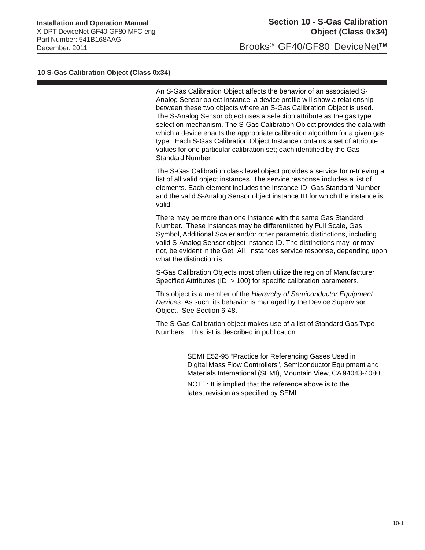# **10 S-Gas Calibration Object (Class 0x34)**

An S-Gas Calibration Object affects the behavior of an associated S-Analog Sensor object instance; a device profile will show a relationship between these two objects where an S-Gas Calibration Object is used. The S-Analog Sensor object uses a selection attribute as the gas type selection mechanism. The S-Gas Calibration Object provides the data with which a device enacts the appropriate calibration algorithm for a given gas type. Each S-Gas Calibration Object Instance contains a set of attribute values for one particular calibration set; each identified by the Gas Standard Number.

The S-Gas Calibration class level object provides a service for retrieving a list of all valid object instances. The service response includes a list of elements. Each element includes the Instance ID, Gas Standard Number and the valid S-Analog Sensor object instance ID for which the instance is valid.

There may be more than one instance with the same Gas Standard Number. These instances may be differentiated by Full Scale, Gas Symbol, Additional Scaler and/or other parametric distinctions, including valid S-Analog Sensor object instance ID. The distinctions may, or may not, be evident in the Get\_All\_Instances service response, depending upon what the distinction is.

S-Gas Calibration Objects most often utilize the region of Manufacturer Specified Attributes (ID > 100) for specific calibration parameters.

This object is a member of the *Hierarchy of Semiconductor Equipment Devices*. As such, its behavior is managed by the Device Supervisor Object. See Section 6-48.

The S-Gas Calibration object makes use of a list of Standard Gas Type Numbers. This list is described in publication:

> SEMI E52-95 "Practice for Referencing Gases Used in Digital Mass Flow Controllers", Semiconductor Equipment and Materials International (SEMI), Mountain View, CA 94043-4080.

NOTE: It is implied that the reference above is to the latest revision as specified by SEMI.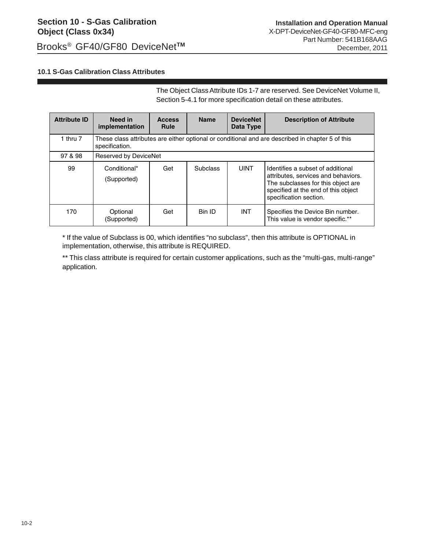# **10.1 S-Gas Calibration Class Attributes**

The Object Class Attribute IDs 1-7 are reserved. See DeviceNet Volume II, Section 5-4.1 for more specification detail on these attributes.

| <b>Attribute ID</b> | Need in<br>implementation                                                                                          | <b>Access</b><br>Rule | <b>Name</b>     | <b>DeviceNet</b><br>Data Type | <b>Description of Attribute</b>                                                                                                                                                 |  |  |  |
|---------------------|--------------------------------------------------------------------------------------------------------------------|-----------------------|-----------------|-------------------------------|---------------------------------------------------------------------------------------------------------------------------------------------------------------------------------|--|--|--|
| 1 thru $7$          | These class attributes are either optional or conditional and are described in chapter 5 of this<br>specification. |                       |                 |                               |                                                                                                                                                                                 |  |  |  |
| 97 & 98             | Reserved by DeviceNet                                                                                              |                       |                 |                               |                                                                                                                                                                                 |  |  |  |
| 99                  | Conditional*<br>(Supported)                                                                                        | Get                   | <b>Subclass</b> | <b>UINT</b>                   | Identifies a subset of additional<br>attributes, services and behaviors.<br>The subclasses for this object are<br>specified at the end of this object<br>specification section. |  |  |  |
| 170                 | Optional<br>(Supported)                                                                                            | Get                   | Bin ID          | <b>INT</b>                    | Specifies the Device Bin number.<br>This value is vendor specific.**                                                                                                            |  |  |  |

\* If the value of Subclass is 00, which identifies "no subclass", then this attribute is OPTIONAL in implementation, otherwise, this attribute is REQUIRED.

\*\* This class attribute is required for certain customer applications, such as the "multi-gas, multi-range" application.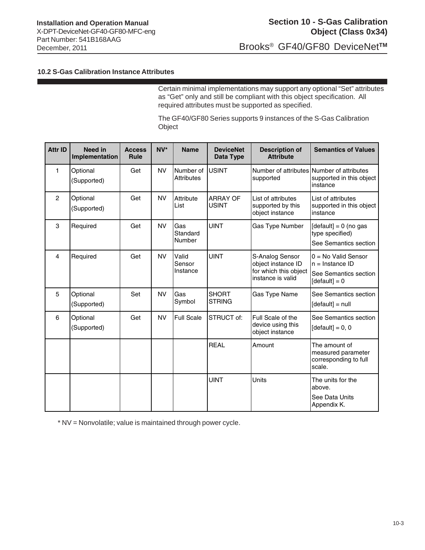## **10.2 S-Gas Calibration Instance Attributes**

Certain minimal implementations may support any optional "Set" attributes as "Get" only and still be compliant with this object specification. All required attributes must be supported as specified.

The GF40/GF80 Series supports 9 instances of the S-Gas Calibration Object

| <b>Attr ID</b> | Need in<br>Implementation | <b>Access</b><br>Rule | NV*       | <b>Name</b>                    | <b>DeviceNet</b><br>Data Type   | <b>Description of</b><br><b>Attribute</b>                                           | <b>Semantics of Values</b>                                                             |
|----------------|---------------------------|-----------------------|-----------|--------------------------------|---------------------------------|-------------------------------------------------------------------------------------|----------------------------------------------------------------------------------------|
| 1              | Optional<br>(Supported)   | Get                   | <b>NV</b> | Number of<br><b>Attributes</b> | <b>USINT</b>                    | supported                                                                           | Number of attributes Number of attributes<br>supported in this object<br>instance      |
| $\overline{2}$ | Optional<br>(Supported)   | Get                   | <b>NV</b> | Attribute<br>List              | <b>ARRAY OF</b><br><b>USINT</b> | List of attributes<br>supported by this<br>object instance                          | List of attributes<br>supported in this object<br>instance                             |
| 3              | Required                  | Get                   | <b>NV</b> | Gas<br>Standard<br>Number      | <b>UINT</b>                     | Gas Type Number                                                                     | $[default] = 0$ (no gas<br>type specified)<br>See Semantics section                    |
| $\overline{4}$ | Required                  | Get                   | <b>NV</b> | Valid<br>Sensor<br>Instance    | <b>UINT</b>                     | S-Analog Sensor<br>object instance ID<br>for which this object<br>instance is valid | $0 = No$ Valid Sensor<br>$n =$ Instance ID<br>See Semantics section<br>[default] = $0$ |
| 5              | Optional<br>(Supported)   | Set                   | <b>NV</b> | Gas<br>Symbol                  | <b>SHORT</b><br><b>STRING</b>   | Gas Type Name                                                                       | See Semantics section<br>[default] = null                                              |
| 6              | Optional<br>(Supported)   | Get                   | <b>NV</b> | <b>Full Scale</b>              | STRUCT of:                      | Full Scale of the<br>device using this<br>object instance                           | See Semantics section<br>[default] = $0, 0$                                            |
|                |                           |                       |           |                                | <b>REAL</b>                     | Amount                                                                              | The amount of<br>measured parameter<br>corresponding to full<br>scale.                 |
|                |                           |                       |           |                                | <b>UINT</b>                     | Units                                                                               | The units for the<br>above.<br>See Data Units<br>Appendix K.                           |

\* NV = Nonvolatile; value is maintained through power cycle.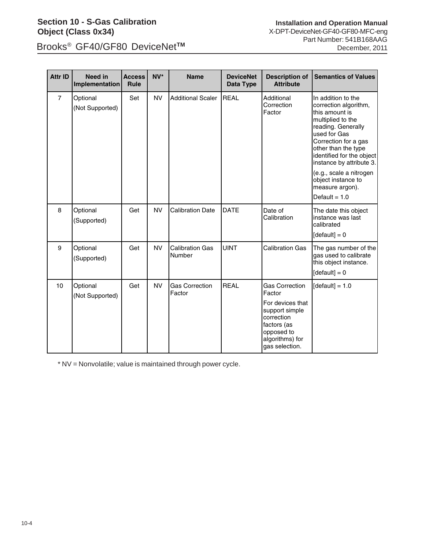| Attr ID        | Need in<br>Implementation   | <b>Access</b><br>Rule | NV*       | <b>Name</b>                      | <b>DeviceNet</b><br>Data Type | <b>Description of</b><br><b>Attribute</b>                                                                                                             | <b>Semantics of Values</b>                                                                                                                                                                                                                                                                                              |
|----------------|-----------------------------|-----------------------|-----------|----------------------------------|-------------------------------|-------------------------------------------------------------------------------------------------------------------------------------------------------|-------------------------------------------------------------------------------------------------------------------------------------------------------------------------------------------------------------------------------------------------------------------------------------------------------------------------|
| $\overline{7}$ | Optional<br>(Not Supported) | Set                   | <b>NV</b> | <b>Additional Scaler</b>         | <b>REAL</b>                   | Additional<br>Correction<br>Factor                                                                                                                    | In addition to the<br>correction algorithm,<br>this amount is<br>multiplied to the<br>reading. Generally<br>used for Gas<br>Correction for a gas<br>other than the type<br>identified for the object<br>instance by attribute 3.<br>(e.g., scale a nitrogen<br>object instance to<br>measure argon).<br>Default = $1.0$ |
| 8              | Optional<br>(Supported)     | Get                   | <b>NV</b> | <b>Calibration Date</b>          | <b>DATE</b>                   | Date of<br>Calibration                                                                                                                                | The date this object<br>instance was last<br>calibrated<br>$[default] = 0$                                                                                                                                                                                                                                              |
| 9              | Optional<br>(Supported)     | Get                   | <b>NV</b> | <b>Calibration Gas</b><br>Number | <b>UINT</b>                   | <b>Calibration Gas</b>                                                                                                                                | The gas number of the<br>gas used to calibrate<br>this object instance.<br>$[default] = 0$                                                                                                                                                                                                                              |
| 10             | Optional<br>(Not Supported) | Get                   | <b>NV</b> | <b>Gas Correction</b><br>Factor  | <b>REAL</b>                   | <b>Gas Correction</b><br>Factor<br>For devices that<br>support simple<br>correction<br>factors (as<br>opposed to<br>algorithms) for<br>gas selection. | $[default] = 1.0$                                                                                                                                                                                                                                                                                                       |

\* NV = Nonvolatile; value is maintained through power cycle.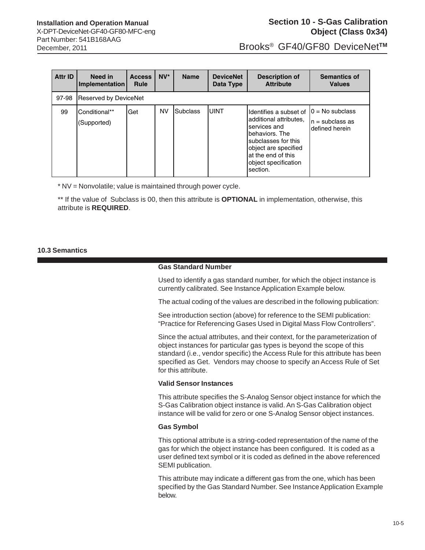Brooks® GF40/GF80 DeviceNet**TM**

| Attr ID | Need in<br>Implementation    | <b>Access</b><br>Rule | $N V^*$ | <b>Name</b>     | <b>DeviceNet</b><br>Data Type | <b>Description of</b><br><b>Attribute</b>                                                                                                                                                   | <b>Semantics of</b><br><b>Values</b>                       |  |
|---------|------------------------------|-----------------------|---------|-----------------|-------------------------------|---------------------------------------------------------------------------------------------------------------------------------------------------------------------------------------------|------------------------------------------------------------|--|
| 97-98   | Reserved by DeviceNet        |                       |         |                 |                               |                                                                                                                                                                                             |                                                            |  |
| 99      | Conditional**<br>(Supported) | Get                   | NV      | <b>Subclass</b> | <b>UINT</b>                   | Identifies a subset of<br>additional attributes.<br>services and<br>behaviors. The<br>subclasses for this<br>object are specified<br>at the end of this<br>object specification<br>section. | $0 = No$ subclass<br>$\ln$ = subclass as<br>defined herein |  |

\* NV = Nonvolatile; value is maintained through power cycle.

\*\* If the value of Subclass is 00, then this attribute is **OPTIONAL** in implementation, otherwise, this attribute is **REQUIRED**.

#### **10.3 Semantics**

#### **Gas Standard Number**

Used to identify a gas standard number, for which the object instance is currently calibrated. See Instance Application Example below.

The actual coding of the values are described in the following publication:

See introduction section (above) for reference to the SEMI publication: "Practice for Referencing Gases Used in Digital Mass Flow Controllers".

Since the actual attributes, and their context, for the parameterization of object instances for particular gas types is beyond the scope of this standard (i.e., vendor specific) the Access Rule for this attribute has been specified as Get. Vendors may choose to specify an Access Rule of Set for this attribute.

#### **Valid Sensor Instances**

This attribute specifies the S-Analog Sensor object instance for which the S-Gas Calibration object instance is valid. An S-Gas Calibration object instance will be valid for zero or one S-Analog Sensor object instances.

#### **Gas Symbol**

This optional attribute is a string-coded representation of the name of the gas for which the object instance has been configured. It is coded as a user defined text symbol or it is coded as defined in the above referenced SEMI publication.

This attribute may indicate a different gas from the one, which has been specified by the Gas Standard Number. See Instance Application Example below.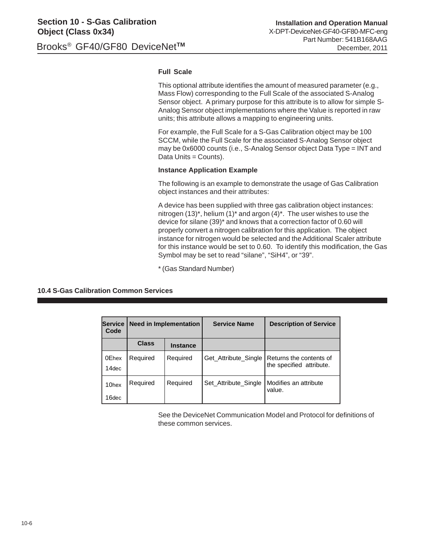### **Full Scale**

This optional attribute identifies the amount of measured parameter (e.g., Mass Flow) corresponding to the Full Scale of the associated S-Analog Sensor object. A primary purpose for this attribute is to allow for simple S-Analog Sensor object implementations where the Value is reported in raw units; this attribute allows a mapping to engineering units.

For example, the Full Scale for a S-Gas Calibration object may be 100 SCCM, while the Full Scale for the associated S-Analog Sensor object may be 0x6000 counts (i.e., S-Analog Sensor object Data Type = INT and Data Units = Counts).

## **Instance Application Example**

The following is an example to demonstrate the usage of Gas Calibration object instances and their attributes:

A device has been supplied with three gas calibration object instances: nitrogen (13)\*, helium (1)\* and argon (4)\*. The user wishes to use the device for silane (39)\* and knows that a correction factor of 0.60 will properly convert a nitrogen calibration for this application. The object instance for nitrogen would be selected and the Additional Scaler attribute for this instance would be set to 0.60. To identify this modification, the Gas Symbol may be set to read "silane", "SiH4", or "39".

\* (Gas Standard Number)

## **10.4 S-Gas Calibration Common Services**

| <b>Service</b><br>Code     |              | Need in Implementation | <b>Service Name</b>  | <b>Description of Service</b>                       |
|----------------------------|--------------|------------------------|----------------------|-----------------------------------------------------|
|                            | <b>Class</b> | <b>Instance</b>        |                      |                                                     |
| 0Ehex<br>14 <sub>dec</sub> | Required     | Required               | Get Attribute Single | Returns the contents of<br>the specified attribute. |
| 10 <sub>hex</sub><br>16dec | Required     | Required               | Set Attribute Single | Modifies an attribute<br>value.                     |

See the DeviceNet Communication Model and Protocol for definitions of these common services.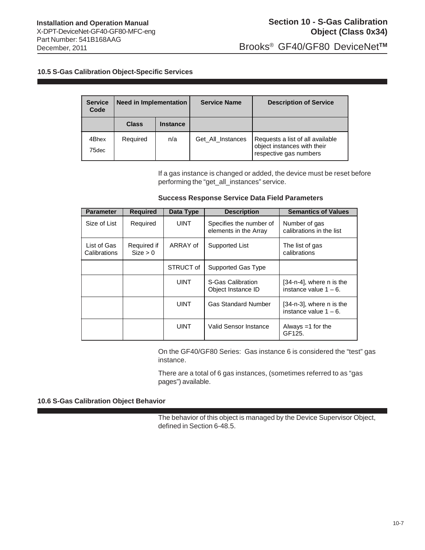# **Section 10 - S-Gas Calibration Object (Class 0x34)**

Brooks® GF40/GF80 DeviceNet**TM**

## **10.5 S-Gas Calibration Object-Specific Services**

| <b>Service</b><br>Code | <b>Need in Implementation</b> |                 | <b>Service Name</b> | <b>Description of Service</b>                                                             |
|------------------------|-------------------------------|-----------------|---------------------|-------------------------------------------------------------------------------------------|
|                        | <b>Class</b>                  | <b>Instance</b> |                     |                                                                                           |
| 4Bhex<br>75dec         | Required                      | n/a             | Get_All_Instances   | Requests a list of all available<br>object instances with their<br>respective gas numbers |

If a gas instance is changed or added, the device must be reset before performing the "get\_all\_instances" service.

#### **Success Response Service Data Field Parameters**

| <b>Parameter</b>            | <b>Required</b>         | Data Type   | <b>Description</b>                               | <b>Semantics of Values</b>                              |
|-----------------------------|-------------------------|-------------|--------------------------------------------------|---------------------------------------------------------|
| Size of List                | Required                | <b>UINT</b> | Specifies the number of<br>elements in the Array | Number of gas<br>calibrations in the list               |
| List of Gas<br>Calibrations | Required if<br>Size > 0 | ARRAY of    | Supported List                                   | The list of gas<br>calibrations                         |
|                             |                         | STRUCT of   | Supported Gas Type                               |                                                         |
|                             |                         | <b>UINT</b> | S-Gas Calibration<br>Object Instance ID          | [34-n-4], where n is the<br>instance value $1 - 6$ .    |
|                             |                         | <b>UINT</b> | <b>Gas Standard Number</b>                       | $[34-n-3]$ , where n is the<br>instance value $1 - 6$ . |
|                             |                         | <b>UINT</b> | Valid Sensor Instance                            | Always $=1$ for the<br>GF125.                           |

On the GF40/GF80 Series: Gas instance 6 is considered the "test" gas instance.

There are a total of 6 gas instances, (sometimes referred to as "gas pages") available.

#### **10.6 S-Gas Calibration Object Behavior**

The behavior of this object is managed by the Device Supervisor Object, defined in Section 6-48.5.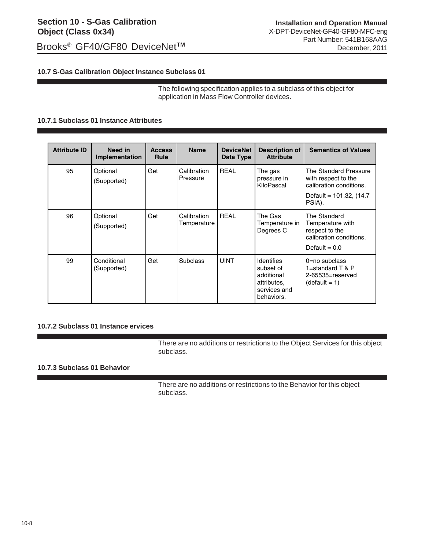## **10.7 S-Gas Calibration Object Instance Subclass 01**

The following specification applies to a subclass of this object for application in Mass Flow Controller devices.

## **10.7.1 Subclass 01 Instance Attributes**

| <b>Attribute ID</b> | Need in<br>Implementation  | <b>Access</b><br><b>Rule</b> | <b>Name</b>                | <b>DeviceNet</b><br>Data Type | <b>Description of</b><br><b>Attribute</b>                                                 | <b>Semantics of Values</b>                                                                                       |
|---------------------|----------------------------|------------------------------|----------------------------|-------------------------------|-------------------------------------------------------------------------------------------|------------------------------------------------------------------------------------------------------------------|
| 95                  | Optional<br>(Supported)    | Get                          | Calibration<br>Pressure    | <b>REAL</b>                   | The gas<br>pressure in<br>KiloPascal                                                      | The Standard Pressure<br>with respect to the<br>calibration conditions.<br>Default = $101.32$ , (14.7)<br>PSIA). |
| 96                  | Optional<br>(Supported)    | Get                          | Calibration<br>Temperature | <b>REAL</b>                   | The Gas<br>Temperature in<br>Degrees C                                                    | The Standard<br>Temperature with<br>respect to the<br>calibration conditions.<br>Default = $0.0$                 |
| 99                  | Conditional<br>(Supported) | Get                          | <b>Subclass</b>            | <b>UINT</b>                   | <b>Identifies</b><br>subset of<br>additional<br>attributes,<br>services and<br>behaviors. | 0=no subclass<br>1=standard $T$ & $P$<br>$2-65535 =$ reserved<br>$(detault = 1)$                                 |

## **10.7.2 Subclass 01 Instance ervices**

There are no additions or restrictions to the Object Services for this object subclass.

## **10.7.3 Subclass 01 Behavior**

There are no additions or restrictions to the Behavior for this object subclass.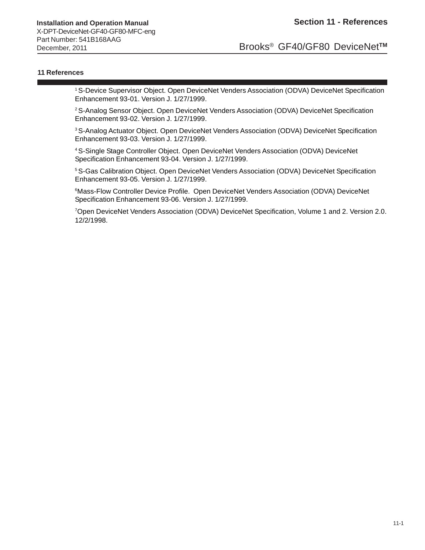## Brooks® GF40/GF80 DeviceNet**TM**

## **11 References**

1 S-Device Supervisor Object. Open DeviceNet Venders Association (ODVA) DeviceNet Specification Enhancement 93-01. Version J. 1/27/1999.

2 S-Analog Sensor Object. Open DeviceNet Venders Association (ODVA) DeviceNet Specification Enhancement 93-02. Version J. 1/27/1999.

3 S-Analog Actuator Object. Open DeviceNet Venders Association (ODVA) DeviceNet Specification Enhancement 93-03. Version J. 1/27/1999.

4 S-Single Stage Controller Object. Open DeviceNet Venders Association (ODVA) DeviceNet Specification Enhancement 93-04. Version J. 1/27/1999.

5 S-Gas Calibration Object. Open DeviceNet Venders Association (ODVA) DeviceNet Specification Enhancement 93-05. Version J. 1/27/1999.

6Mass-Flow Controller Device Profile. Open DeviceNet Venders Association (ODVA) DeviceNet Specification Enhancement 93-06. Version J. 1/27/1999.

7 Open DeviceNet Venders Association (ODVA) DeviceNet Specification, Volume 1 and 2. Version 2.0. 12/2/1998.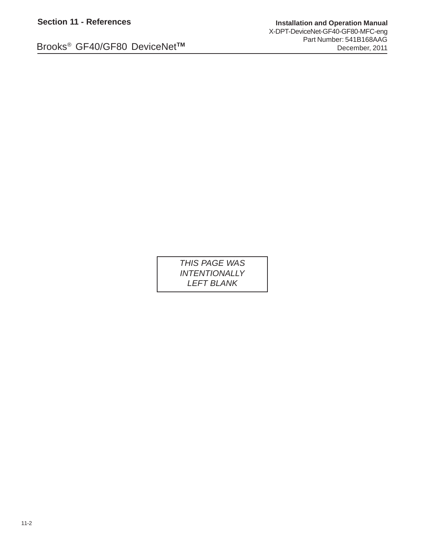Brooks® GF40/GF80 DeviceNet**TM**

*THIS PAGE WAS INTENTIONALLY LEFT BLANK*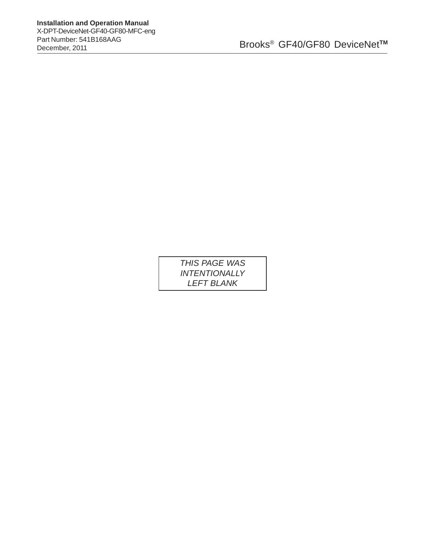*THIS PAGE WAS INTENTIONALLY LEFT BLANK*